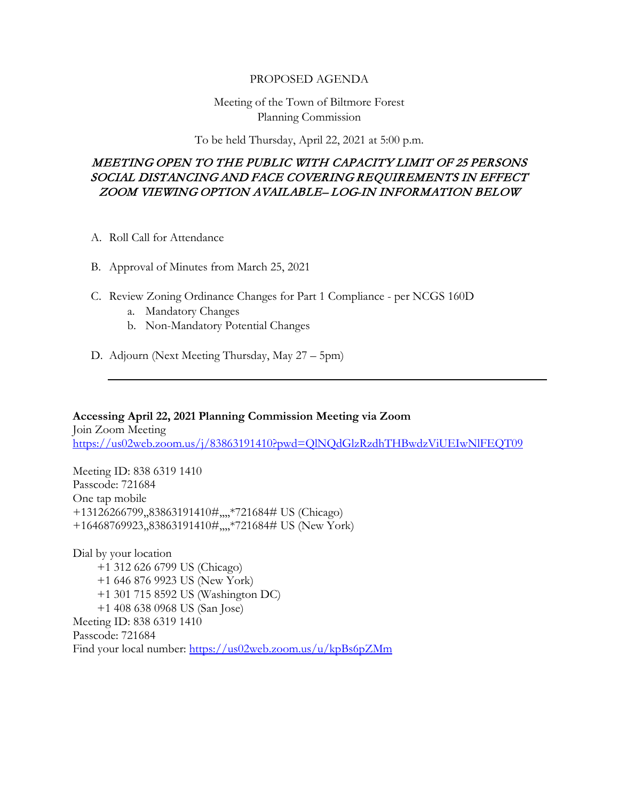#### PROPOSED AGENDA

### Meeting of the Town of Biltmore Forest Planning Commission

To be held Thursday, April 22, 2021 at 5:00 p.m.

## MEETING OPEN TO THE PUBLIC WITH CAPACITY LIMIT OF 25 PERSONS SOCIAL DISTANCING AND FACE COVERING REQUIREMENTS IN EFFECT ZOOM VIEWING OPTION AVAILABLE– LOG-IN INFORMATION BELOW

- A. Roll Call for Attendance
- B. Approval of Minutes from March 25, 2021
- C. Review Zoning Ordinance Changes for Part 1 Compliance per NCGS 160D
	- a. Mandatory Changes
	- b. Non-Mandatory Potential Changes
- D. Adjourn (Next Meeting Thursday, May 27 5pm)

**Accessing April 22, 2021 Planning Commission Meeting via Zoom** Join Zoom Meeting <https://us02web.zoom.us/j/83863191410?pwd=QlNQdGlzRzdhTHBwdzViUEIwNlFEQT09>

Meeting ID: 838 6319 1410 Passcode: 721684 One tap mobile +13126266799,,83863191410#,,,,\*721684# US (Chicago) +16468769923,,83863191410#,,,,\*721684# US (New York)

Dial by your location +1 312 626 6799 US (Chicago) +1 646 876 9923 US (New York) +1 301 715 8592 US (Washington DC) +1 408 638 0968 US (San Jose) Meeting ID: 838 6319 1410 Passcode: 721684 Find your local number:<https://us02web.zoom.us/u/kpBs6pZMm>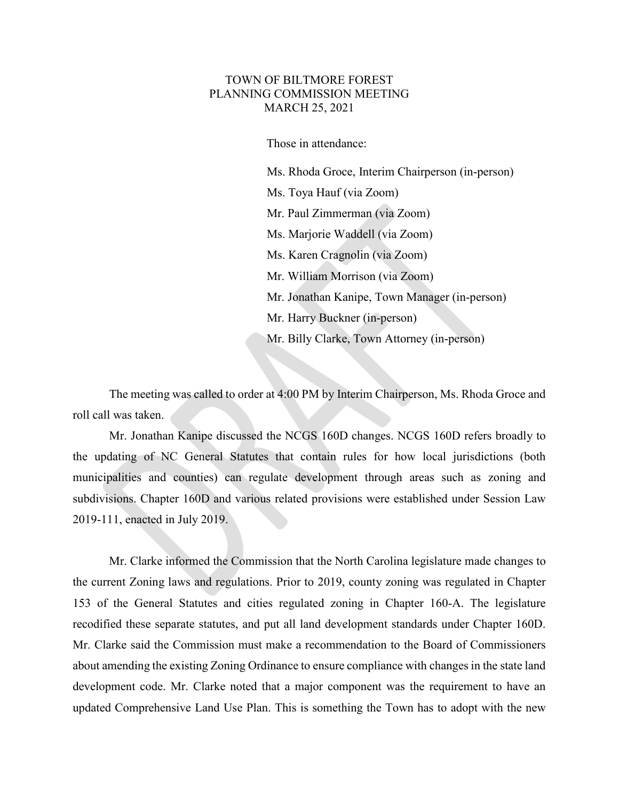#### TOWN OF BILTMORE FOREST PLANNING COMMISSION MEETING MARCH 25, 2021

Those in attendance:

 Ms. Rhoda Groce, Interim Chairperson (in-person) Ms. Toya Hauf (via Zoom) Mr. Paul Zimmerman (via Zoom) Ms. Marjorie Waddell (via Zoom) Ms. Karen Cragnolin (via Zoom) Mr. William Morrison (via Zoom) Mr. Jonathan Kanipe, Town Manager (in-person) Mr. Harry Buckner (in-person) Mr. Billy Clarke, Town Attorney (in-person)

The meeting was called to order at 4:00 PM by Interim Chairperson, Ms. Rhoda Groce and roll call was taken.

Mr. Jonathan Kanipe discussed the NCGS 160D changes. NCGS 160D refers broadly to the updating of NC General Statutes that contain rules for how local jurisdictions (both municipalities and counties) can regulate development through areas such as zoning and subdivisions. Chapter 160D and various related provisions were established under Session Law 2019-111, enacted in July 2019.

Mr. Clarke informed the Commission that the North Carolina legislature made changes to the current Zoning laws and regulations. Prior to 2019, county zoning was regulated in Chapter 153 of the General Statutes and cities regulated zoning in Chapter 160-A. The legislature recodified these separate statutes, and put all land development standards under Chapter 160D. Mr. Clarke said the Commission must make a recommendation to the Board of Commissioners about amending the existing Zoning Ordinance to ensure compliance with changes in the state land development code. Mr. Clarke noted that a major component was the requirement to have an updated Comprehensive Land Use Plan. This is something the Town has to adopt with the new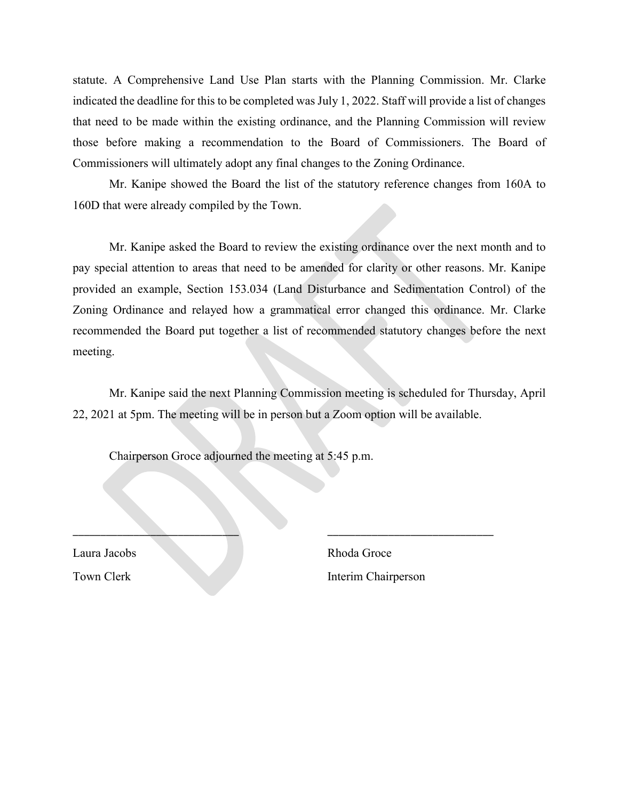statute. A Comprehensive Land Use Plan starts with the Planning Commission. Mr. Clarke indicated the deadline for this to be completed was July 1, 2022. Staff will provide a list of changes that need to be made within the existing ordinance, and the Planning Commission will review those before making a recommendation to the Board of Commissioners. The Board of Commissioners will ultimately adopt any final changes to the Zoning Ordinance.

Mr. Kanipe showed the Board the list of the statutory reference changes from 160A to 160D that were already compiled by the Town.

Mr. Kanipe asked the Board to review the existing ordinance over the next month and to pay special attention to areas that need to be amended for clarity or other reasons. Mr. Kanipe provided an example, Section 153.034 (Land Disturbance and Sedimentation Control) of the Zoning Ordinance and relayed how a grammatical error changed this ordinance. Mr. Clarke recommended the Board put together a list of recommended statutory changes before the next meeting.

Mr. Kanipe said the next Planning Commission meeting is scheduled for Thursday, April 22, 2021 at 5pm. The meeting will be in person but a Zoom option will be available.

\_\_\_\_\_\_\_\_\_\_\_\_\_\_\_\_\_\_\_\_\_\_\_\_\_\_\_\_\_\_ \_\_\_\_\_\_\_\_\_\_\_\_\_\_\_\_\_\_\_\_\_\_\_\_\_\_\_\_\_\_

Chairperson Groce adjourned the meeting at 5:45 p.m.

Laura Jacobs Rhoda Groce

Town Clerk Interim Chairperson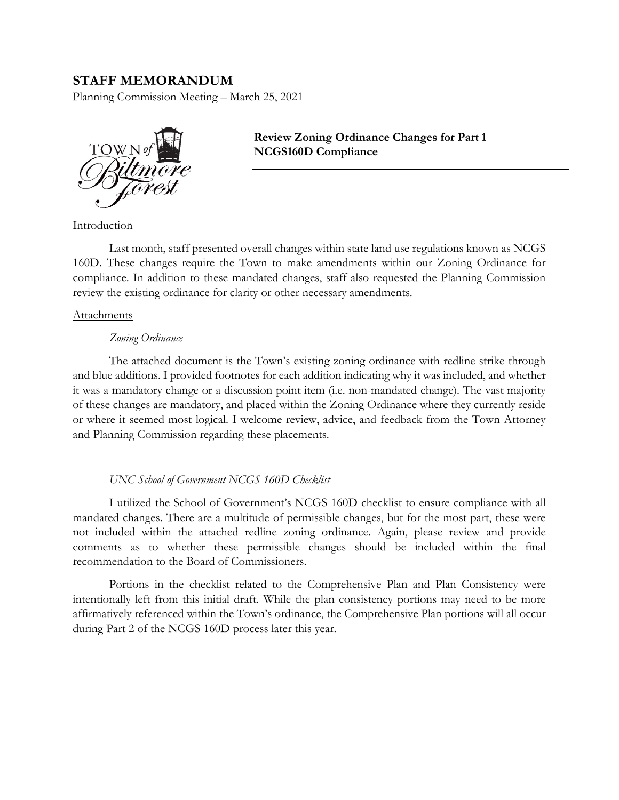### **STAFF MEMORANDUM**

Planning Commission Meeting – March 25, 2021



**Review Zoning Ordinance Changes for Part 1 NCGS160D Compliance**

Introduction

Last month, staff presented overall changes within state land use regulations known as NCGS 160D. These changes require the Town to make amendments within our Zoning Ordinance for compliance. In addition to these mandated changes, staff also requested the Planning Commission review the existing ordinance for clarity or other necessary amendments.

#### Attachments

#### *Zoning Ordinance*

The attached document is the Town's existing zoning ordinance with redline strike through and blue additions. I provided footnotes for each addition indicating why it was included, and whether it was a mandatory change or a discussion point item (i.e. non-mandated change). The vast majority of these changes are mandatory, and placed within the Zoning Ordinance where they currently reside or where it seemed most logical. I welcome review, advice, and feedback from the Town Attorney and Planning Commission regarding these placements.

#### *UNC School of Government NCGS 160D Checklist*

I utilized the School of Government's NCGS 160D checklist to ensure compliance with all mandated changes. There are a multitude of permissible changes, but for the most part, these were not included within the attached redline zoning ordinance. Again, please review and provide comments as to whether these permissible changes should be included within the final recommendation to the Board of Commissioners.

Portions in the checklist related to the Comprehensive Plan and Plan Consistency were intentionally left from this initial draft. While the plan consistency portions may need to be more affirmatively referenced within the Town's ordinance, the Comprehensive Plan portions will all occur during Part 2 of the NCGS 160D process later this year.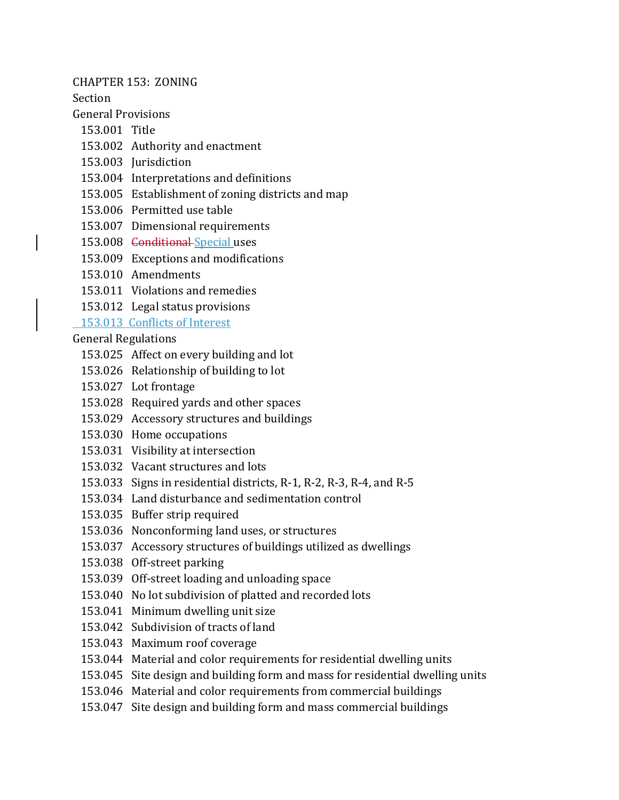CHAPTER 153: ZONING

Section

General Provisions

- 153.001 Title
- 153.002 Authority and enactment
- 153.003 Jurisdiction
- 153.004 Interpretations and definitions
- 153.005 Establishment of zoning districts and map
- 153.006 Permitted use table
- 153.007 Dimensional requirements
- 153.008 <del>Conditional Special</del> uses
- 153.009 Exceptions and modifications
- 153.010 Amendments
- 153.011 Violations and remedies
- 153.012 Legal status provisions

# 153.013 Conflicts of Interest

General Regulations

- 153.025 Affect on every building and lot
- 153.026 Relationship of building to lot
- 153.027 Lot frontage
- 153.028 Required yards and other spaces
- 153.029 Accessory structures and buildings
- 153.030 Home occupations
- 153.031 Visibility at intersection
- 153.032 Vacant structures and lots
- 153.033 Signs in residential districts, R-1, R-2, R-3, R-4, and R-5
- 153.034 Land disturbance and sedimentation control
- 153.035 Buffer strip required
- 153.036 Nonconforming land uses, or structures
- 153.037 Accessory structures of buildings utilized as dwellings
- 153.038 Off-street parking
- 153.039 Off-street loading and unloading space
- 153.040 No lot subdivision of platted and recorded lots
- 153.041 Minimum dwelling unit size
- 153.042 Subdivision of tracts of land
- 153.043 Maximum roof coverage
- 153.044 Material and color requirements for residential dwelling units
- 153.045 Site design and building form and mass for residential dwelling units
- 153.046 Material and color requirements from commercial buildings
- 153.047 Site design and building form and mass commercial buildings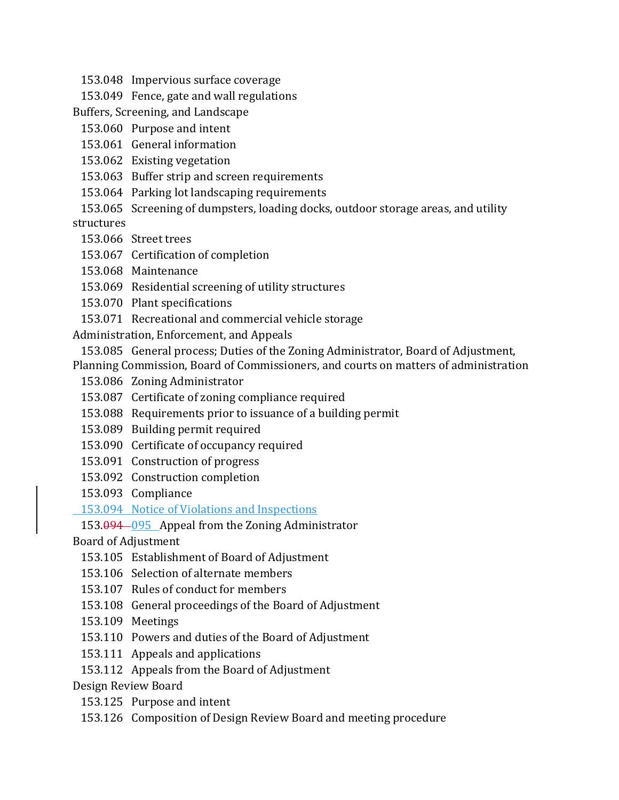- 153.048 Impervious surface coverage
- 153.049 Fence, gate and wall regulations
- Buffers, Screening, and Landscape
- 153.060 Purpose and intent
- 153.061 General information
- 153.062 Existing vegetation
- 153.063 Buffer strip and screen requirements
- 153.064 Parking lot landscaping requirements
- 153.065 Screening of dumpsters, loading docks, outdoor storage areas, and utility structures
	- 153.066 Street trees
	- 153.067 Certification of completion
	- 153.068 Maintenance
	- 153.069 Residential screening of utility structures
	- 153.070 Plant specifications
	- 153.071 Recreational and commercial vehicle storage
- Administration, Enforcement, and Appeals
- 153.085 General process; Duties of the Zoning Administrator, Board of Adjustment,
- Planning Commission, Board of Commissioners, and courts on matters of administration
	- 153.086 Zoning Administrator
	- 153.087 Certificate of zoning compliance required
- 153.088 Requirements prior to issuance of a building permit
- 153.089 Building permit required
- 153.090 Certificate of occupancy required
- 153.091 Construction of progress
- 153.092 Construction completion
- 153.093 Compliance
- 153.094 Notice of Violations and Inspections

# 153.094 095 Appeal from the Zoning Administrator

Board of Adjustment

- 153.105 Establishment of Board of Adjustment
- 153.106 Selection of alternate members
- 153.107 Rules of conduct for members
- 153.108 General proceedings of the Board of Adjustment
- 153.109 Meetings
- 153.110 Powers and duties of the Board of Adjustment
- 153.111 Appeals and applications
- 153.112 Appeals from the Board of Adjustment

Design Review Board

- 153.125 Purpose and intent
- 153.126 Composition of Design Review Board and meeting procedure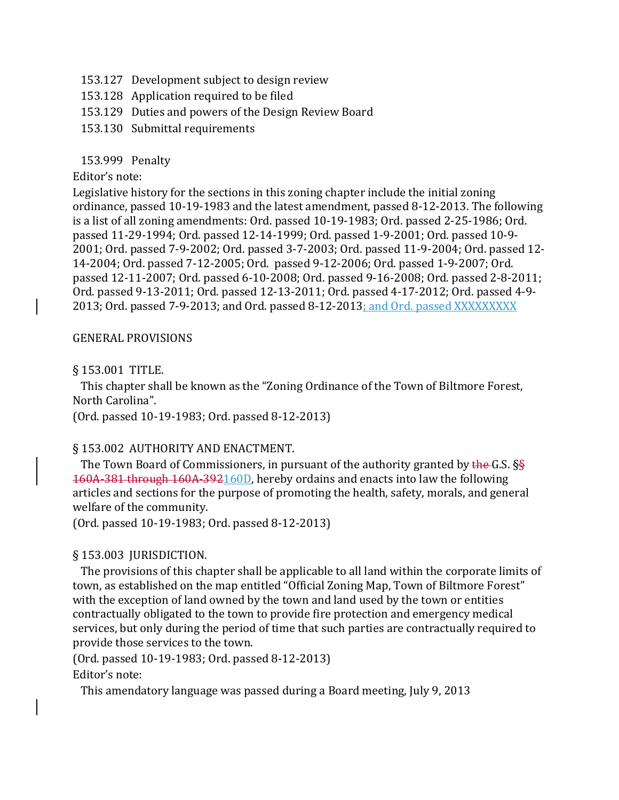- 153.127 Development subject to design review
- 153.128 Application required to be filed
- 153.129 Duties and powers of the Design Review Board
- 153.130 Submittal requirements

### 153.999 Penalty

### Editor's note:

Legislative history for the sections in this zoning chapter include the initial zoning ordinance, passed 10-19-1983 and the latest amendment, passed 8-12-2013. The following is a list of all zoning amendments: Ord. passed 10-19-1983; Ord. passed 2-25-1986; Ord. passed 11-29-1994; Ord. passed 12-14-1999; Ord. passed 1-9-2001; Ord. passed 10-9- 2001; Ord. passed 7-9-2002; Ord. passed 3-7-2003; Ord. passed 11-9-2004; Ord. passed 12- 14-2004; Ord. passed 7-12-2005; Ord. passed 9-12-2006; Ord. passed 1-9-2007; Ord. passed 12-11-2007; Ord. passed 6-10-2008; Ord. passed 9-16-2008; Ord. passed 2-8-2011; Ord. passed 9-13-2011; Ord. passed 12-13-2011; Ord. passed 4-17-2012; Ord. passed 4-9- 2013; Ord. passed 7-9-2013; and Ord. passed 8-12-2013; and Ord. passed XXXXXXXXX

### GENERAL PROVISIONS

### § 153.001 TITLE.

 This chapter shall be known as the "Zoning Ordinance of the Town of Biltmore Forest, North Carolina".

(Ord. passed 10-19-1983; Ord. passed 8-12-2013)

### § 153.002 AUTHORITY AND ENACTMENT.

The Town Board of Commissioners, in pursuant of the authority granted by the G.S. §§ 160A-381 through 160A-392160D, hereby ordains and enacts into law the following articles and sections for the purpose of promoting the health, safety, morals, and general welfare of the community.

(Ord. passed 10-19-1983; Ord. passed 8-12-2013)

### § 153.003 JURISDICTION.

 The provisions of this chapter shall be applicable to all land within the corporate limits of town, as established on the map entitled "Official Zoning Map, Town of Biltmore Forest" with the exception of land owned by the town and land used by the town or entities contractually obligated to the town to provide fire protection and emergency medical services, but only during the period of time that such parties are contractually required to provide those services to the town.

(Ord. passed 10-19-1983; Ord. passed 8-12-2013)

Editor's note:

This amendatory language was passed during a Board meeting, July 9, 2013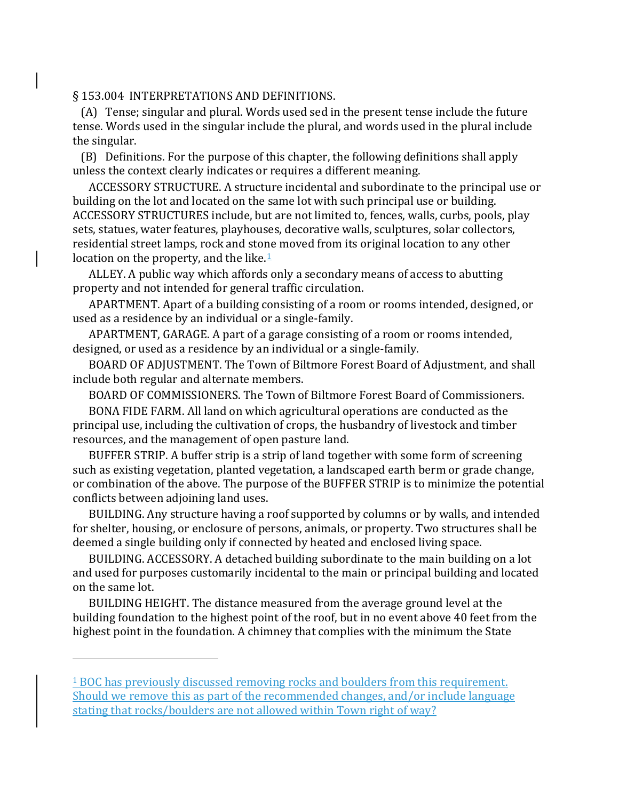#### § 153.004 INTERPRETATIONS AND DEFINITIONS.

 (A) Tense; singular and plural. Words used sed in the present tense include the future tense. Words used in the singular include the plural, and words used in the plural include the singular.

 (B) Definitions. For the purpose of this chapter, the following definitions shall apply unless the context clearly indicates or requires a different meaning.

 ACCESSORY STRUCTURE. A structure incidental and subordinate to the principal use or building on the lot and located on the same lot with such principal use or building. ACCESSORY STRUCTURES include, but are not limited to, fences, walls, curbs, pools, play sets, statues, water features, playhouses, decorative walls, sculptures, solar collectors, residential street lamps, rock and stone moved from its original location to any other location on the property, and the like. $\frac{1}{2}$  $\frac{1}{2}$  $\frac{1}{2}$ 

 ALLEY. A public way which affords only a secondary means of access to abutting property and not intended for general traffic circulation.

 APARTMENT. Apart of a building consisting of a room or rooms intended, designed, or used as a residence by an individual or a single-family.

 APARTMENT, GARAGE. A part of a garage consisting of a room or rooms intended, designed, or used as a residence by an individual or a single-family.

 BOARD OF ADJUSTMENT. The Town of Biltmore Forest Board of Adjustment, and shall include both regular and alternate members.

BOARD OF COMMISSIONERS. The Town of Biltmore Forest Board of Commissioners.

 BONA FIDE FARM. All land on which agricultural operations are conducted as the principal use, including the cultivation of crops, the husbandry of livestock and timber resources, and the management of open pasture land.

 BUFFER STRIP. A buffer strip is a strip of land together with some form of screening such as existing vegetation, planted vegetation, a landscaped earth berm or grade change, or combination of the above. The purpose of the BUFFER STRIP is to minimize the potential conflicts between adjoining land uses.

 BUILDING. Any structure having a roof supported by columns or by walls, and intended for shelter, housing, or enclosure of persons, animals, or property. Two structures shall be deemed a single building only if connected by heated and enclosed living space.

 BUILDING. ACCESSORY. A detached building subordinate to the main building on a lot and used for purposes customarily incidental to the main or principal building and located on the same lot.

 BUILDING HEIGHT. The distance measured from the average ground level at the building foundation to the highest point of the roof, but in no event above 40 feet from the highest point in the foundation. A chimney that complies with the minimum the State

<span id="page-9-0"></span><sup>1</sup> BOC has previously discussed removing rocks and boulders from this requirement. Should we remove this as part of the recommended changes, and/or include language stating that rocks/boulders are not allowed within Town right of way?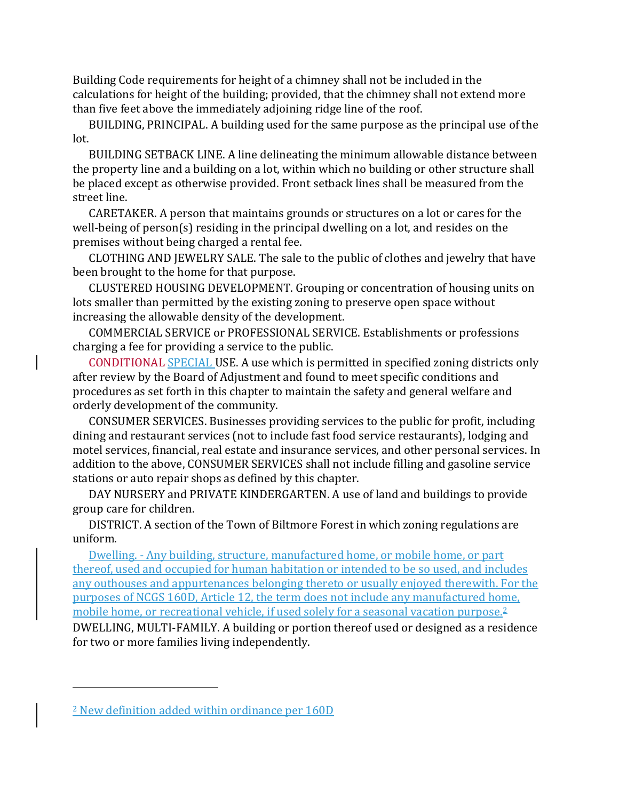Building Code requirements for height of a chimney shall not be included in the calculations for height of the building; provided, that the chimney shall not extend more than five feet above the immediately adjoining ridge line of the roof.

 BUILDING, PRINCIPAL. A building used for the same purpose as the principal use of the lot.

 BUILDING SETBACK LINE. A line delineating the minimum allowable distance between the property line and a building on a lot, within which no building or other structure shall be placed except as otherwise provided. Front setback lines shall be measured from the street line.

 CARETAKER. A person that maintains grounds or structures on a lot or cares for the well-being of person(s) residing in the principal dwelling on a lot, and resides on the premises without being charged a rental fee.

 CLOTHING AND JEWELRY SALE. The sale to the public of clothes and jewelry that have been brought to the home for that purpose.

 CLUSTERED HOUSING DEVELOPMENT. Grouping or concentration of housing units on lots smaller than permitted by the existing zoning to preserve open space without increasing the allowable density of the development.

 COMMERCIAL SERVICE or PROFESSIONAL SERVICE. Establishments or professions charging a fee for providing a service to the public.

 CONDITIONAL SPECIAL USE. A use which is permitted in specified zoning districts only after review by the Board of Adjustment and found to meet specific conditions and procedures as set forth in this chapter to maintain the safety and general welfare and orderly development of the community.

 CONSUMER SERVICES. Businesses providing services to the public for profit, including dining and restaurant services (not to include fast food service restaurants), lodging and motel services, financial, real estate and insurance services, and other personal services. In addition to the above, CONSUMER SERVICES shall not include filling and gasoline service stations or auto repair shops as defined by this chapter.

 DAY NURSERY and PRIVATE KINDERGARTEN. A use of land and buildings to provide group care for children.

 DISTRICT. A section of the Town of Biltmore Forest in which zoning regulations are uniform.

 Dwelling. - Any building, structure, manufactured home, or mobile home, or part thereof, used and occupied for human habitation or intended to be so used, and includes any outhouses and appurtenances belonging thereto or usually enjoyed therewith. For the purposes of NCGS 160D, Article 12, the term does not include any manufactured home, mobile home, or recreational vehicle, if used solely for a seasonal vacation purpose.[2](#page-10-0)

DWELLING, MULTI-FAMILY. A building or portion thereof used or designed as a residence for two or more families living independently.

<span id="page-10-0"></span><sup>2</sup> New definition added within ordinance per 160D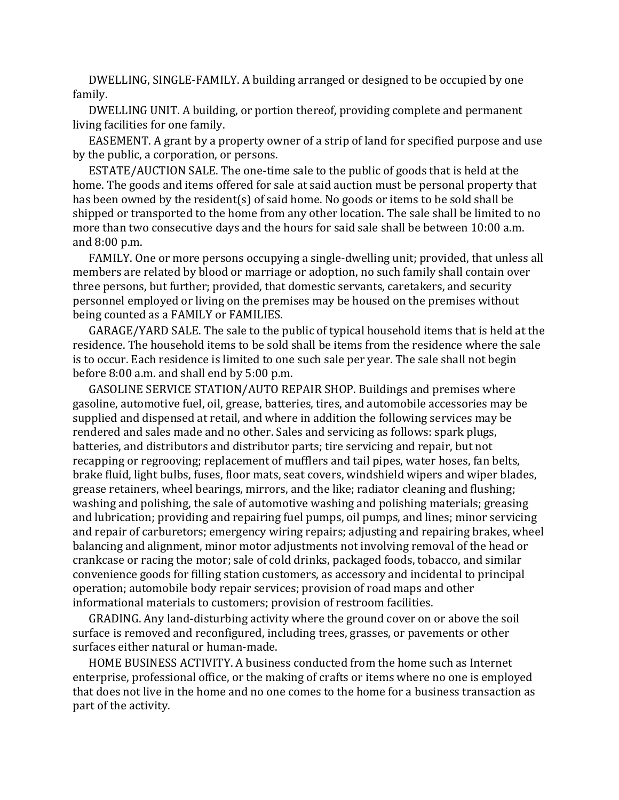DWELLING, SINGLE-FAMILY. A building arranged or designed to be occupied by one family.

 DWELLING UNIT. A building, or portion thereof, providing complete and permanent living facilities for one family.

 EASEMENT. A grant by a property owner of a strip of land for specified purpose and use by the public, a corporation, or persons.

 ESTATE/AUCTION SALE. The one-time sale to the public of goods that is held at the home. The goods and items offered for sale at said auction must be personal property that has been owned by the resident(s) of said home. No goods or items to be sold shall be shipped or transported to the home from any other location. The sale shall be limited to no more than two consecutive days and the hours for said sale shall be between 10:00 a.m. and 8:00 p.m.

 FAMILY. One or more persons occupying a single-dwelling unit; provided, that unless all members are related by blood or marriage or adoption, no such family shall contain over three persons, but further; provided, that domestic servants, caretakers, and security personnel employed or living on the premises may be housed on the premises without being counted as a FAMILY or FAMILIES.

 GARAGE/YARD SALE. The sale to the public of typical household items that is held at the residence. The household items to be sold shall be items from the residence where the sale is to occur. Each residence is limited to one such sale per year. The sale shall not begin before 8:00 a.m. and shall end by 5:00 p.m.

 GASOLINE SERVICE STATION/AUTO REPAIR SHOP. Buildings and premises where gasoline, automotive fuel, oil, grease, batteries, tires, and automobile accessories may be supplied and dispensed at retail, and where in addition the following services may be rendered and sales made and no other. Sales and servicing as follows: spark plugs, batteries, and distributors and distributor parts; tire servicing and repair, but not recapping or regrooving; replacement of mufflers and tail pipes, water hoses, fan belts, brake fluid, light bulbs, fuses, floor mats, seat covers, windshield wipers and wiper blades, grease retainers, wheel bearings, mirrors, and the like; radiator cleaning and flushing; washing and polishing, the sale of automotive washing and polishing materials; greasing and lubrication; providing and repairing fuel pumps, oil pumps, and lines; minor servicing and repair of carburetors; emergency wiring repairs; adjusting and repairing brakes, wheel balancing and alignment, minor motor adjustments not involving removal of the head or crankcase or racing the motor; sale of cold drinks, packaged foods, tobacco, and similar convenience goods for filling station customers, as accessory and incidental to principal operation; automobile body repair services; provision of road maps and other informational materials to customers; provision of restroom facilities.

 GRADING. Any land-disturbing activity where the ground cover on or above the soil surface is removed and reconfigured, including trees, grasses, or pavements or other surfaces either natural or human-made.

 HOME BUSINESS ACTIVITY. A business conducted from the home such as Internet enterprise, professional office, or the making of crafts or items where no one is employed that does not live in the home and no one comes to the home for a business transaction as part of the activity.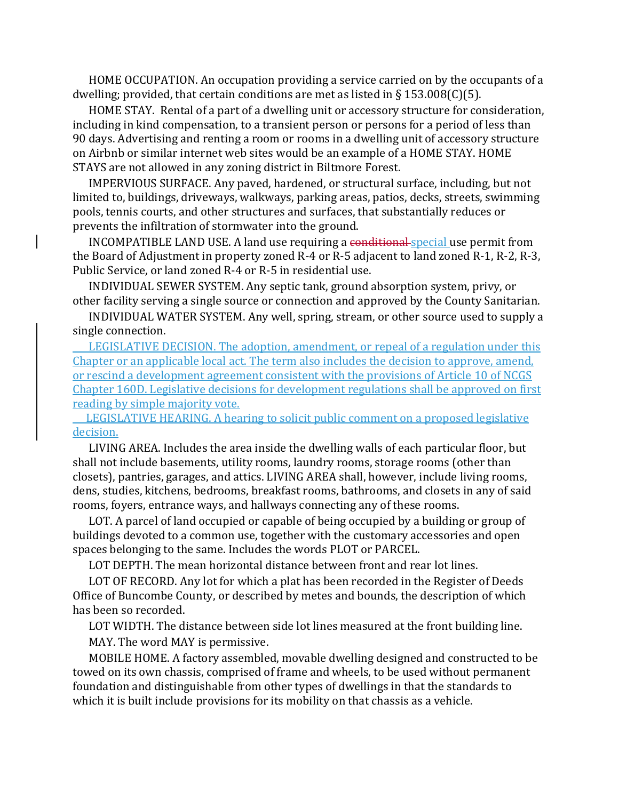HOME OCCUPATION. An occupation providing a service carried on by the occupants of a dwelling; provided, that certain conditions are met as listed in  $\S 153.008(C)(5)$ .

 HOME STAY. Rental of a part of a dwelling unit or accessory structure for consideration, including in kind compensation, to a transient person or persons for a period of less than 90 days. Advertising and renting a room or rooms in a dwelling unit of accessory structure on Airbnb or similar internet web sites would be an example of a HOME STAY. HOME STAYS are not allowed in any zoning district in Biltmore Forest.

 IMPERVIOUS SURFACE. Any paved, hardened, or structural surface, including, but not limited to, buildings, driveways, walkways, parking areas, patios, decks, streets, swimming pools, tennis courts, and other structures and surfaces, that substantially reduces or prevents the infiltration of stormwater into the ground.

INCOMPATIBLE LAND USE. A land use requiring a conditional special use permit from the Board of Adjustment in property zoned R-4 or R-5 adjacent to land zoned R-1, R-2, R-3, Public Service, or land zoned R-4 or R-5 in residential use.

 INDIVIDUAL SEWER SYSTEM. Any septic tank, ground absorption system, privy, or other facility serving a single source or connection and approved by the County Sanitarian.

 INDIVIDUAL WATER SYSTEM. Any well, spring, stream, or other source used to supply a single connection.

 LEGISLATIVE DECISION. The adoption, amendment, or repeal of a regulation under this Chapter or an applicable local act. The term also includes the decision to approve, amend, or rescind a development agreement consistent with the provisions of Article 10 of NCGS Chapter 160D. Legislative decisions for development regulations shall be approved on first reading by simple majority vote.

 LEGISLATIVE HEARING. A hearing to solicit public comment on a proposed legislative decision.

 LIVING AREA. Includes the area inside the dwelling walls of each particular floor, but shall not include basements, utility rooms, laundry rooms, storage rooms (other than closets), pantries, garages, and attics. LIVING AREA shall, however, include living rooms, dens, studies, kitchens, bedrooms, breakfast rooms, bathrooms, and closets in any of said rooms, foyers, entrance ways, and hallways connecting any of these rooms.

 LOT. A parcel of land occupied or capable of being occupied by a building or group of buildings devoted to a common use, together with the customary accessories and open spaces belonging to the same. Includes the words PLOT or PARCEL.

LOT DEPTH. The mean horizontal distance between front and rear lot lines.

 LOT OF RECORD. Any lot for which a plat has been recorded in the Register of Deeds Office of Buncombe County, or described by metes and bounds, the description of which has been so recorded.

 LOT WIDTH. The distance between side lot lines measured at the front building line. MAY. The word MAY is permissive.

 MOBILE HOME. A factory assembled, movable dwelling designed and constructed to be towed on its own chassis, comprised of frame and wheels, to be used without permanent foundation and distinguishable from other types of dwellings in that the standards to which it is built include provisions for its mobility on that chassis as a vehicle.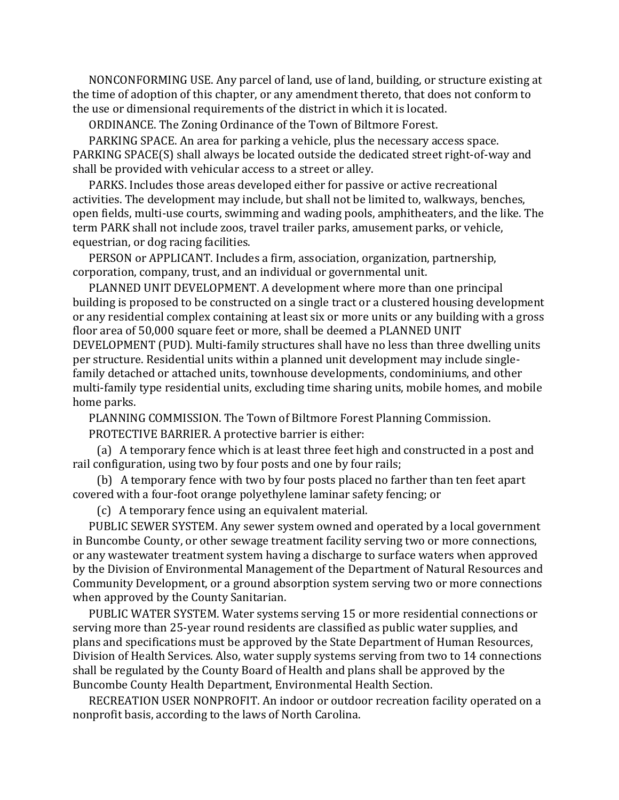NONCONFORMING USE. Any parcel of land, use of land, building, or structure existing at the time of adoption of this chapter, or any amendment thereto, that does not conform to the use or dimensional requirements of the district in which it is located.

ORDINANCE. The Zoning Ordinance of the Town of Biltmore Forest.

 PARKING SPACE. An area for parking a vehicle, plus the necessary access space. PARKING SPACE(S) shall always be located outside the dedicated street right-of-way and shall be provided with vehicular access to a street or alley.

 PARKS. Includes those areas developed either for passive or active recreational activities. The development may include, but shall not be limited to, walkways, benches, open fields, multi-use courts, swimming and wading pools, amphitheaters, and the like. The term PARK shall not include zoos, travel trailer parks, amusement parks, or vehicle, equestrian, or dog racing facilities.

 PERSON or APPLICANT. Includes a firm, association, organization, partnership, corporation, company, trust, and an individual or governmental unit.

 PLANNED UNIT DEVELOPMENT. A development where more than one principal building is proposed to be constructed on a single tract or a clustered housing development or any residential complex containing at least six or more units or any building with a gross floor area of 50,000 square feet or more, shall be deemed a PLANNED UNIT

DEVELOPMENT (PUD). Multi-family structures shall have no less than three dwelling units per structure. Residential units within a planned unit development may include singlefamily detached or attached units, townhouse developments, condominiums, and other multi-family type residential units, excluding time sharing units, mobile homes, and mobile home parks.

PLANNING COMMISSION. The Town of Biltmore Forest Planning Commission.

PROTECTIVE BARRIER. A protective barrier is either:

 (a) A temporary fence which is at least three feet high and constructed in a post and rail configuration, using two by four posts and one by four rails;

 (b) A temporary fence with two by four posts placed no farther than ten feet apart covered with a four-foot orange polyethylene laminar safety fencing; or

(c) A temporary fence using an equivalent material.

 PUBLIC SEWER SYSTEM. Any sewer system owned and operated by a local government in Buncombe County, or other sewage treatment facility serving two or more connections, or any wastewater treatment system having a discharge to surface waters when approved by the Division of Environmental Management of the Department of Natural Resources and Community Development, or a ground absorption system serving two or more connections when approved by the County Sanitarian.

 PUBLIC WATER SYSTEM. Water systems serving 15 or more residential connections or serving more than 25-year round residents are classified as public water supplies, and plans and specifications must be approved by the State Department of Human Resources, Division of Health Services. Also, water supply systems serving from two to 14 connections shall be regulated by the County Board of Health and plans shall be approved by the Buncombe County Health Department, Environmental Health Section.

 RECREATION USER NONPROFIT. An indoor or outdoor recreation facility operated on a nonprofit basis, according to the laws of North Carolina.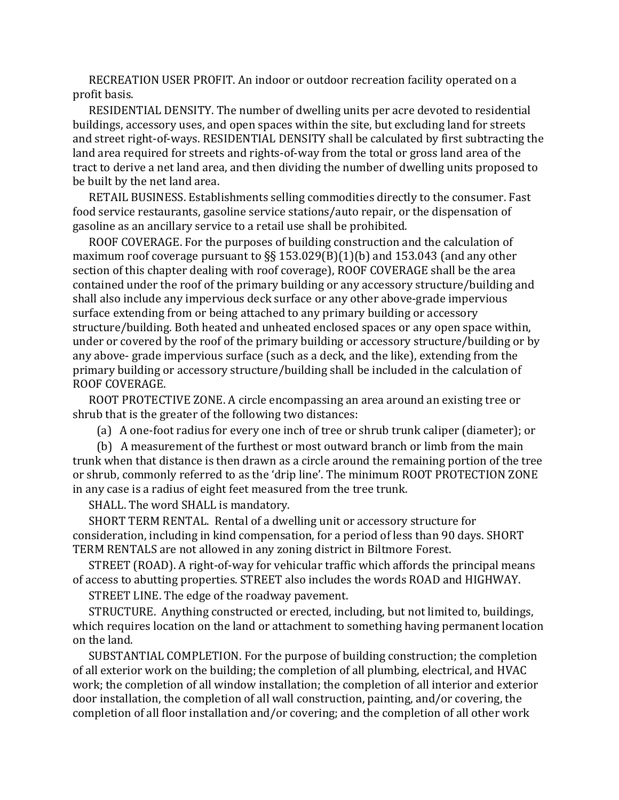RECREATION USER PROFIT. An indoor or outdoor recreation facility operated on a profit basis.

 RESIDENTIAL DENSITY. The number of dwelling units per acre devoted to residential buildings, accessory uses, and open spaces within the site, but excluding land for streets and street right-of-ways. RESIDENTIAL DENSITY shall be calculated by first subtracting the land area required for streets and rights-of-way from the total or gross land area of the tract to derive a net land area, and then dividing the number of dwelling units proposed to be built by the net land area.

 RETAIL BUSINESS. Establishments selling commodities directly to the consumer. Fast food service restaurants, gasoline service stations/auto repair, or the dispensation of gasoline as an ancillary service to a retail use shall be prohibited.

 ROOF COVERAGE. For the purposes of building construction and the calculation of maximum roof coverage pursuant to §§ 153.029(B)(1)(b) and 153.043 (and any other section of this chapter dealing with roof coverage), ROOF COVERAGE shall be the area contained under the roof of the primary building or any accessory structure/building and shall also include any impervious deck surface or any other above-grade impervious surface extending from or being attached to any primary building or accessory structure/building. Both heated and unheated enclosed spaces or any open space within, under or covered by the roof of the primary building or accessory structure/building or by any above- grade impervious surface (such as a deck, and the like), extending from the primary building or accessory structure/building shall be included in the calculation of ROOF COVERAGE.

 ROOT PROTECTIVE ZONE. A circle encompassing an area around an existing tree or shrub that is the greater of the following two distances:

(a) A one-foot radius for every one inch of tree or shrub trunk caliper (diameter); or

 (b) A measurement of the furthest or most outward branch or limb from the main trunk when that distance is then drawn as a circle around the remaining portion of the tree or shrub, commonly referred to as the 'drip line'. The minimum ROOT PROTECTION ZONE in any case is a radius of eight feet measured from the tree trunk.

SHALL. The word SHALL is mandatory.

 SHORT TERM RENTAL. Rental of a dwelling unit or accessory structure for consideration, including in kind compensation, for a period of less than 90 days. SHORT TERM RENTALS are not allowed in any zoning district in Biltmore Forest.

 STREET (ROAD). A right-of-way for vehicular traffic which affords the principal means of access to abutting properties. STREET also includes the words ROAD and HIGHWAY.

STREET LINE. The edge of the roadway pavement.

 STRUCTURE. Anything constructed or erected, including, but not limited to, buildings, which requires location on the land or attachment to something having permanent location on the land.

 SUBSTANTIAL COMPLETION. For the purpose of building construction; the completion of all exterior work on the building; the completion of all plumbing, electrical, and HVAC work; the completion of all window installation; the completion of all interior and exterior door installation, the completion of all wall construction, painting, and/or covering, the completion of all floor installation and/or covering; and the completion of all other work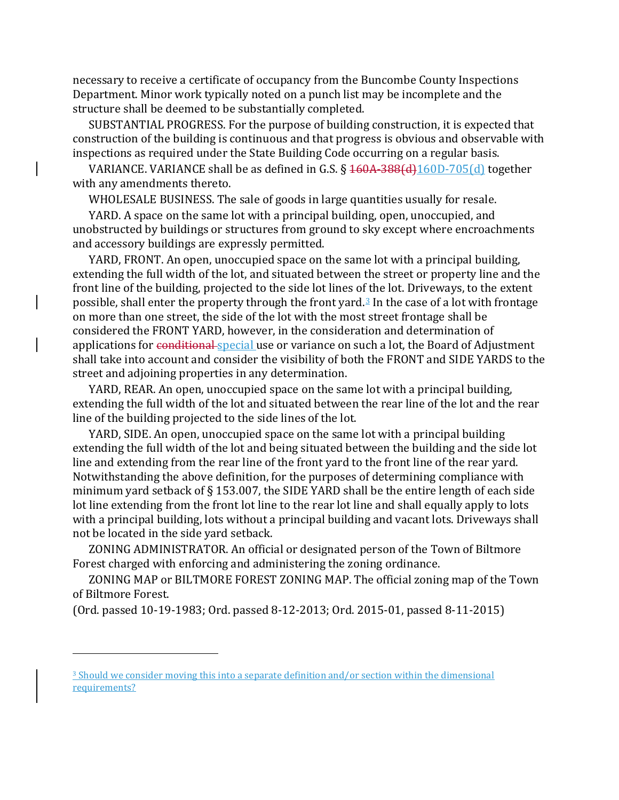necessary to receive a certificate of occupancy from the Buncombe County Inspections Department. Minor work typically noted on a punch list may be incomplete and the structure shall be deemed to be substantially completed.

 SUBSTANTIAL PROGRESS. For the purpose of building construction, it is expected that construction of the building is continuous and that progress is obvious and observable with inspections as required under the State Building Code occurring on a regular basis.

 VARIANCE. VARIANCE shall be as defined in G.S. § 160A-388(d)160D-705(d) together with any amendments thereto.

WHOLESALE BUSINESS. The sale of goods in large quantities usually for resale.

 YARD. A space on the same lot with a principal building, open, unoccupied, and unobstructed by buildings or structures from ground to sky except where encroachments and accessory buildings are expressly permitted.

 YARD, FRONT. An open, unoccupied space on the same lot with a principal building, extending the full width of the lot, and situated between the street or property line and the front line of the building, projected to the side lot lines of the lot. Driveways, to the extent possible, shall enter the property through the front yard.<sup>[3](#page-15-0)</sup> In the case of a lot with frontage on more than one street, the side of the lot with the most street frontage shall be considered the FRONT YARD, however, in the consideration and determination of applications for conditional special use or variance on such a lot, the Board of Adjustment shall take into account and consider the visibility of both the FRONT and SIDE YARDS to the street and adjoining properties in any determination.

 YARD, REAR. An open, unoccupied space on the same lot with a principal building, extending the full width of the lot and situated between the rear line of the lot and the rear line of the building projected to the side lines of the lot.

 YARD, SIDE. An open, unoccupied space on the same lot with a principal building extending the full width of the lot and being situated between the building and the side lot line and extending from the rear line of the front yard to the front line of the rear yard. Notwithstanding the above definition, for the purposes of determining compliance with minimum yard setback of § 153.007, the SIDE YARD shall be the entire length of each side lot line extending from the front lot line to the rear lot line and shall equally apply to lots with a principal building, lots without a principal building and vacant lots. Driveways shall not be located in the side yard setback.

 ZONING ADMINISTRATOR. An official or designated person of the Town of Biltmore Forest charged with enforcing and administering the zoning ordinance.

 ZONING MAP or BILTMORE FOREST ZONING MAP. The official zoning map of the Town of Biltmore Forest.

(Ord. passed 10-19-1983; Ord. passed 8-12-2013; Ord. 2015-01, passed 8-11-2015)

<span id="page-15-0"></span><sup>&</sup>lt;sup>3</sup> Should we consider moving this into a separate definition and/or section within the dimensional requirements?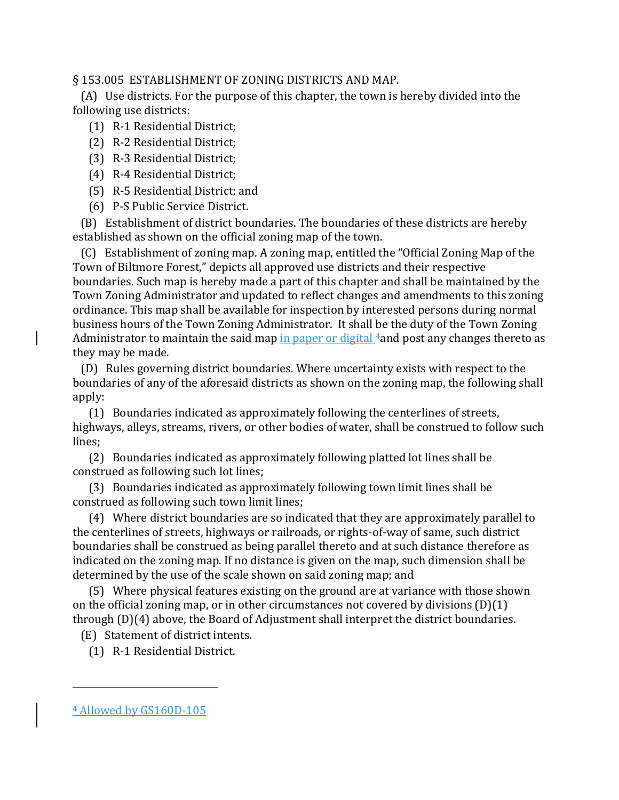### § 153.005 ESTABLISHMENT OF ZONING DISTRICTS AND MAP.

 (A) Use districts. For the purpose of this chapter, the town is hereby divided into the following use districts:

- (1) R-1 Residential District;
- (2) R-2 Residential District;
- (3) R-3 Residential District;
- (4) R-4 Residential District;
- (5) R-5 Residential District; and
- (6) P-S Public Service District.

 (B) Establishment of district boundaries. The boundaries of these districts are hereby established as shown on the official zoning map of the town.

 (C) Establishment of zoning map. A zoning map, entitled the "Official Zoning Map of the Town of Biltmore Forest," depicts all approved use districts and their respective boundaries. Such map is hereby made a part of this chapter and shall be maintained by the Town Zoning Administrator and updated to reflect changes and amendments to this zoning ordinance. This map shall be available for inspection by interested persons during normal business hours of the Town Zoning Administrator. It shall be the duty of the Town Zoning Administrator to maintain the said map in paper or digital  $4$  and post any changes thereto as they may be made.

 (D) Rules governing district boundaries. Where uncertainty exists with respect to the boundaries of any of the aforesaid districts as shown on the zoning map, the following shall apply:

 (1) Boundaries indicated as approximately following the centerlines of streets, highways, alleys, streams, rivers, or other bodies of water, shall be construed to follow such lines;

 (2) Boundaries indicated as approximately following platted lot lines shall be construed as following such lot lines;

 (3) Boundaries indicated as approximately following town limit lines shall be construed as following such town limit lines;

 (4) Where district boundaries are so indicated that they are approximately parallel to the centerlines of streets, highways or railroads, or rights-of-way of same, such district boundaries shall be construed as being parallel thereto and at such distance therefore as indicated on the zoning map. If no distance is given on the map, such dimension shall be determined by the use of the scale shown on said zoning map; and

 (5) Where physical features existing on the ground are at variance with those shown on the official zoning map, or in other circumstances not covered by divisions (D)(1) through (D)(4) above, the Board of Adjustment shall interpret the district boundaries.

(E) Statement of district intents.

(1) R-1 Residential District.

<span id="page-16-0"></span><sup>4</sup> Allowed by GS160D-105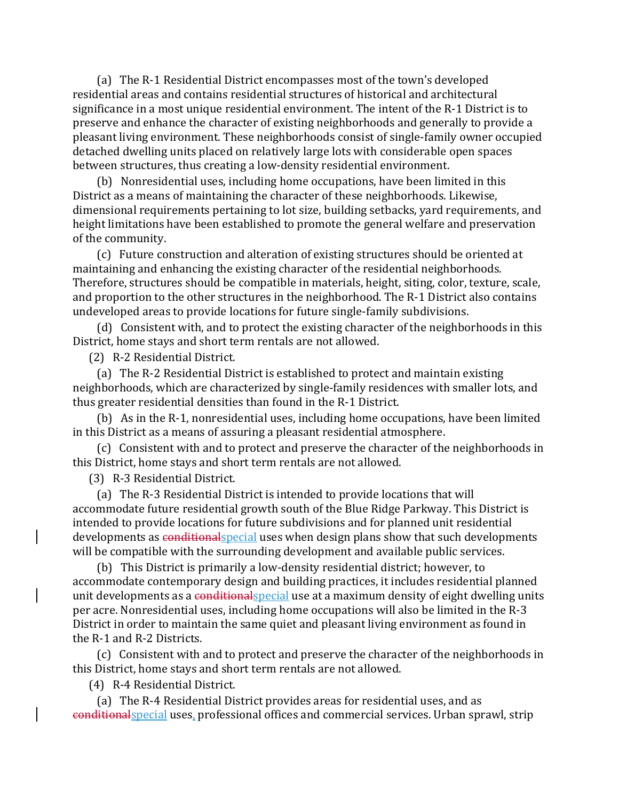(a) The R-1 Residential District encompasses most of the town's developed residential areas and contains residential structures of historical and architectural significance in a most unique residential environment. The intent of the R-1 District is to preserve and enhance the character of existing neighborhoods and generally to provide a pleasant living environment. These neighborhoods consist of single-family owner occupied detached dwelling units placed on relatively large lots with considerable open spaces between structures, thus creating a low-density residential environment.

 (b) Nonresidential uses, including home occupations, have been limited in this District as a means of maintaining the character of these neighborhoods. Likewise, dimensional requirements pertaining to lot size, building setbacks, yard requirements, and height limitations have been established to promote the general welfare and preservation of the community.

 (c) Future construction and alteration of existing structures should be oriented at maintaining and enhancing the existing character of the residential neighborhoods. Therefore, structures should be compatible in materials, height, siting, color, texture, scale, and proportion to the other structures in the neighborhood. The R-1 District also contains undeveloped areas to provide locations for future single-family subdivisions.

 (d) Consistent with, and to protect the existing character of the neighborhoods in this District, home stays and short term rentals are not allowed.

(2) R-2 Residential District.

 (a) The R-2 Residential District is established to protect and maintain existing neighborhoods, which are characterized by single-family residences with smaller lots, and thus greater residential densities than found in the R-1 District.

 (b) As in the R-1, nonresidential uses, including home occupations, have been limited in this District as a means of assuring a pleasant residential atmosphere.

 (c) Consistent with and to protect and preserve the character of the neighborhoods in this District, home stays and short term rentals are not allowed.

(3) R-3 Residential District.

 (a) The R-3 Residential District is intended to provide locations that will accommodate future residential growth south of the Blue Ridge Parkway. This District is intended to provide locations for future subdivisions and for planned unit residential developments as conditionalspecial uses when design plans show that such developments will be compatible with the surrounding development and available public services.

 (b) This District is primarily a low-density residential district; however, to accommodate contemporary design and building practices, it includes residential planned unit developments as a conditional special use at a maximum density of eight dwelling units per acre. Nonresidential uses, including home occupations will also be limited in the R-3 District in order to maintain the same quiet and pleasant living environment as found in the R-1 and R-2 Districts.

 (c) Consistent with and to protect and preserve the character of the neighborhoods in this District, home stays and short term rentals are not allowed.

(4) R-4 Residential District.

 (a) The R-4 Residential District provides areas for residential uses, and as conditionalspecial uses, professional offices and commercial services. Urban sprawl, strip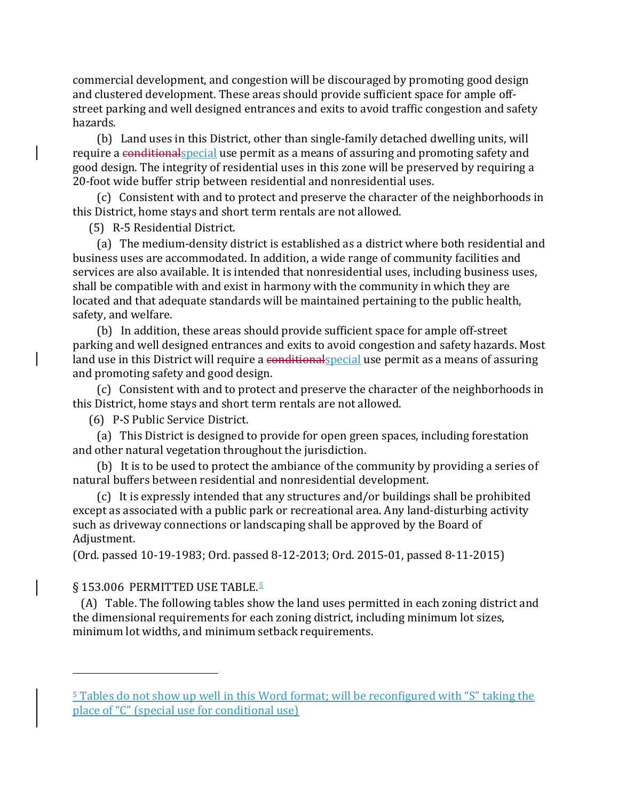commercial development, and congestion will be discouraged by promoting good design and clustered development. These areas should provide sufficient space for ample offstreet parking and well designed entrances and exits to avoid traffic congestion and safety hazards.

 (b) Land uses in this District, other than single-family detached dwelling units, will require a conditionalspecial use permit as a means of assuring and promoting safety and good design. The integrity of residential uses in this zone will be preserved by requiring a 20-foot wide buffer strip between residential and nonresidential uses.

 (c) Consistent with and to protect and preserve the character of the neighborhoods in this District, home stays and short term rentals are not allowed.

(5) R-5 Residential District.

 (a) The medium-density district is established as a district where both residential and business uses are accommodated. In addition, a wide range of community facilities and services are also available. It is intended that nonresidential uses, including business uses, shall be compatible with and exist in harmony with the community in which they are located and that adequate standards will be maintained pertaining to the public health, safety, and welfare.

 (b) In addition, these areas should provide sufficient space for ample off-street parking and well designed entrances and exits to avoid congestion and safety hazards. Most land use in this District will require a conditional special use permit as a means of assuring and promoting safety and good design.

 (c) Consistent with and to protect and preserve the character of the neighborhoods in this District, home stays and short term rentals are not allowed.

(6) P-S Public Service District.

 (a) This District is designed to provide for open green spaces, including forestation and other natural vegetation throughout the jurisdiction.

 (b) It is to be used to protect the ambiance of the community by providing a series of natural buffers between residential and nonresidential development.

 (c) It is expressly intended that any structures and/or buildings shall be prohibited except as associated with a public park or recreational area. Any land-disturbing activity such as driveway connections or landscaping shall be approved by the Board of Adjustment.

(Ord. passed 10-19-1983; Ord. passed 8-12-2013; Ord. 2015-01, passed 8-11-2015)

#### § 1[5](#page-18-0)3.006 PERMITTED USE TABLE.<sup>5</sup>

i<br>I

 (A) Table. The following tables show the land uses permitted in each zoning district and the dimensional requirements for each zoning district, including minimum lot sizes, minimum lot widths, and minimum setback requirements.

<span id="page-18-0"></span><sup>5</sup> Tables do not show up well in this Word format; will be reconfigured with "S" taking the place of "C" (special use for conditional use)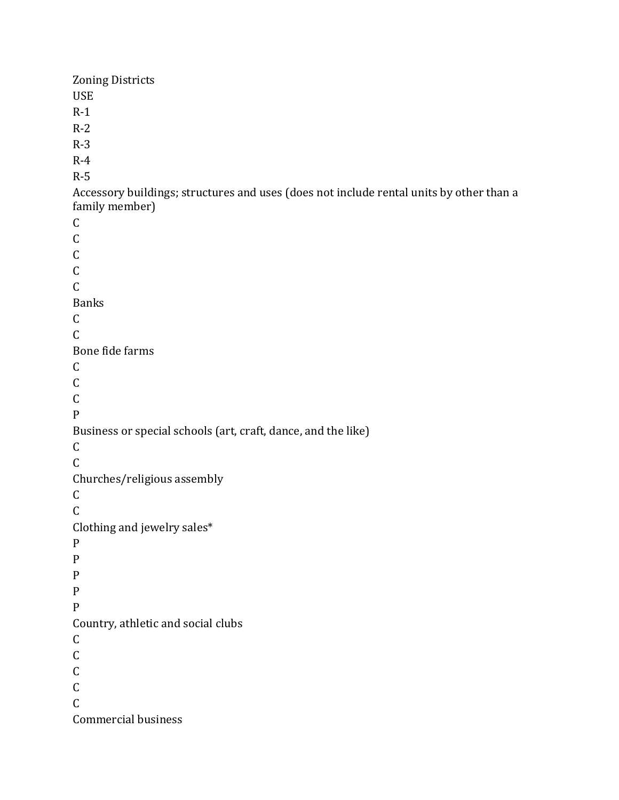Zoning Districts USE R-1 R-2 R-3 R-4 R-5 Accessory buildings; structures and uses (does not include rental units by other than a family member) C C C C  $\mathcal{C}$ Banks C  $\mathcal{C}$ Bone fide farms C C C P Business or special schools (art, craft, dance, and the like) C  $\mathsf C$ Churches/religious assembly C C Clothing and jewelry sales\* P P P P P Country, athletic and social clubs C  $\mathsf C$  $\mathsf C$ C C Commercial business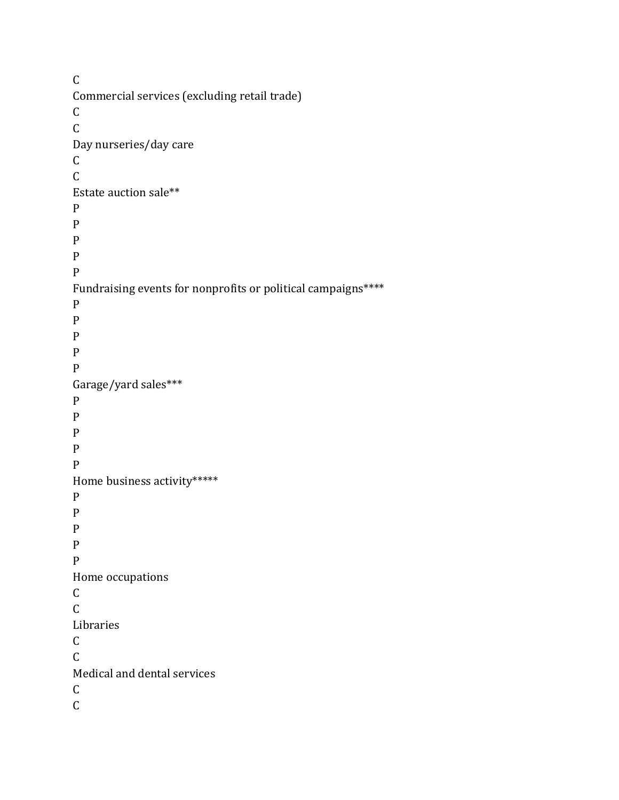$\mathsf C$ Commercial services (excluding retail trade)  $\mathsf C$  $\mathsf C$ Day nurseries/day care  $\mathsf C$  $\mathsf C$ Estate auction sale\*\* P P P P P Fundraising events for nonprofits or political campaigns\*\*\*\* P P P P P Garage/yard sales\*\*\* P P P P P Home business activity\*\*\*\*\* P P P P P Home occupations C  $\mathsf{C}$ Libraries C C Medical and dental services C  $\mathsf{C}$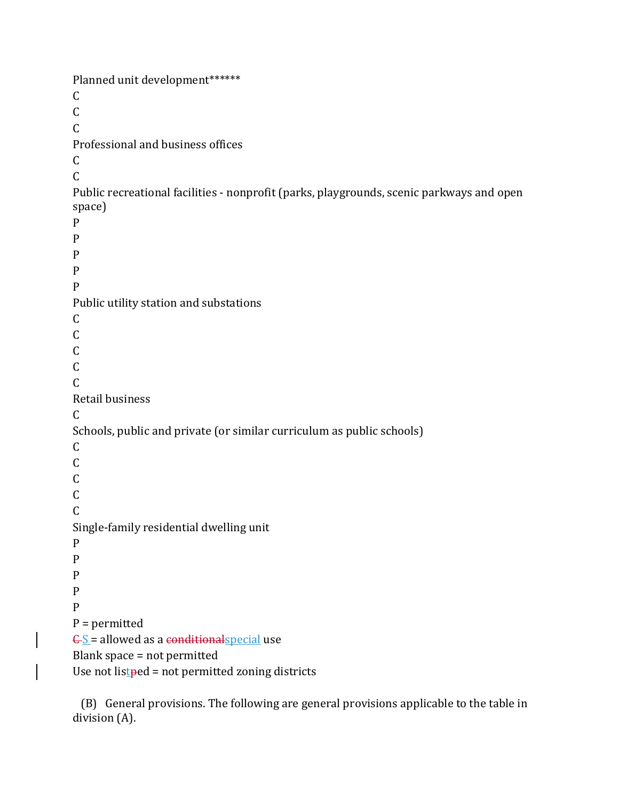Planned unit development\*\*\*\*\*\*  $\mathcal{C}$  $\mathcal{C}$ C Professional and business offices C  $\overline{C}$ Public recreational facilities - nonprofit (parks, playgrounds, scenic parkways and open space) P P P P P Public utility station and substations C  $\mathcal{C}$  $\mathsf{C}$ C C Retail business C Schools, public and private (or similar curriculum as public schools) C C  $\overline{C}$ C  $\mathsf{C}$ Single-family residential dwelling unit P P P P P P = permitted  $\angle$  E  $\leq$  = allowed as a conditional special use Blank space = not permitted Use not list  $ped = not$  permitted zoning districts

 (B) General provisions. The following are general provisions applicable to the table in division (A).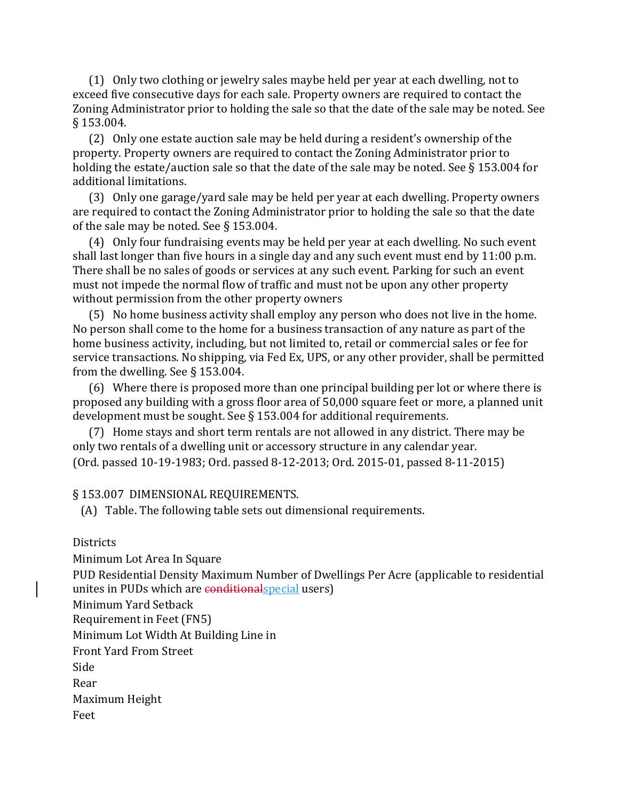(1) Only two clothing or jewelry sales maybe held per year at each dwelling, not to exceed five consecutive days for each sale. Property owners are required to contact the Zoning Administrator prior to holding the sale so that the date of the sale may be noted. See § 153.004.

 (2) Only one estate auction sale may be held during a resident's ownership of the property. Property owners are required to contact the Zoning Administrator prior to holding the estate/auction sale so that the date of the sale may be noted. See § 153.004 for additional limitations.

 (3) Only one garage/yard sale may be held per year at each dwelling. Property owners are required to contact the Zoning Administrator prior to holding the sale so that the date of the sale may be noted. See § 153.004.

 (4) Only four fundraising events may be held per year at each dwelling. No such event shall last longer than five hours in a single day and any such event must end by 11:00 p.m. There shall be no sales of goods or services at any such event. Parking for such an event must not impede the normal flow of traffic and must not be upon any other property without permission from the other property owners

 (5) No home business activity shall employ any person who does not live in the home. No person shall come to the home for a business transaction of any nature as part of the home business activity, including, but not limited to, retail or commercial sales or fee for service transactions. No shipping, via Fed Ex, UPS, or any other provider, shall be permitted from the dwelling. See § 153.004.

 (6) Where there is proposed more than one principal building per lot or where there is proposed any building with a gross floor area of 50,000 square feet or more, a planned unit development must be sought. See § 153.004 for additional requirements.

 (7) Home stays and short term rentals are not allowed in any district. There may be only two rentals of a dwelling unit or accessory structure in any calendar year. (Ord. passed 10-19-1983; Ord. passed 8-12-2013; Ord. 2015-01, passed 8-11-2015)

#### § 153.007 DIMENSIONAL REQUIREMENTS.

(A) Table. The following table sets out dimensional requirements.

**Districts** 

Minimum Lot Area In Square

PUD Residential Density Maximum Number of Dwellings Per Acre (applicable to residential unites in PUDs which are conditionalspecial users)

Minimum Yard Setback

Requirement in Feet (FN5)

Minimum Lot Width At Building Line in

Front Yard From Street

Side

Rear

Maximum Height

Feet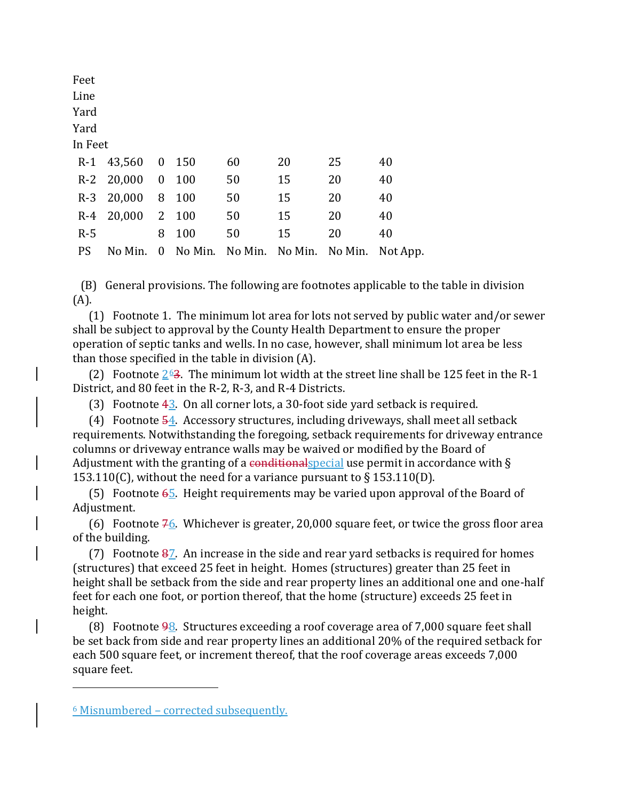| Feet      |            |                         |     |    |    |    |                                          |
|-----------|------------|-------------------------|-----|----|----|----|------------------------------------------|
| Line      |            |                         |     |    |    |    |                                          |
| Yard      |            |                         |     |    |    |    |                                          |
| Yard      |            |                         |     |    |    |    |                                          |
| In Feet   |            |                         |     |    |    |    |                                          |
| $R-1$     | 43,560     | $\mathbf{0}$            | 150 | 60 | 20 | 25 | 40                                       |
|           | R-2 20,000 | $\boldsymbol{0}$        | 100 | 50 | 15 | 20 | 40                                       |
| $R-3$     | 20,000     | 8                       | 100 | 50 | 15 | 20 | 40                                       |
| $R-4$     | 20,000     | 2                       | 100 | 50 | 15 | 20 | 40                                       |
| $R-5$     |            | 8                       | 100 | 50 | 15 | 20 | 40                                       |
| <b>PS</b> | No Min.    | $\overline{\mathbf{0}}$ |     |    |    |    | No Min. No Min. No Min. No Min. Not App. |
|           |            |                         |     |    |    |    |                                          |

 (B) General provisions. The following are footnotes applicable to the table in division (A).

 (1) Footnote 1. The minimum lot area for lots not served by public water and/or sewer shall be subject to approval by the County Health Department to ensure the proper operation of septic tanks and wells. In no case, however, shall minimum lot area be less than those specified in the table in division (A).

(2) Footnote  $263$  $263$  $263$ . The minimum lot width at the street line shall be 125 feet in the R-1 District, and 80 feet in the R-2, R-3, and R-4 Districts.

(3) Footnote  $43$ . On all corner lots, a 30-foot side yard setback is required.

 (4) Footnote 54. Accessory structures, including driveways, shall meet all setback requirements. Notwithstanding the foregoing, setback requirements for driveway entrance columns or driveway entrance walls may be waived or modified by the Board of Adjustment with the granting of a conditional special use permit in accordance with  $\S$ 153.110(C), without the need for a variance pursuant to  $\S$  153.110(D).

 (5) Footnote 65. Height requirements may be varied upon approval of the Board of Adjustment.

(6) Footnote  $76$ . Whichever is greater, 20,000 square feet, or twice the gross floor area of the building.

(7) Footnote  $\frac{87}{7}$ . An increase in the side and rear yard setbacks is required for homes (structures) that exceed 25 feet in height. Homes (structures) greater than 25 feet in height shall be setback from the side and rear property lines an additional one and one-half feet for each one foot, or portion thereof, that the home (structure) exceeds 25 feet in height.

 (8) Footnote 98. Structures exceeding a roof coverage area of 7,000 square feet shall be set back from side and rear property lines an additional 20% of the required setback for each 500 square feet, or increment thereof, that the roof coverage areas exceeds 7,000 square feet.

<span id="page-23-0"></span><sup>6</sup> Misnumbered – corrected subsequently.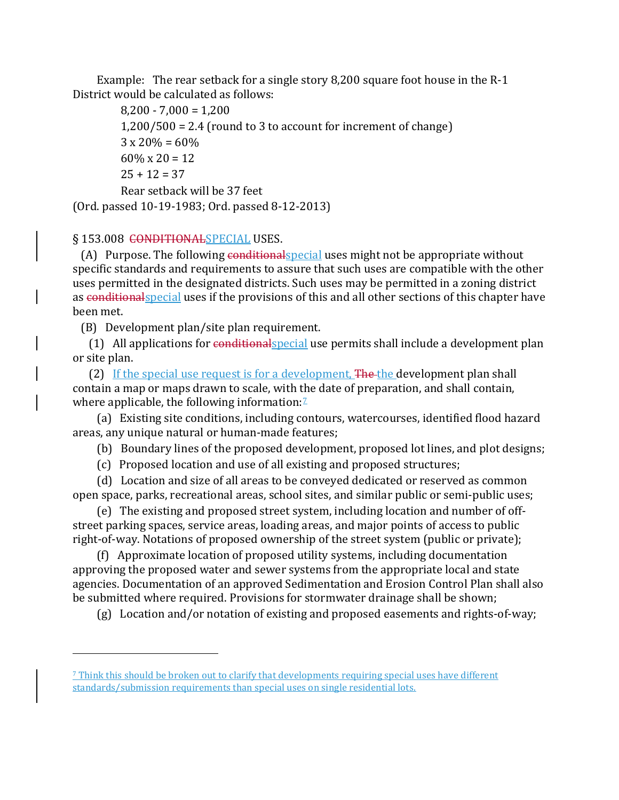Example: The rear setback for a single story 8,200 square foot house in the R-1 District would be calculated as follows:

 $8,200 - 7,000 = 1,200$  1,200/500 = 2.4 (round to 3 to account for increment of change)  $3 \times 20\% = 60\%$  $60\% \times 20 = 12$  $25 + 12 = 37$  Rear setback will be 37 feet (Ord. passed 10-19-1983; Ord. passed 8-12-2013)

§ 153.008 CONDITIONALSPECIAL USES.

i<br>I

(A) Purpose. The following conditional special uses might not be appropriate without specific standards and requirements to assure that such uses are compatible with the other uses permitted in the designated districts. Such uses may be permitted in a zoning district as conditionalspecial uses if the provisions of this and all other sections of this chapter have been met.

(B) Development plan/site plan requirement.

 (1) All applications for conditionalspecial use permits shall include a development plan or site plan.

(2) If the special use request is for a development, The the development plan shall contain a map or maps drawn to scale, with the date of preparation, and shall contain, where applicable, the following information: $\frac{7}{2}$  $\frac{7}{2}$  $\frac{7}{2}$ 

 (a) Existing site conditions, including contours, watercourses, identified flood hazard areas, any unique natural or human-made features;

(b) Boundary lines of the proposed development, proposed lot lines, and plot designs;

(c) Proposed location and use of all existing and proposed structures;

 (d) Location and size of all areas to be conveyed dedicated or reserved as common open space, parks, recreational areas, school sites, and similar public or semi-public uses;

 (e) The existing and proposed street system, including location and number of offstreet parking spaces, service areas, loading areas, and major points of access to public right-of-way. Notations of proposed ownership of the street system (public or private);

 (f) Approximate location of proposed utility systems, including documentation approving the proposed water and sewer systems from the appropriate local and state agencies. Documentation of an approved Sedimentation and Erosion Control Plan shall also be submitted where required. Provisions for stormwater drainage shall be shown;

(g) Location and/or notation of existing and proposed easements and rights-of-way;

<span id="page-24-0"></span><sup>7</sup> Think this should be broken out to clarify that developments requiring special uses have different standards/submission requirements than special uses on single residential lots.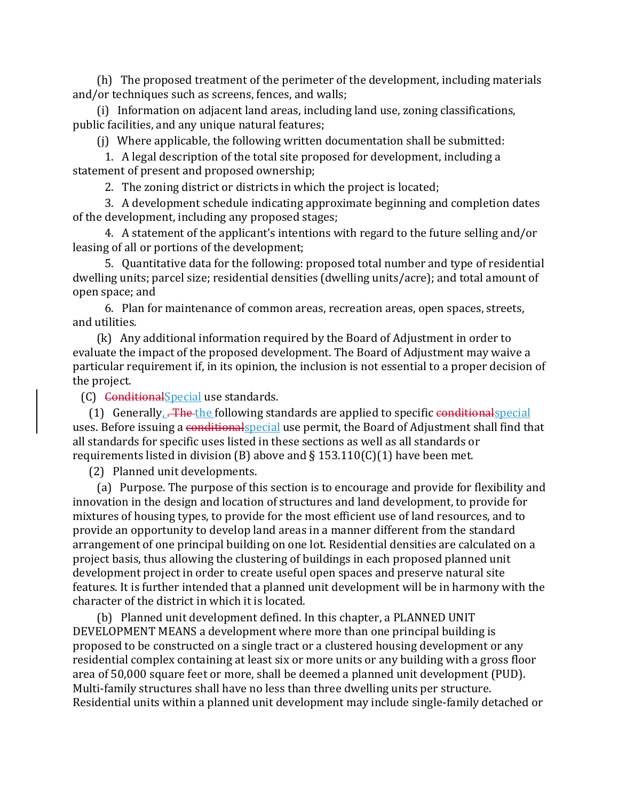(h) The proposed treatment of the perimeter of the development, including materials and/or techniques such as screens, fences, and walls;

 (i) Information on adjacent land areas, including land use, zoning classifications, public facilities, and any unique natural features;

(j) Where applicable, the following written documentation shall be submitted:

 1. A legal description of the total site proposed for development, including a statement of present and proposed ownership;

2. The zoning district or districts in which the project is located;

 3. A development schedule indicating approximate beginning and completion dates of the development, including any proposed stages;

 4. A statement of the applicant's intentions with regard to the future selling and/or leasing of all or portions of the development;

 5. Quantitative data for the following: proposed total number and type of residential dwelling units; parcel size; residential densities (dwelling units/acre); and total amount of open space; and

 6. Plan for maintenance of common areas, recreation areas, open spaces, streets, and utilities.

 (k) Any additional information required by the Board of Adjustment in order to evaluate the impact of the proposed development. The Board of Adjustment may waive a particular requirement if, in its opinion, the inclusion is not essential to a proper decision of the project.

(C) ConditionalSpecial use standards.

(1) Generally,  $\overline{a}$  The the following standards are applied to specific conditionalspecial uses. Before issuing a conditionalspecial use permit, the Board of Adjustment shall find that all standards for specific uses listed in these sections as well as all standards or requirements listed in division (B) above and  $\S$  153.110(C)(1) have been met.

(2) Planned unit developments.

 (a) Purpose. The purpose of this section is to encourage and provide for flexibility and innovation in the design and location of structures and land development, to provide for mixtures of housing types, to provide for the most efficient use of land resources, and to provide an opportunity to develop land areas in a manner different from the standard arrangement of one principal building on one lot. Residential densities are calculated on a project basis, thus allowing the clustering of buildings in each proposed planned unit development project in order to create useful open spaces and preserve natural site features. It is further intended that a planned unit development will be in harmony with the character of the district in which it is located.

 (b) Planned unit development defined. In this chapter, a PLANNED UNIT DEVELOPMENT MEANS a development where more than one principal building is proposed to be constructed on a single tract or a clustered housing development or any residential complex containing at least six or more units or any building with a gross floor area of 50,000 square feet or more, shall be deemed a planned unit development (PUD). Multi-family structures shall have no less than three dwelling units per structure. Residential units within a planned unit development may include single-family detached or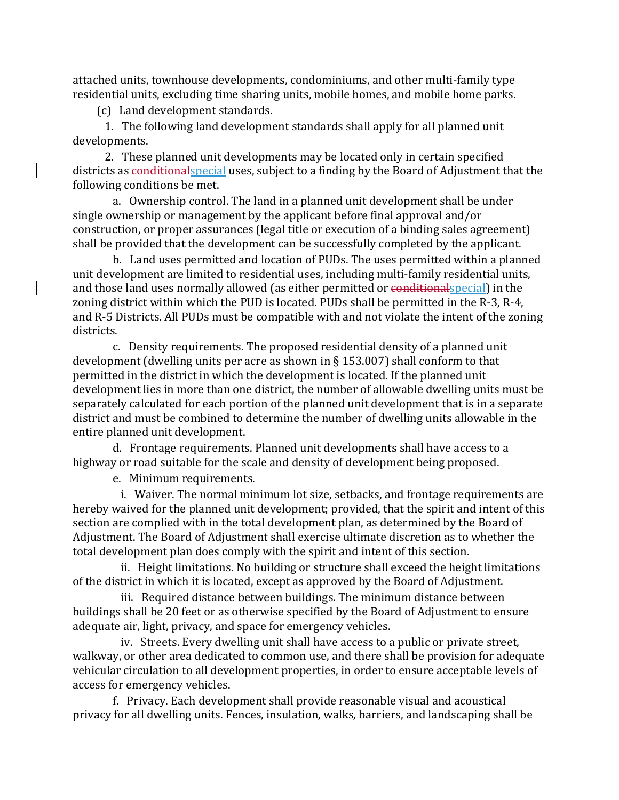attached units, townhouse developments, condominiums, and other multi-family type residential units, excluding time sharing units, mobile homes, and mobile home parks.

(c) Land development standards.

 1. The following land development standards shall apply for all planned unit developments.

 2. These planned unit developments may be located only in certain specified districts as conditionalspecial uses, subject to a finding by the Board of Adjustment that the following conditions be met.

 a. Ownership control. The land in a planned unit development shall be under single ownership or management by the applicant before final approval and/or construction, or proper assurances (legal title or execution of a binding sales agreement) shall be provided that the development can be successfully completed by the applicant.

 b. Land uses permitted and location of PUDs. The uses permitted within a planned unit development are limited to residential uses, including multi-family residential units, and those land uses normally allowed (as either permitted or conditional special) in the zoning district within which the PUD is located. PUDs shall be permitted in the R-3, R-4, and R-5 Districts. All PUDs must be compatible with and not violate the intent of the zoning districts.

 c. Density requirements. The proposed residential density of a planned unit development (dwelling units per acre as shown in § 153.007) shall conform to that permitted in the district in which the development is located. If the planned unit development lies in more than one district, the number of allowable dwelling units must be separately calculated for each portion of the planned unit development that is in a separate district and must be combined to determine the number of dwelling units allowable in the entire planned unit development.

 d. Frontage requirements. Planned unit developments shall have access to a highway or road suitable for the scale and density of development being proposed.

e. Minimum requirements.

 i. Waiver. The normal minimum lot size, setbacks, and frontage requirements are hereby waived for the planned unit development; provided, that the spirit and intent of this section are complied with in the total development plan, as determined by the Board of Adjustment. The Board of Adjustment shall exercise ultimate discretion as to whether the total development plan does comply with the spirit and intent of this section.

 ii. Height limitations. No building or structure shall exceed the height limitations of the district in which it is located, except as approved by the Board of Adjustment.

 iii. Required distance between buildings. The minimum distance between buildings shall be 20 feet or as otherwise specified by the Board of Adjustment to ensure adequate air, light, privacy, and space for emergency vehicles.

 iv. Streets. Every dwelling unit shall have access to a public or private street, walkway, or other area dedicated to common use, and there shall be provision for adequate vehicular circulation to all development properties, in order to ensure acceptable levels of access for emergency vehicles.

 f. Privacy. Each development shall provide reasonable visual and acoustical privacy for all dwelling units. Fences, insulation, walks, barriers, and landscaping shall be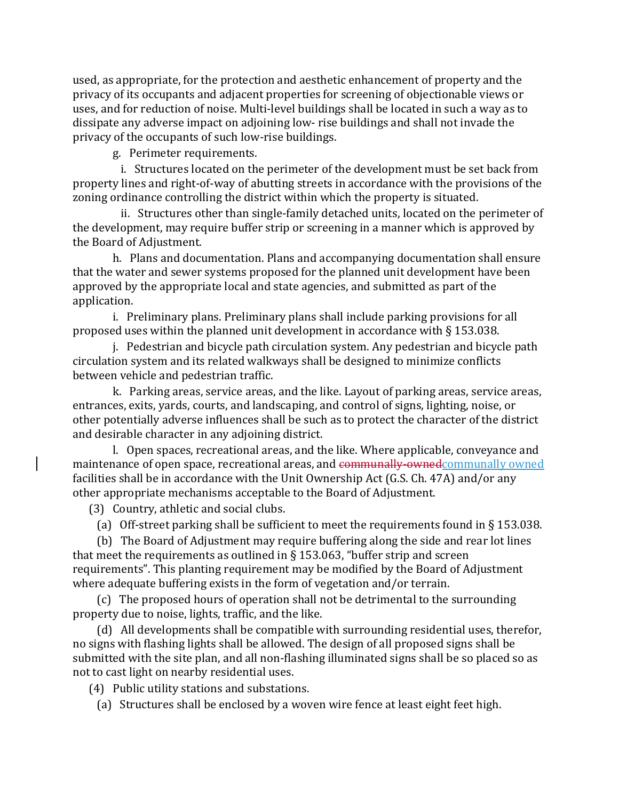used, as appropriate, for the protection and aesthetic enhancement of property and the privacy of its occupants and adjacent properties for screening of objectionable views or uses, and for reduction of noise. Multi-level buildings shall be located in such a way as to dissipate any adverse impact on adjoining low- rise buildings and shall not invade the privacy of the occupants of such low-rise buildings.

g. Perimeter requirements.

 i. Structures located on the perimeter of the development must be set back from property lines and right-of-way of abutting streets in accordance with the provisions of the zoning ordinance controlling the district within which the property is situated.

 ii. Structures other than single-family detached units, located on the perimeter of the development, may require buffer strip or screening in a manner which is approved by the Board of Adjustment.

 h. Plans and documentation. Plans and accompanying documentation shall ensure that the water and sewer systems proposed for the planned unit development have been approved by the appropriate local and state agencies, and submitted as part of the application.

 i. Preliminary plans. Preliminary plans shall include parking provisions for all proposed uses within the planned unit development in accordance with § 153.038.

 j. Pedestrian and bicycle path circulation system. Any pedestrian and bicycle path circulation system and its related walkways shall be designed to minimize conflicts between vehicle and pedestrian traffic.

 k. Parking areas, service areas, and the like. Layout of parking areas, service areas, entrances, exits, yards, courts, and landscaping, and control of signs, lighting, noise, or other potentially adverse influences shall be such as to protect the character of the district and desirable character in any adjoining district.

 l. Open spaces, recreational areas, and the like. Where applicable, conveyance and maintenance of open space, recreational areas, and communally-ownedcommunally owned facilities shall be in accordance with the Unit Ownership Act (G.S. Ch. 47A) and/or any other appropriate mechanisms acceptable to the Board of Adjustment.

(3) Country, athletic and social clubs.

(a) Off-street parking shall be sufficient to meet the requirements found in  $\S$  153.038.

 (b) The Board of Adjustment may require buffering along the side and rear lot lines that meet the requirements as outlined in  $\S$  153.063, "buffer strip and screen requirements". This planting requirement may be modified by the Board of Adjustment where adequate buffering exists in the form of vegetation and/or terrain.

 (c) The proposed hours of operation shall not be detrimental to the surrounding property due to noise, lights, traffic, and the like.

 (d) All developments shall be compatible with surrounding residential uses, therefor, no signs with flashing lights shall be allowed. The design of all proposed signs shall be submitted with the site plan, and all non-flashing illuminated signs shall be so placed so as not to cast light on nearby residential uses.

(4) Public utility stations and substations.

(a) Structures shall be enclosed by a woven wire fence at least eight feet high.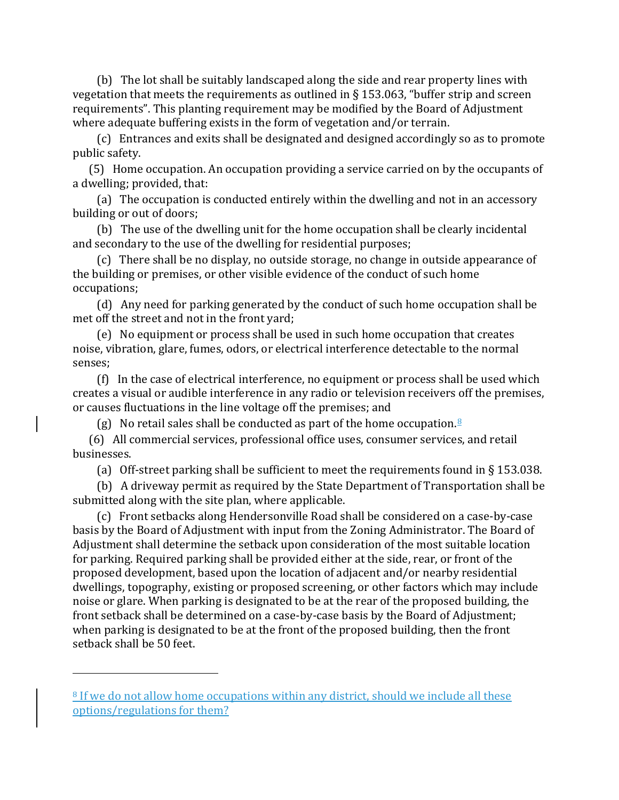(b) The lot shall be suitably landscaped along the side and rear property lines with vegetation that meets the requirements as outlined in  $\S$  153.063, "buffer strip and screen requirements". This planting requirement may be modified by the Board of Adjustment where adequate buffering exists in the form of vegetation and/or terrain.

 (c) Entrances and exits shall be designated and designed accordingly so as to promote public safety.

 (5) Home occupation. An occupation providing a service carried on by the occupants of a dwelling; provided, that:

 (a) The occupation is conducted entirely within the dwelling and not in an accessory building or out of doors;

 (b) The use of the dwelling unit for the home occupation shall be clearly incidental and secondary to the use of the dwelling for residential purposes;

 (c) There shall be no display, no outside storage, no change in outside appearance of the building or premises, or other visible evidence of the conduct of such home occupations;

 (d) Any need for parking generated by the conduct of such home occupation shall be met off the street and not in the front yard;

 (e) No equipment or process shall be used in such home occupation that creates noise, vibration, glare, fumes, odors, or electrical interference detectable to the normal senses;

 (f) In the case of electrical interference, no equipment or process shall be used which creates a visual or audible interference in any radio or television receivers off the premises, or causes fluctuations in the line voltage off the premises; and

(g) No retail sales shall be conducted as part of the home occupation.<sup>[8](#page-28-0)</sup>

 (6) All commercial services, professional office uses, consumer services, and retail businesses.

(a) Off-street parking shall be sufficient to meet the requirements found in  $\S$  153.038.

 (b) A driveway permit as required by the State Department of Transportation shall be submitted along with the site plan, where applicable.

 (c) Front setbacks along Hendersonville Road shall be considered on a case-by-case basis by the Board of Adjustment with input from the Zoning Administrator. The Board of Adjustment shall determine the setback upon consideration of the most suitable location for parking. Required parking shall be provided either at the side, rear, or front of the proposed development, based upon the location of adjacent and/or nearby residential dwellings, topography, existing or proposed screening, or other factors which may include noise or glare. When parking is designated to be at the rear of the proposed building, the front setback shall be determined on a case-by-case basis by the Board of Adjustment; when parking is designated to be at the front of the proposed building, then the front setback shall be 50 feet.

<span id="page-28-0"></span><sup>&</sup>lt;sup>8</sup> If we do not allow home occupations within any district, should we include all these options/regulations for them?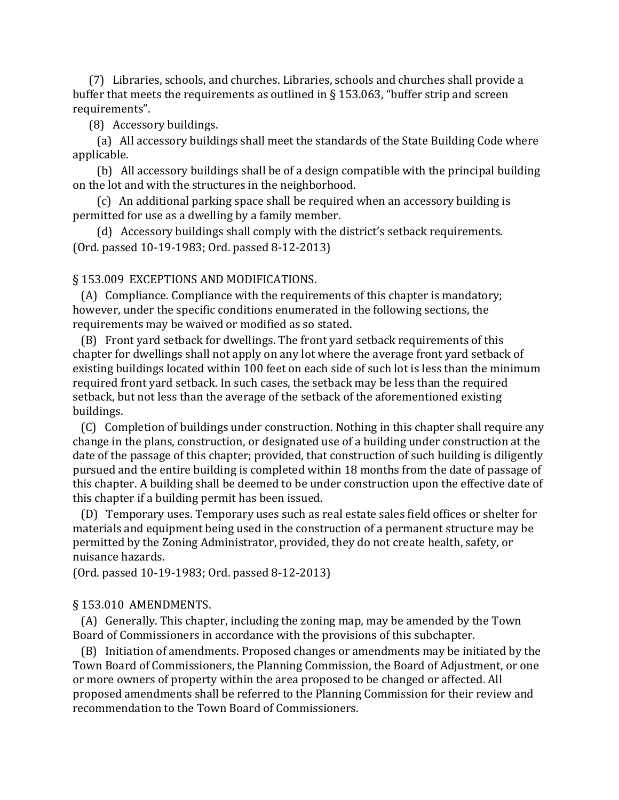(7) Libraries, schools, and churches. Libraries, schools and churches shall provide a buffer that meets the requirements as outlined in § 153.063, "buffer strip and screen requirements".

(8) Accessory buildings.

 (a) All accessory buildings shall meet the standards of the State Building Code where applicable.

 (b) All accessory buildings shall be of a design compatible with the principal building on the lot and with the structures in the neighborhood.

 (c) An additional parking space shall be required when an accessory building is permitted for use as a dwelling by a family member.

 (d) Accessory buildings shall comply with the district's setback requirements. (Ord. passed 10-19-1983; Ord. passed 8-12-2013)

## § 153.009 EXCEPTIONS AND MODIFICATIONS.

 (A) Compliance. Compliance with the requirements of this chapter is mandatory; however, under the specific conditions enumerated in the following sections, the requirements may be waived or modified as so stated.

 (B) Front yard setback for dwellings. The front yard setback requirements of this chapter for dwellings shall not apply on any lot where the average front yard setback of existing buildings located within 100 feet on each side of such lot is less than the minimum required front yard setback. In such cases, the setback may be less than the required setback, but not less than the average of the setback of the aforementioned existing buildings.

 (C) Completion of buildings under construction. Nothing in this chapter shall require any change in the plans, construction, or designated use of a building under construction at the date of the passage of this chapter; provided, that construction of such building is diligently pursued and the entire building is completed within 18 months from the date of passage of this chapter. A building shall be deemed to be under construction upon the effective date of this chapter if a building permit has been issued.

 (D) Temporary uses. Temporary uses such as real estate sales field offices or shelter for materials and equipment being used in the construction of a permanent structure may be permitted by the Zoning Administrator, provided, they do not create health, safety, or nuisance hazards.

(Ord. passed 10-19-1983; Ord. passed 8-12-2013)

### § 153.010 AMENDMENTS.

 (A) Generally. This chapter, including the zoning map, may be amended by the Town Board of Commissioners in accordance with the provisions of this subchapter.

 (B) Initiation of amendments. Proposed changes or amendments may be initiated by the Town Board of Commissioners, the Planning Commission, the Board of Adjustment, or one or more owners of property within the area proposed to be changed or affected. All proposed amendments shall be referred to the Planning Commission for their review and recommendation to the Town Board of Commissioners.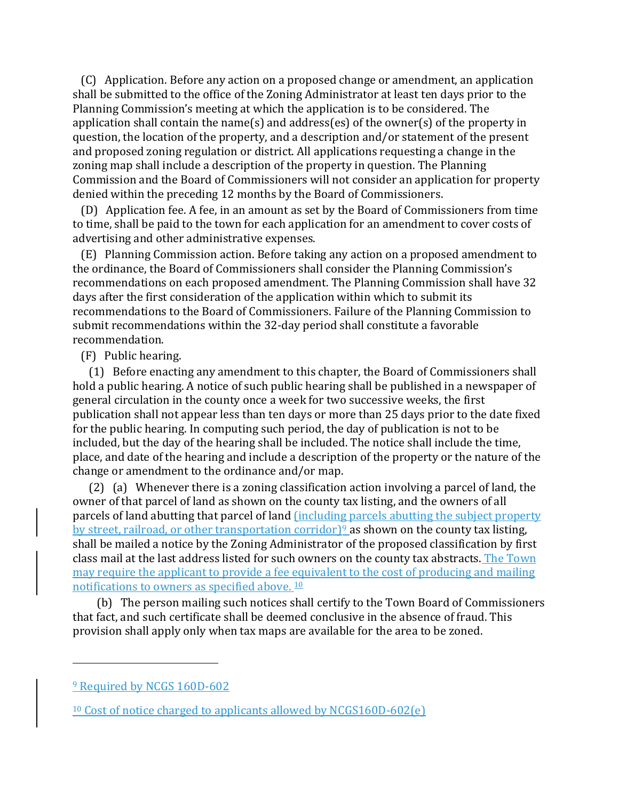(C) Application. Before any action on a proposed change or amendment, an application shall be submitted to the office of the Zoning Administrator at least ten days prior to the Planning Commission's meeting at which the application is to be considered. The application shall contain the name(s) and address(es) of the owner(s) of the property in question, the location of the property, and a description and/or statement of the present and proposed zoning regulation or district. All applications requesting a change in the zoning map shall include a description of the property in question. The Planning Commission and the Board of Commissioners will not consider an application for property denied within the preceding 12 months by the Board of Commissioners.

 (D) Application fee. A fee, in an amount as set by the Board of Commissioners from time to time, shall be paid to the town for each application for an amendment to cover costs of advertising and other administrative expenses.

 (E) Planning Commission action. Before taking any action on a proposed amendment to the ordinance, the Board of Commissioners shall consider the Planning Commission's recommendations on each proposed amendment. The Planning Commission shall have 32 days after the first consideration of the application within which to submit its recommendations to the Board of Commissioners. Failure of the Planning Commission to submit recommendations within the 32-day period shall constitute a favorable recommendation.

### (F) Public hearing.

 (1) Before enacting any amendment to this chapter, the Board of Commissioners shall hold a public hearing. A notice of such public hearing shall be published in a newspaper of general circulation in the county once a week for two successive weeks, the first publication shall not appear less than ten days or more than 25 days prior to the date fixed for the public hearing. In computing such period, the day of publication is not to be included, but the day of the hearing shall be included. The notice shall include the time, place, and date of the hearing and include a description of the property or the nature of the change or amendment to the ordinance and/or map.

 (2) (a) Whenever there is a zoning classification action involving a parcel of land, the owner of that parcel of land as shown on the county tax listing, and the owners of all parcels of land abutting that parcel of land (including parcels abutting the subject property by street, railroad, or other transportation corridor)<sup>[9](#page-30-0)</sup> as shown on the county tax listing, shall be mailed a notice by the Zoning Administrator of the proposed classification by first class mail at the last address listed for such owners on the county tax abstracts. The Town may require the applicant to provide a fee equivalent to the cost of producing and mailing notifications to owners as specified above.<sup>[10](#page-30-1)</sup>

 (b) The person mailing such notices shall certify to the Town Board of Commissioners that fact, and such certificate shall be deemed conclusive in the absence of fraud. This provision shall apply only when tax maps are available for the area to be zoned.

<span id="page-30-0"></span><sup>9</sup> Required by NCGS 160D-602

<span id="page-30-1"></span><sup>&</sup>lt;sup>10</sup> Cost of notice charged to applicants allowed by NCGS160D-602(e)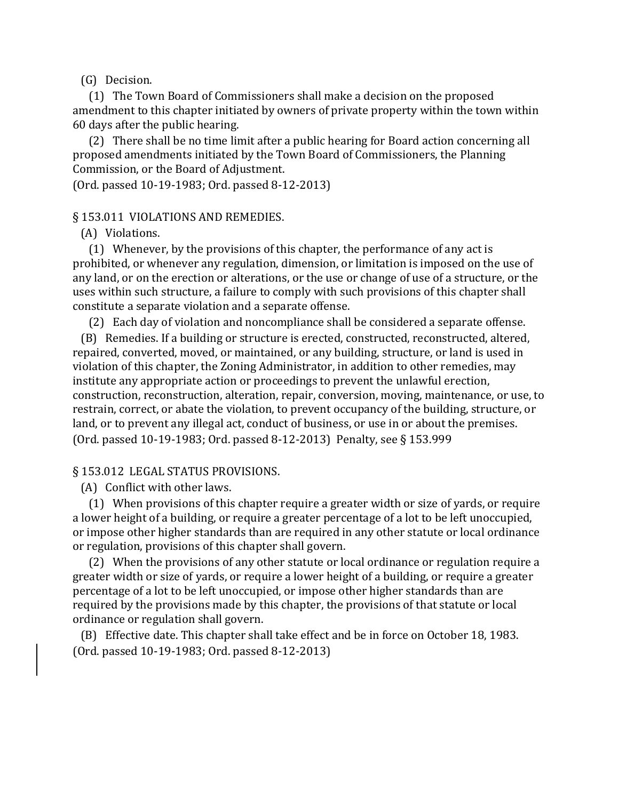(G) Decision.

 (1) The Town Board of Commissioners shall make a decision on the proposed amendment to this chapter initiated by owners of private property within the town within 60 days after the public hearing.

 (2) There shall be no time limit after a public hearing for Board action concerning all proposed amendments initiated by the Town Board of Commissioners, the Planning Commission, or the Board of Adjustment.

(Ord. passed 10-19-1983; Ord. passed 8-12-2013)

§ 153.011 VIOLATIONS AND REMEDIES.

(A) Violations.

 (1) Whenever, by the provisions of this chapter, the performance of any act is prohibited, or whenever any regulation, dimension, or limitation is imposed on the use of any land, or on the erection or alterations, or the use or change of use of a structure, or the uses within such structure, a failure to comply with such provisions of this chapter shall constitute a separate violation and a separate offense.

(2) Each day of violation and noncompliance shall be considered a separate offense.

 (B) Remedies. If a building or structure is erected, constructed, reconstructed, altered, repaired, converted, moved, or maintained, or any building, structure, or land is used in violation of this chapter, the Zoning Administrator, in addition to other remedies, may institute any appropriate action or proceedings to prevent the unlawful erection, construction, reconstruction, alteration, repair, conversion, moving, maintenance, or use, to restrain, correct, or abate the violation, to prevent occupancy of the building, structure, or land, or to prevent any illegal act, conduct of business, or use in or about the premises. (Ord. passed 10-19-1983; Ord. passed 8-12-2013) Penalty, see § 153.999

#### § 153.012 LEGAL STATUS PROVISIONS.

(A) Conflict with other laws.

 (1) When provisions of this chapter require a greater width or size of yards, or require a lower height of a building, or require a greater percentage of a lot to be left unoccupied, or impose other higher standards than are required in any other statute or local ordinance or regulation, provisions of this chapter shall govern.

 (2) When the provisions of any other statute or local ordinance or regulation require a greater width or size of yards, or require a lower height of a building, or require a greater percentage of a lot to be left unoccupied, or impose other higher standards than are required by the provisions made by this chapter, the provisions of that statute or local ordinance or regulation shall govern.

 (B) Effective date. This chapter shall take effect and be in force on October 18, 1983. (Ord. passed 10-19-1983; Ord. passed 8-12-2013)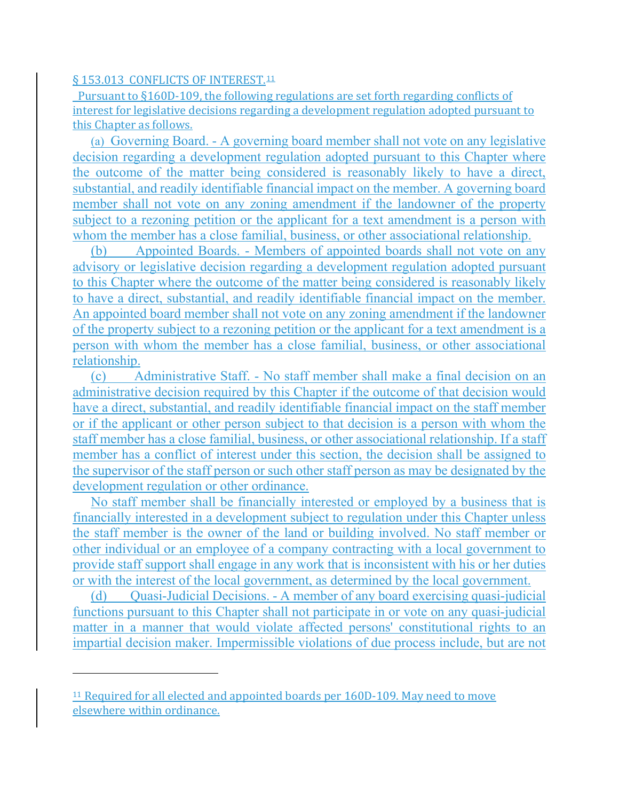### § 153.013 CONFLICTS OF INTEREST.<sup>[11](#page-32-0)</sup>

 Pursuant to §160D-109, the following regulations are set forth regarding conflicts of interest for legislative decisions regarding a development regulation adopted pursuant to this Chapter as follows.

(a) Governing Board. - A governing board member shall not vote on any legislative decision regarding a development regulation adopted pursuant to this Chapter where the outcome of the matter being considered is reasonably likely to have a direct, substantial, and readily identifiable financial impact on the member. A governing board member shall not vote on any zoning amendment if the landowner of the property subject to a rezoning petition or the applicant for a text amendment is a person with whom the member has a close familial, business, or other associational relationship.

(b) Appointed Boards. - Members of appointed boards shall not vote on any advisory or legislative decision regarding a development regulation adopted pursuant to this Chapter where the outcome of the matter being considered is reasonably likely to have a direct, substantial, and readily identifiable financial impact on the member. An appointed board member shall not vote on any zoning amendment if the landowner of the property subject to a rezoning petition or the applicant for a text amendment is a person with whom the member has a close familial, business, or other associational relationship.

(c) Administrative Staff. - No staff member shall make a final decision on an administrative decision required by this Chapter if the outcome of that decision would have a direct, substantial, and readily identifiable financial impact on the staff member or if the applicant or other person subject to that decision is a person with whom the staff member has a close familial, business, or other associational relationship. If a staff member has a conflict of interest under this section, the decision shall be assigned to the supervisor of the staff person or such other staff person as may be designated by the development regulation or other ordinance.

No staff member shall be financially interested or employed by a business that is financially interested in a development subject to regulation under this Chapter unless the staff member is the owner of the land or building involved. No staff member or other individual or an employee of a company contracting with a local government to provide staff support shall engage in any work that is inconsistent with his or her duties or with the interest of the local government, as determined by the local government.

(d) Ouasi-Judicial Decisions. - A member of any board exercising quasi-judicial functions pursuant to this Chapter shall not participate in or vote on any quasi-judicial matter in a manner that would violate affected persons' constitutional rights to an impartial decision maker. Impermissible violations of due process include, but are not

<span id="page-32-0"></span><sup>&</sup>lt;sup>11</sup> Required for all elected and appointed boards per 160D-109. May need to move elsewhere within ordinance.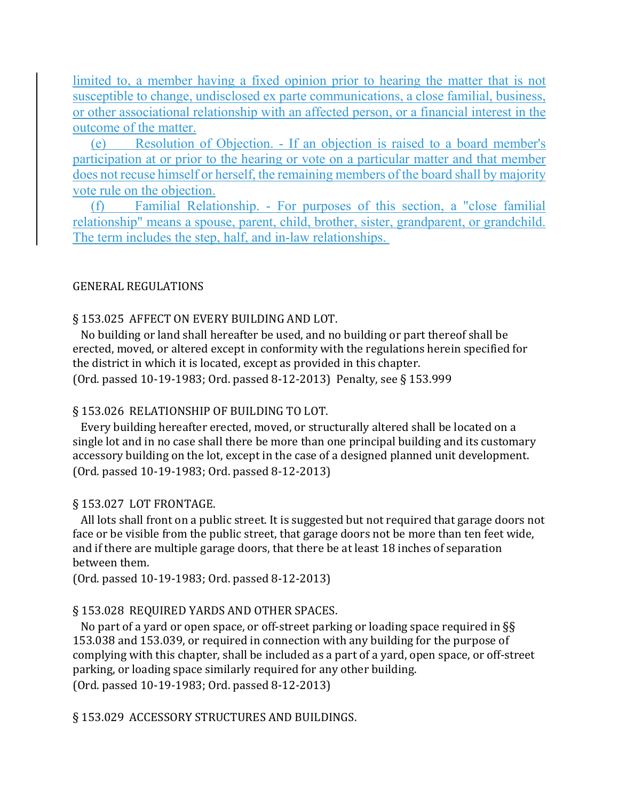limited to, a member having a fixed opinion prior to hearing the matter that is not susceptible to change, undisclosed ex parte communications, a close familial, business, or other associational relationship with an affected person, or a financial interest in the outcome of the matter.

(e) Resolution of Objection. - If an objection is raised to a board member's participation at or prior to the hearing or vote on a particular matter and that member does not recuse himself or herself, the remaining members of the board shall by majority vote rule on the objection.

(f) Familial Relationship. - For purposes of this section, a "close familial relationship" means a spouse, parent, child, brother, sister, grandparent, or grandchild. The term includes the step, half, and in-law relationships.

## GENERAL REGULATIONS

## § 153.025 AFFECT ON EVERY BUILDING AND LOT.

 No building or land shall hereafter be used, and no building or part thereof shall be erected, moved, or altered except in conformity with the regulations herein specified for the district in which it is located, except as provided in this chapter. (Ord. passed 10-19-1983; Ord. passed 8-12-2013) Penalty, see § 153.999

# § 153.026 RELATIONSHIP OF BUILDING TO LOT.

 Every building hereafter erected, moved, or structurally altered shall be located on a single lot and in no case shall there be more than one principal building and its customary accessory building on the lot, except in the case of a designed planned unit development. (Ord. passed 10-19-1983; Ord. passed 8-12-2013)

# § 153.027 LOT FRONTAGE.

 All lots shall front on a public street. It is suggested but not required that garage doors not face or be visible from the public street, that garage doors not be more than ten feet wide, and if there are multiple garage doors, that there be at least 18 inches of separation between them.

(Ord. passed 10-19-1983; Ord. passed 8-12-2013)

# § 153.028 REQUIRED YARDS AND OTHER SPACES.

 No part of a yard or open space, or off-street parking or loading space required in §§ 153.038 and 153.039, or required in connection with any building for the purpose of complying with this chapter, shall be included as a part of a yard, open space, or off-street parking, or loading space similarly required for any other building. (Ord. passed 10-19-1983; Ord. passed 8-12-2013)

§ 153.029 ACCESSORY STRUCTURES AND BUILDINGS.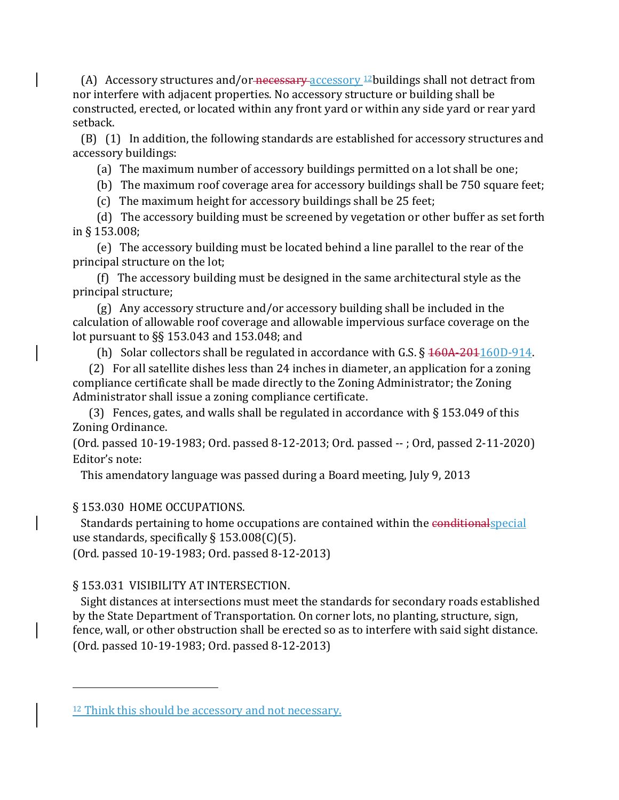(A) Accessory structures and/or-necessary accessory  $12$  buildings shall not detract from nor interfere with adjacent properties. No accessory structure or building shall be constructed, erected, or located within any front yard or within any side yard or rear yard setback.

 (B) (1) In addition, the following standards are established for accessory structures and accessory buildings:

(a) The maximum number of accessory buildings permitted on a lot shall be one;

(b) The maximum roof coverage area for accessory buildings shall be 750 square feet;

(c) The maximum height for accessory buildings shall be 25 feet;

 (d) The accessory building must be screened by vegetation or other buffer as set forth in § 153.008;

 (e) The accessory building must be located behind a line parallel to the rear of the principal structure on the lot;

 (f) The accessory building must be designed in the same architectural style as the principal structure;

 (g) Any accessory structure and/or accessory building shall be included in the calculation of allowable roof coverage and allowable impervious surface coverage on the lot pursuant to §§ 153.043 and 153.048; and

(h) Solar collectors shall be regulated in accordance with G.S.  $\S$  460A-201160D-914.

 (2) For all satellite dishes less than 24 inches in diameter, an application for a zoning compliance certificate shall be made directly to the Zoning Administrator; the Zoning Administrator shall issue a zoning compliance certificate.

(3) Fences, gates, and walls shall be regulated in accordance with  $\S$  153.049 of this Zoning Ordinance.

(Ord. passed 10-19-1983; Ord. passed 8-12-2013; Ord. passed -- ; Ord, passed 2-11-2020) Editor's note:

This amendatory language was passed during a Board meeting, July 9, 2013

### § 153.030 HOME OCCUPATIONS.

i<br>I

Standards pertaining to home occupations are contained within the conditional special use standards, specifically  $\S 153.008(C)(5)$ .

(Ord. passed 10-19-1983; Ord. passed 8-12-2013)

# § 153.031 VISIBILITY AT INTERSECTION.

 Sight distances at intersections must meet the standards for secondary roads established by the State Department of Transportation. On corner lots, no planting, structure, sign, fence, wall, or other obstruction shall be erected so as to interfere with said sight distance. (Ord. passed 10-19-1983; Ord. passed 8-12-2013)

<span id="page-34-0"></span><sup>&</sup>lt;sup>12</sup> Think this should be accessory and not necessary.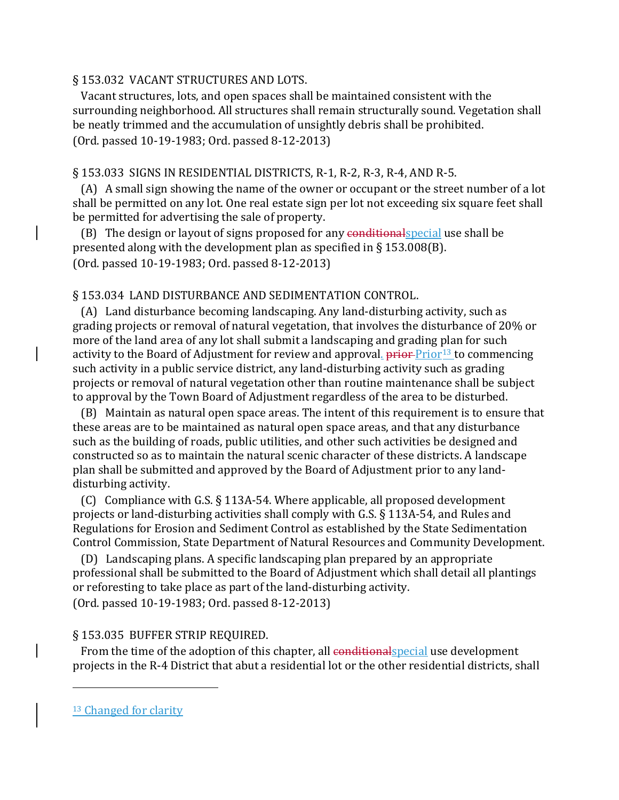### § 153.032 VACANT STRUCTURES AND LOTS.

 Vacant structures, lots, and open spaces shall be maintained consistent with the surrounding neighborhood. All structures shall remain structurally sound. Vegetation shall be neatly trimmed and the accumulation of unsightly debris shall be prohibited. (Ord. passed 10-19-1983; Ord. passed 8-12-2013)

### § 153.033 SIGNS IN RESIDENTIAL DISTRICTS, R-1, R-2, R-3, R-4, AND R-5.

 (A) A small sign showing the name of the owner or occupant or the street number of a lot shall be permitted on any lot. One real estate sign per lot not exceeding six square feet shall be permitted for advertising the sale of property.

(B) The design or layout of signs proposed for any conditional special use shall be presented along with the development plan as specified in § 153.008(B). (Ord. passed 10-19-1983; Ord. passed 8-12-2013)

### § 153.034 LAND DISTURBANCE AND SEDIMENTATION CONTROL.

 (A) Land disturbance becoming landscaping. Any land-disturbing activity, such as grading projects or removal of natural vegetation, that involves the disturbance of 20% or more of the land area of any lot shall submit a landscaping and grading plan for such activity to the Board of Adjustment for review and approval.  $\frac{1}{2}$   $\frac{1}{2}$  fo commencing such activity in a public service district, any land-disturbing activity such as grading projects or removal of natural vegetation other than routine maintenance shall be subject to approval by the Town Board of Adjustment regardless of the area to be disturbed.

 (B) Maintain as natural open space areas. The intent of this requirement is to ensure that these areas are to be maintained as natural open space areas, and that any disturbance such as the building of roads, public utilities, and other such activities be designed and constructed so as to maintain the natural scenic character of these districts. A landscape plan shall be submitted and approved by the Board of Adjustment prior to any landdisturbing activity.

 (C) Compliance with G.S. § 113A-54. Where applicable, all proposed development projects or land-disturbing activities shall comply with G.S. § 113A-54, and Rules and Regulations for Erosion and Sediment Control as established by the State Sedimentation Control Commission, State Department of Natural Resources and Community Development.

 (D) Landscaping plans. A specific landscaping plan prepared by an appropriate professional shall be submitted to the Board of Adjustment which shall detail all plantings or reforesting to take place as part of the land-disturbing activity.

(Ord. passed 10-19-1983; Ord. passed 8-12-2013)

### § 153.035 BUFFER STRIP REQUIRED.

From the time of the adoption of this chapter, all conditional special use development projects in the R-4 District that abut a residential lot or the other residential districts, shall

<span id="page-35-0"></span><sup>&</sup>lt;sup>13</sup> Changed for clarity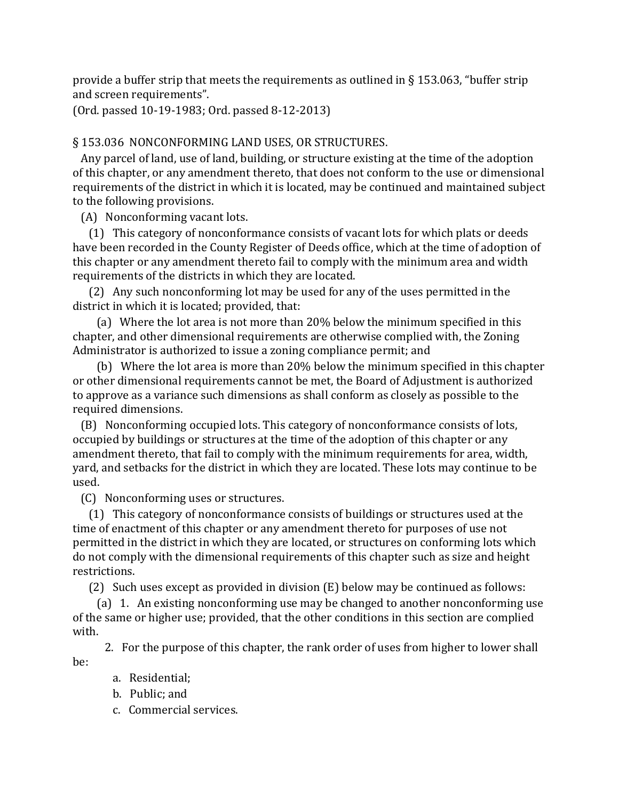provide a buffer strip that meets the requirements as outlined in  $\S$  153.063, "buffer strip and screen requirements".

(Ord. passed 10-19-1983; Ord. passed 8-12-2013)

# § 153.036 NONCONFORMING LAND USES, OR STRUCTURES.

 Any parcel of land, use of land, building, or structure existing at the time of the adoption of this chapter, or any amendment thereto, that does not conform to the use or dimensional requirements of the district in which it is located, may be continued and maintained subject to the following provisions.

(A) Nonconforming vacant lots.

 (1) This category of nonconformance consists of vacant lots for which plats or deeds have been recorded in the County Register of Deeds office, which at the time of adoption of this chapter or any amendment thereto fail to comply with the minimum area and width requirements of the districts in which they are located.

 (2) Any such nonconforming lot may be used for any of the uses permitted in the district in which it is located; provided, that:

 (a) Where the lot area is not more than 20% below the minimum specified in this chapter, and other dimensional requirements are otherwise complied with, the Zoning Administrator is authorized to issue a zoning compliance permit; and

 (b) Where the lot area is more than 20% below the minimum specified in this chapter or other dimensional requirements cannot be met, the Board of Adjustment is authorized to approve as a variance such dimensions as shall conform as closely as possible to the required dimensions.

 (B) Nonconforming occupied lots. This category of nonconformance consists of lots, occupied by buildings or structures at the time of the adoption of this chapter or any amendment thereto, that fail to comply with the minimum requirements for area, width, yard, and setbacks for the district in which they are located. These lots may continue to be used.

(C) Nonconforming uses or structures.

 (1) This category of nonconformance consists of buildings or structures used at the time of enactment of this chapter or any amendment thereto for purposes of use not permitted in the district in which they are located, or structures on conforming lots which do not comply with the dimensional requirements of this chapter such as size and height restrictions.

(2) Such uses except as provided in division (E) below may be continued as follows:

 (a) 1. An existing nonconforming use may be changed to another nonconforming use of the same or higher use; provided, that the other conditions in this section are complied with.

 2. For the purpose of this chapter, the rank order of uses from higher to lower shall be:

- a. Residential;
- b. Public; and
- c. Commercial services.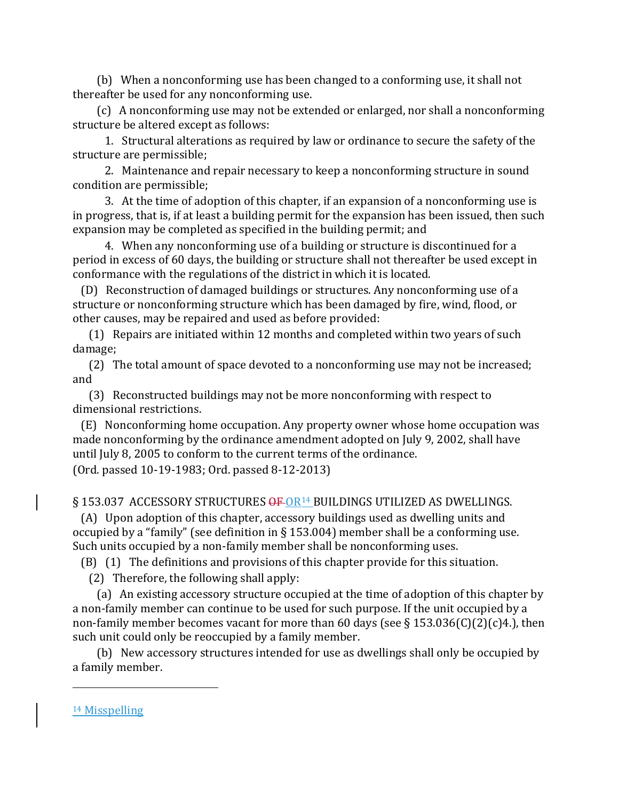(b) When a nonconforming use has been changed to a conforming use, it shall not thereafter be used for any nonconforming use.

 (c) A nonconforming use may not be extended or enlarged, nor shall a nonconforming structure be altered except as follows:

 1. Structural alterations as required by law or ordinance to secure the safety of the structure are permissible;

 2. Maintenance and repair necessary to keep a nonconforming structure in sound condition are permissible;

 3. At the time of adoption of this chapter, if an expansion of a nonconforming use is in progress, that is, if at least a building permit for the expansion has been issued, then such expansion may be completed as specified in the building permit; and

 4. When any nonconforming use of a building or structure is discontinued for a period in excess of 60 days, the building or structure shall not thereafter be used except in conformance with the regulations of the district in which it is located.

 (D) Reconstruction of damaged buildings or structures. Any nonconforming use of a structure or nonconforming structure which has been damaged by fire, wind, flood, or other causes, may be repaired and used as before provided:

 (1) Repairs are initiated within 12 months and completed within two years of such damage;

 (2) The total amount of space devoted to a nonconforming use may not be increased; and

 (3) Reconstructed buildings may not be more nonconforming with respect to dimensional restrictions.

 (E) Nonconforming home occupation. Any property owner whose home occupation was made nonconforming by the ordinance amendment adopted on July 9, 2002, shall have until July 8, 2005 to conform to the current terms of the ordinance.

(Ord. passed 10-19-1983; Ord. passed 8-12-2013)

§ 153.037 ACCESSORY STRUCTURES OF OR<sup>[14](#page-37-0)</sup> BUILDINGS UTILIZED AS DWELLINGS.

 (A) Upon adoption of this chapter, accessory buildings used as dwelling units and occupied by a "family" (see definition in § 153.004) member shall be a conforming use. Such units occupied by a non-family member shall be nonconforming uses.

(B) (1) The definitions and provisions of this chapter provide for this situation.

(2) Therefore, the following shall apply:

 (a) An existing accessory structure occupied at the time of adoption of this chapter by a non-family member can continue to be used for such purpose. If the unit occupied by a non-family member becomes vacant for more than 60 days (see § 153.036(C)(2)(c)4.), then such unit could only be reoccupied by a family member.

 (b) New accessory structures intended for use as dwellings shall only be occupied by a family member.

<span id="page-37-0"></span><sup>14</sup> Misspelling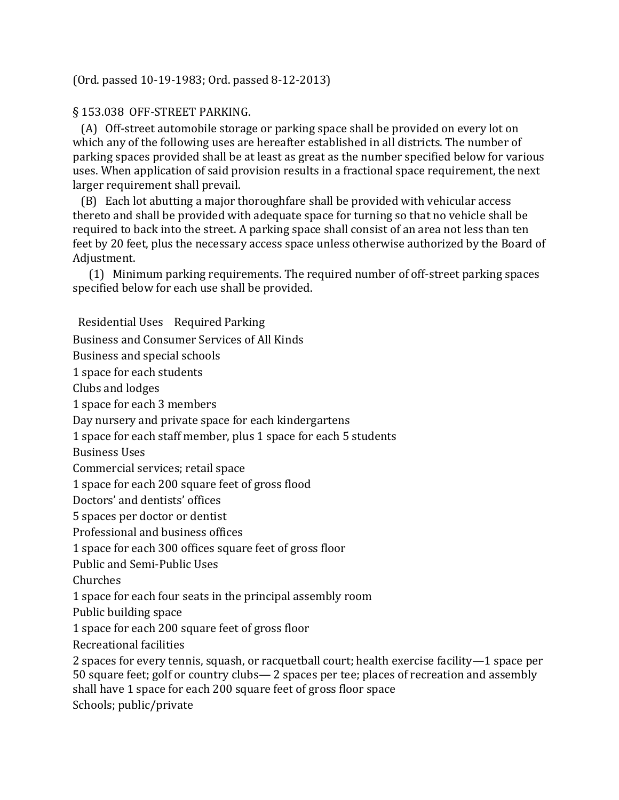# (Ord. passed 10-19-1983; Ord. passed 8-12-2013)

# § 153.038 OFF-STREET PARKING.

 (A) Off-street automobile storage or parking space shall be provided on every lot on which any of the following uses are hereafter established in all districts. The number of parking spaces provided shall be at least as great as the number specified below for various uses. When application of said provision results in a fractional space requirement, the next larger requirement shall prevail.

 (B) Each lot abutting a major thoroughfare shall be provided with vehicular access thereto and shall be provided with adequate space for turning so that no vehicle shall be required to back into the street. A parking space shall consist of an area not less than ten feet by 20 feet, plus the necessary access space unless otherwise authorized by the Board of Adjustment.

 (1) Minimum parking requirements. The required number of off-street parking spaces specified below for each use shall be provided.

Residential Uses Required Parking Business and Consumer Services of All Kinds Business and special schools 1 space for each students Clubs and lodges 1 space for each 3 members Day nursery and private space for each kindergartens 1 space for each staff member, plus 1 space for each 5 students Business Uses Commercial services; retail space 1 space for each 200 square feet of gross flood Doctors' and dentists' offices 5 spaces per doctor or dentist Professional and business offices 1 space for each 300 offices square feet of gross floor Public and Semi-Public Uses Churches 1 space for each four seats in the principal assembly room Public building space 1 space for each 200 square feet of gross floor Recreational facilities 2 spaces for every tennis, squash, or racquetball court; health exercise facility—1 space per 50 square feet; golf or country clubs— 2 spaces per tee; places of recreation and assembly

shall have 1 space for each 200 square feet of gross floor space

Schools; public/private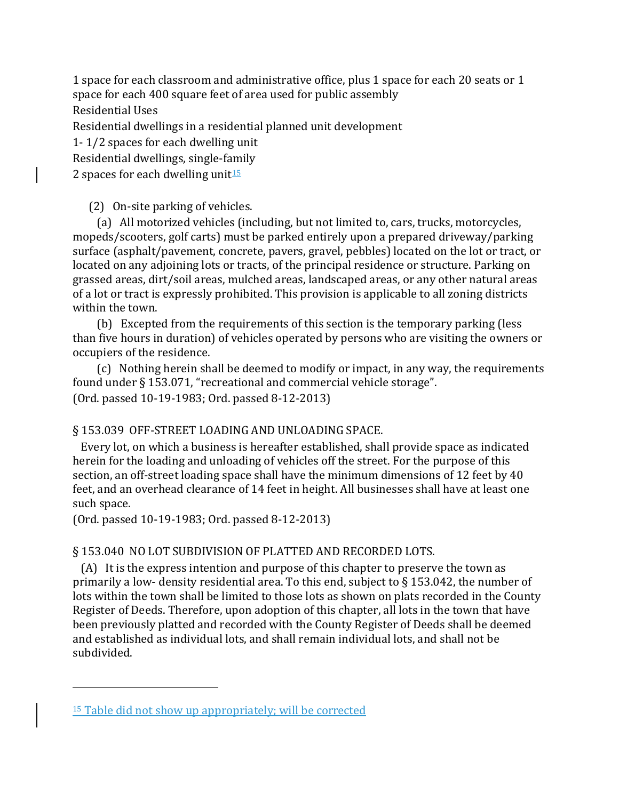1 space for each classroom and administrative office, plus 1 space for each 20 seats or 1 space for each 400 square feet of area used for public assembly

Residential Uses

Residential dwellings in a residential planned unit development

1- 1/2 spaces for each dwelling unit

Residential dwellings, single-family

2 spaces for each dwelling unit $15$ 

(2) On-site parking of vehicles.

 (a) All motorized vehicles (including, but not limited to, cars, trucks, motorcycles, mopeds/scooters, golf carts) must be parked entirely upon a prepared driveway/parking surface (asphalt/pavement, concrete, pavers, gravel, pebbles) located on the lot or tract, or located on any adjoining lots or tracts, of the principal residence or structure. Parking on grassed areas, dirt/soil areas, mulched areas, landscaped areas, or any other natural areas of a lot or tract is expressly prohibited. This provision is applicable to all zoning districts within the town.

 (b) Excepted from the requirements of this section is the temporary parking (less than five hours in duration) of vehicles operated by persons who are visiting the owners or occupiers of the residence.

 (c) Nothing herein shall be deemed to modify or impact, in any way, the requirements found under § 153.071, "recreational and commercial vehicle storage". (Ord. passed 10-19-1983; Ord. passed 8-12-2013)

# § 153.039 OFF-STREET LOADING AND UNLOADING SPACE.

 Every lot, on which a business is hereafter established, shall provide space as indicated herein for the loading and unloading of vehicles off the street. For the purpose of this section, an off-street loading space shall have the minimum dimensions of 12 feet by 40 feet, and an overhead clearance of 14 feet in height. All businesses shall have at least one such space.

(Ord. passed 10-19-1983; Ord. passed 8-12-2013)

# § 153.040 NO LOT SUBDIVISION OF PLATTED AND RECORDED LOTS.

 (A) It is the express intention and purpose of this chapter to preserve the town as primarily a low- density residential area. To this end, subject to § 153.042, the number of lots within the town shall be limited to those lots as shown on plats recorded in the County Register of Deeds. Therefore, upon adoption of this chapter, all lots in the town that have been previously platted and recorded with the County Register of Deeds shall be deemed and established as individual lots, and shall remain individual lots, and shall not be subdivided.

<span id="page-39-0"></span><sup>&</sup>lt;sup>15</sup> Table did not show up appropriately; will be corrected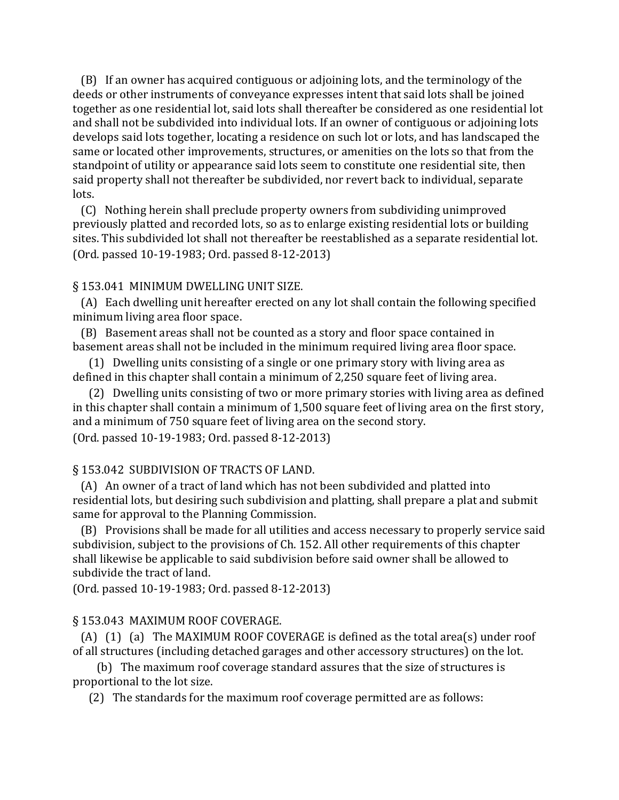(B) If an owner has acquired contiguous or adjoining lots, and the terminology of the deeds or other instruments of conveyance expresses intent that said lots shall be joined together as one residential lot, said lots shall thereafter be considered as one residential lot and shall not be subdivided into individual lots. If an owner of contiguous or adjoining lots develops said lots together, locating a residence on such lot or lots, and has landscaped the same or located other improvements, structures, or amenities on the lots so that from the standpoint of utility or appearance said lots seem to constitute one residential site, then said property shall not thereafter be subdivided, nor revert back to individual, separate lots.

 (C) Nothing herein shall preclude property owners from subdividing unimproved previously platted and recorded lots, so as to enlarge existing residential lots or building sites. This subdivided lot shall not thereafter be reestablished as a separate residential lot. (Ord. passed 10-19-1983; Ord. passed 8-12-2013)

## § 153.041 MINIMUM DWELLING UNIT SIZE.

 (A) Each dwelling unit hereafter erected on any lot shall contain the following specified minimum living area floor space.

 (B) Basement areas shall not be counted as a story and floor space contained in basement areas shall not be included in the minimum required living area floor space.

 (1) Dwelling units consisting of a single or one primary story with living area as defined in this chapter shall contain a minimum of 2,250 square feet of living area.

 (2) Dwelling units consisting of two or more primary stories with living area as defined in this chapter shall contain a minimum of 1,500 square feet of living area on the first story, and a minimum of 750 square feet of living area on the second story. (Ord. passed 10-19-1983; Ord. passed 8-12-2013)

## § 153.042 SUBDIVISION OF TRACTS OF LAND.

 (A) An owner of a tract of land which has not been subdivided and platted into residential lots, but desiring such subdivision and platting, shall prepare a plat and submit same for approval to the Planning Commission.

 (B) Provisions shall be made for all utilities and access necessary to properly service said subdivision, subject to the provisions of Ch. 152. All other requirements of this chapter shall likewise be applicable to said subdivision before said owner shall be allowed to subdivide the tract of land.

(Ord. passed 10-19-1983; Ord. passed 8-12-2013)

# § 153.043 MAXIMUM ROOF COVERAGE.

 (A) (1) (a) The MAXIMUM ROOF COVERAGE is defined as the total area(s) under roof of all structures (including detached garages and other accessory structures) on the lot.

 (b) The maximum roof coverage standard assures that the size of structures is proportional to the lot size.

(2) The standards for the maximum roof coverage permitted are as follows: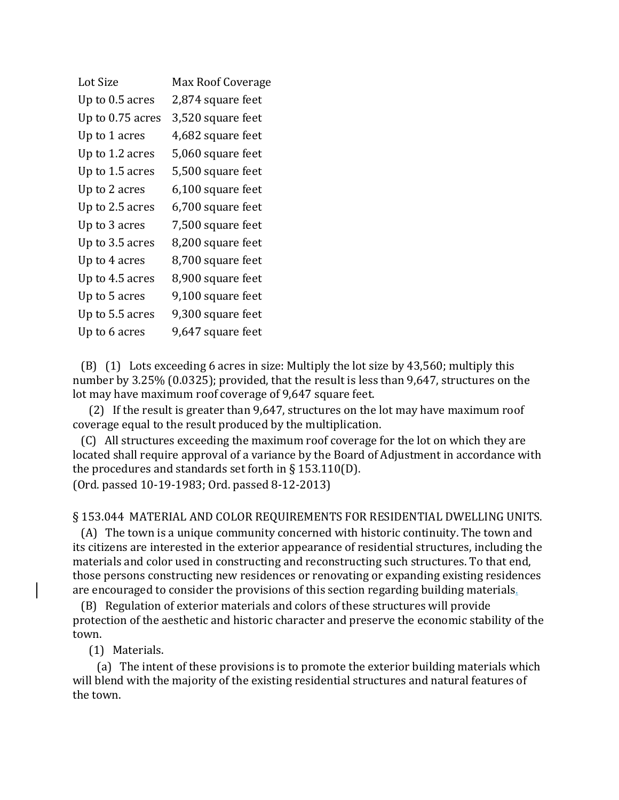| Lot Size         | Max Roof Coverage |
|------------------|-------------------|
| Up to 0.5 acres  | 2,874 square feet |
| Up to 0.75 acres | 3,520 square feet |
| Up to 1 acres    | 4,682 square feet |
| Up to 1.2 acres  | 5,060 square feet |
| Up to 1.5 acres  | 5,500 square feet |
| Up to 2 acres    | 6,100 square feet |
| Up to 2.5 acres  | 6,700 square feet |
| Up to 3 acres    | 7,500 square feet |
| Up to 3.5 acres  | 8,200 square feet |
| Up to 4 acres    | 8,700 square feet |
| Up to 4.5 acres  | 8,900 square feet |
| Up to 5 acres    | 9,100 square feet |
| Up to 5.5 acres  | 9,300 square feet |
| Up to 6 acres    | 9,647 square feet |

 (B) (1) Lots exceeding 6 acres in size: Multiply the lot size by 43,560; multiply this number by 3.25% (0.0325); provided, that the result is less than 9,647, structures on the lot may have maximum roof coverage of 9,647 square feet.

 (2) If the result is greater than 9,647, structures on the lot may have maximum roof coverage equal to the result produced by the multiplication.

 (C) All structures exceeding the maximum roof coverage for the lot on which they are located shall require approval of a variance by the Board of Adjustment in accordance with the procedures and standards set forth in § 153.110(D). (Ord. passed 10-19-1983; Ord. passed 8-12-2013)

## § 153.044 MATERIAL AND COLOR REQUIREMENTS FOR RESIDENTIAL DWELLING UNITS.

 (A) The town is a unique community concerned with historic continuity. The town and its citizens are interested in the exterior appearance of residential structures, including the materials and color used in constructing and reconstructing such structures. To that end, those persons constructing new residences or renovating or expanding existing residences are encouraged to consider the provisions of this section regarding building materials.

 (B) Regulation of exterior materials and colors of these structures will provide protection of the aesthetic and historic character and preserve the economic stability of the town.

(1) Materials.

 (a) The intent of these provisions is to promote the exterior building materials which will blend with the majority of the existing residential structures and natural features of the town.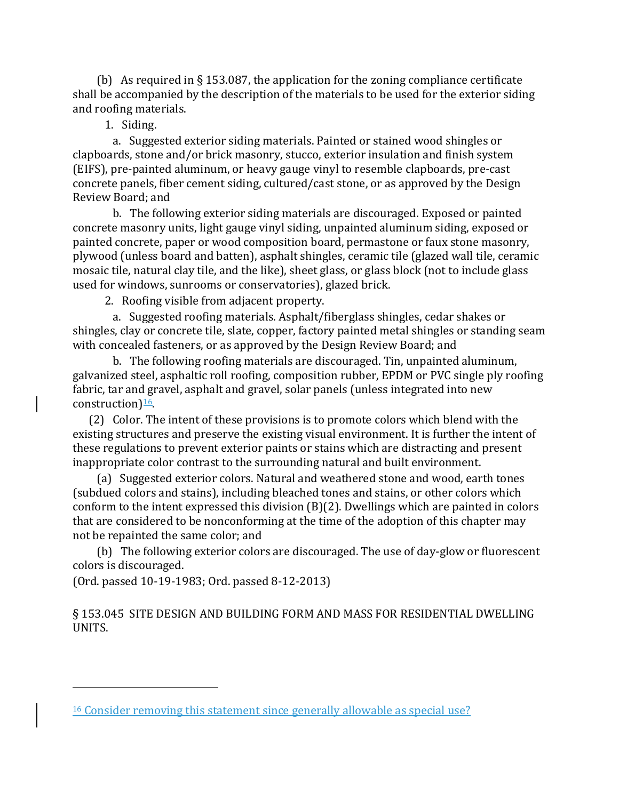(b) As required in § 153.087, the application for the zoning compliance certificate shall be accompanied by the description of the materials to be used for the exterior siding and roofing materials.

1. Siding.

 a. Suggested exterior siding materials. Painted or stained wood shingles or clapboards, stone and/or brick masonry, stucco, exterior insulation and finish system (EIFS), pre-painted aluminum, or heavy gauge vinyl to resemble clapboards, pre-cast concrete panels, fiber cement siding, cultured/cast stone, or as approved by the Design Review Board; and

 b. The following exterior siding materials are discouraged. Exposed or painted concrete masonry units, light gauge vinyl siding, unpainted aluminum siding, exposed or painted concrete, paper or wood composition board, permastone or faux stone masonry, plywood (unless board and batten), asphalt shingles, ceramic tile (glazed wall tile, ceramic mosaic tile, natural clay tile, and the like), sheet glass, or glass block (not to include glass used for windows, sunrooms or conservatories), glazed brick.

2. Roofing visible from adjacent property.

 a. Suggested roofing materials. Asphalt/fiberglass shingles, cedar shakes or shingles, clay or concrete tile, slate, copper, factory painted metal shingles or standing seam with concealed fasteners, or as approved by the Design Review Board; and

 b. The following roofing materials are discouraged. Tin, unpainted aluminum, galvanized steel, asphaltic roll roofing, composition rubber, EPDM or PVC single ply roofing fabric, tar and gravel, asphalt and gravel, solar panels (unless integrated into new construction) $\frac{16}{6}$ .

 (2) Color. The intent of these provisions is to promote colors which blend with the existing structures and preserve the existing visual environment. It is further the intent of these regulations to prevent exterior paints or stains which are distracting and present inappropriate color contrast to the surrounding natural and built environment.

 (a) Suggested exterior colors. Natural and weathered stone and wood, earth tones (subdued colors and stains), including bleached tones and stains, or other colors which conform to the intent expressed this division (B)(2). Dwellings which are painted in colors that are considered to be nonconforming at the time of the adoption of this chapter may not be repainted the same color; and

 (b) The following exterior colors are discouraged. The use of day-glow or fluorescent colors is discouraged.

(Ord. passed 10-19-1983; Ord. passed 8-12-2013)

i<br>I

§ 153.045 SITE DESIGN AND BUILDING FORM AND MASS FOR RESIDENTIAL DWELLING UNITS.

<span id="page-42-0"></span><sup>&</sup>lt;sup>16</sup> Consider removing this statement since generally allowable as special use?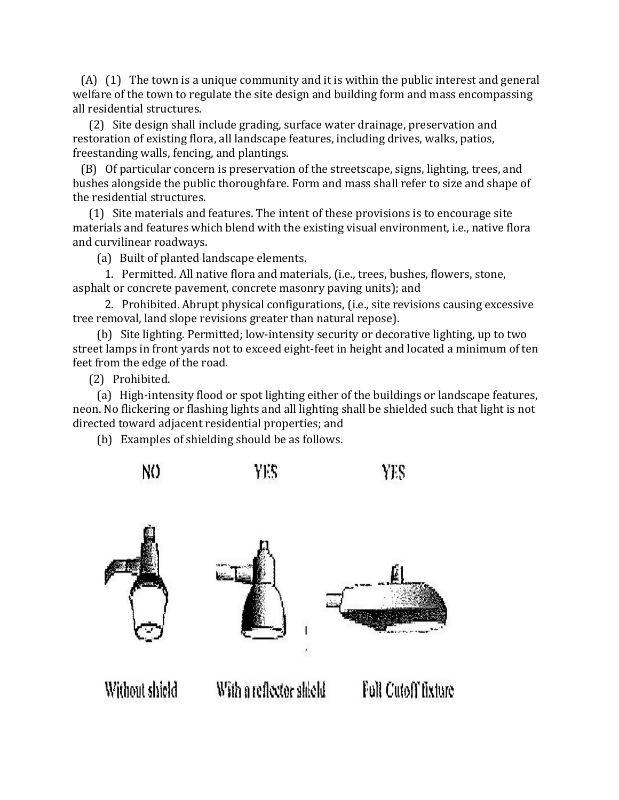(A) (1) The town is a unique community and it is within the public interest and general welfare of the town to regulate the site design and building form and mass encompassing all residential structures.

 (2) Site design shall include grading, surface water drainage, preservation and restoration of existing flora, all landscape features, including drives, walks, patios, freestanding walls, fencing, and plantings.

 (B) Of particular concern is preservation of the streetscape, signs, lighting, trees, and bushes alongside the public thoroughfare. Form and mass shall refer to size and shape of the residential structures.

 (1) Site materials and features. The intent of these provisions is to encourage site materials and features which blend with the existing visual environment, i.e., native flora and curvilinear roadways.

(a) Built of planted landscape elements.

 1. Permitted. All native flora and materials, (i.e., trees, bushes, flowers, stone, asphalt or concrete pavement, concrete masonry paving units); and

 2. Prohibited. Abrupt physical configurations, (i.e., site revisions causing excessive tree removal, land slope revisions greater than natural repose).

 (b) Site lighting. Permitted; low-intensity security or decorative lighting, up to two street lamps in front yards not to exceed eight-feet in height and located a minimum of ten feet from the edge of the road.

(2) Prohibited.

 (a) High-intensity flood or spot lighting either of the buildings or landscape features, neon. No flickering or flashing lights and all lighting shall be shielded such that light is not directed toward adjacent residential properties; and

(b) Examples of shielding should be as follows.

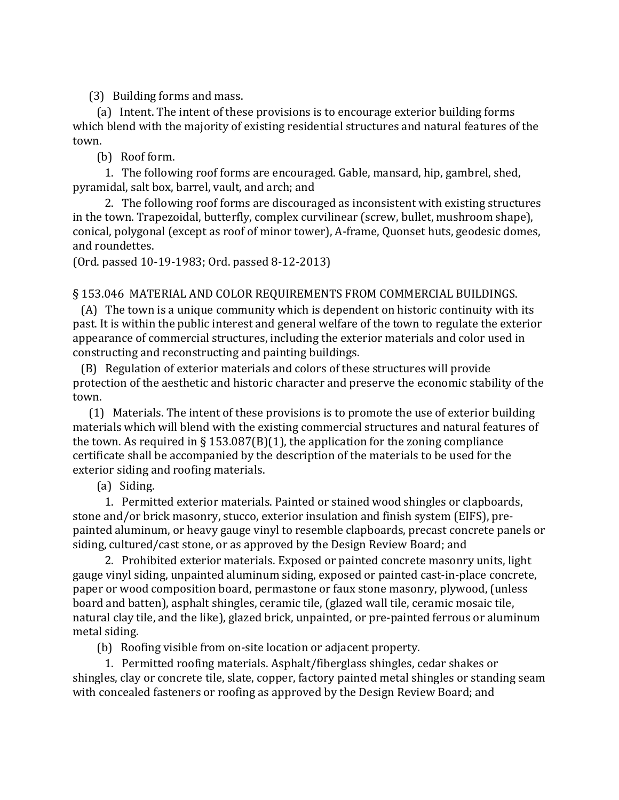(3) Building forms and mass.

 (a) Intent. The intent of these provisions is to encourage exterior building forms which blend with the majority of existing residential structures and natural features of the town.

(b) Roof form.

 1. The following roof forms are encouraged. Gable, mansard, hip, gambrel, shed, pyramidal, salt box, barrel, vault, and arch; and

 2. The following roof forms are discouraged as inconsistent with existing structures in the town. Trapezoidal, butterfly, complex curvilinear (screw, bullet, mushroom shape), conical, polygonal (except as roof of minor tower), A-frame, Quonset huts, geodesic domes, and roundettes.

(Ord. passed 10-19-1983; Ord. passed 8-12-2013)

## § 153.046 MATERIAL AND COLOR REQUIREMENTS FROM COMMERCIAL BUILDINGS.

 (A) The town is a unique community which is dependent on historic continuity with its past. It is within the public interest and general welfare of the town to regulate the exterior appearance of commercial structures, including the exterior materials and color used in constructing and reconstructing and painting buildings.

 (B) Regulation of exterior materials and colors of these structures will provide protection of the aesthetic and historic character and preserve the economic stability of the town.

 (1) Materials. The intent of these provisions is to promote the use of exterior building materials which will blend with the existing commercial structures and natural features of the town. As required in § 153.087(B)(1), the application for the zoning compliance certificate shall be accompanied by the description of the materials to be used for the exterior siding and roofing materials.

(a) Siding.

 1. Permitted exterior materials. Painted or stained wood shingles or clapboards, stone and/or brick masonry, stucco, exterior insulation and finish system (EIFS), prepainted aluminum, or heavy gauge vinyl to resemble clapboards, precast concrete panels or siding, cultured/cast stone, or as approved by the Design Review Board; and

 2. Prohibited exterior materials. Exposed or painted concrete masonry units, light gauge vinyl siding, unpainted aluminum siding, exposed or painted cast-in-place concrete, paper or wood composition board, permastone or faux stone masonry, plywood, (unless board and batten), asphalt shingles, ceramic tile, (glazed wall tile, ceramic mosaic tile, natural clay tile, and the like), glazed brick, unpainted, or pre-painted ferrous or aluminum metal siding.

(b) Roofing visible from on-site location or adjacent property.

 1. Permitted roofing materials. Asphalt/fiberglass shingles, cedar shakes or shingles, clay or concrete tile, slate, copper, factory painted metal shingles or standing seam with concealed fasteners or roofing as approved by the Design Review Board; and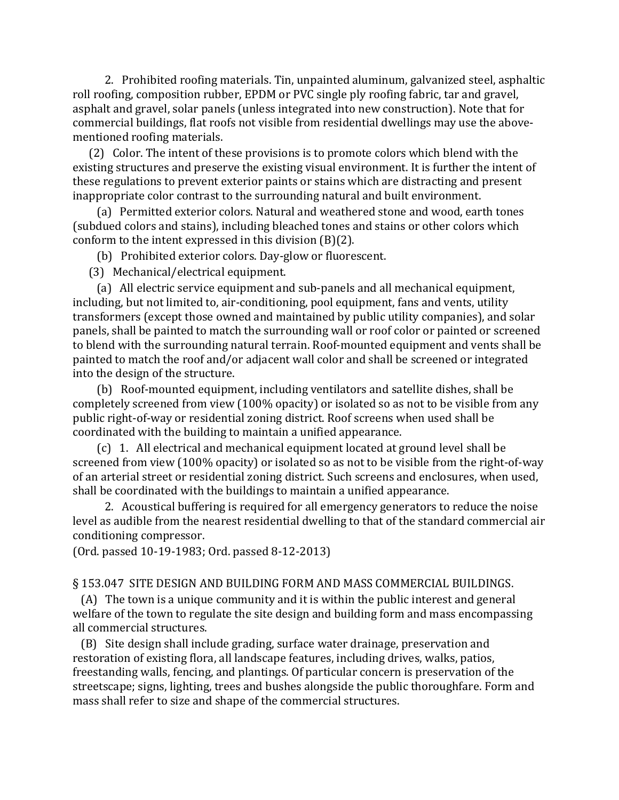2. Prohibited roofing materials. Tin, unpainted aluminum, galvanized steel, asphaltic roll roofing, composition rubber, EPDM or PVC single ply roofing fabric, tar and gravel, asphalt and gravel, solar panels (unless integrated into new construction). Note that for commercial buildings, flat roofs not visible from residential dwellings may use the abovementioned roofing materials.

 (2) Color. The intent of these provisions is to promote colors which blend with the existing structures and preserve the existing visual environment. It is further the intent of these regulations to prevent exterior paints or stains which are distracting and present inappropriate color contrast to the surrounding natural and built environment.

 (a) Permitted exterior colors. Natural and weathered stone and wood, earth tones (subdued colors and stains), including bleached tones and stains or other colors which conform to the intent expressed in this division (B)(2).

(b) Prohibited exterior colors. Day-glow or fluorescent.

(3) Mechanical/electrical equipment.

 (a) All electric service equipment and sub-panels and all mechanical equipment, including, but not limited to, air-conditioning, pool equipment, fans and vents, utility transformers (except those owned and maintained by public utility companies), and solar panels, shall be painted to match the surrounding wall or roof color or painted or screened to blend with the surrounding natural terrain. Roof-mounted equipment and vents shall be painted to match the roof and/or adjacent wall color and shall be screened or integrated into the design of the structure.

 (b) Roof-mounted equipment, including ventilators and satellite dishes, shall be completely screened from view (100% opacity) or isolated so as not to be visible from any public right-of-way or residential zoning district. Roof screens when used shall be coordinated with the building to maintain a unified appearance.

 (c) 1. All electrical and mechanical equipment located at ground level shall be screened from view (100% opacity) or isolated so as not to be visible from the right-of-way of an arterial street or residential zoning district. Such screens and enclosures, when used, shall be coordinated with the buildings to maintain a unified appearance.

 2. Acoustical buffering is required for all emergency generators to reduce the noise level as audible from the nearest residential dwelling to that of the standard commercial air conditioning compressor.

(Ord. passed 10-19-1983; Ord. passed 8-12-2013)

# § 153.047 SITE DESIGN AND BUILDING FORM AND MASS COMMERCIAL BUILDINGS.

 (A) The town is a unique community and it is within the public interest and general welfare of the town to regulate the site design and building form and mass encompassing all commercial structures.

 (B) Site design shall include grading, surface water drainage, preservation and restoration of existing flora, all landscape features, including drives, walks, patios, freestanding walls, fencing, and plantings. Of particular concern is preservation of the streetscape; signs, lighting, trees and bushes alongside the public thoroughfare. Form and mass shall refer to size and shape of the commercial structures.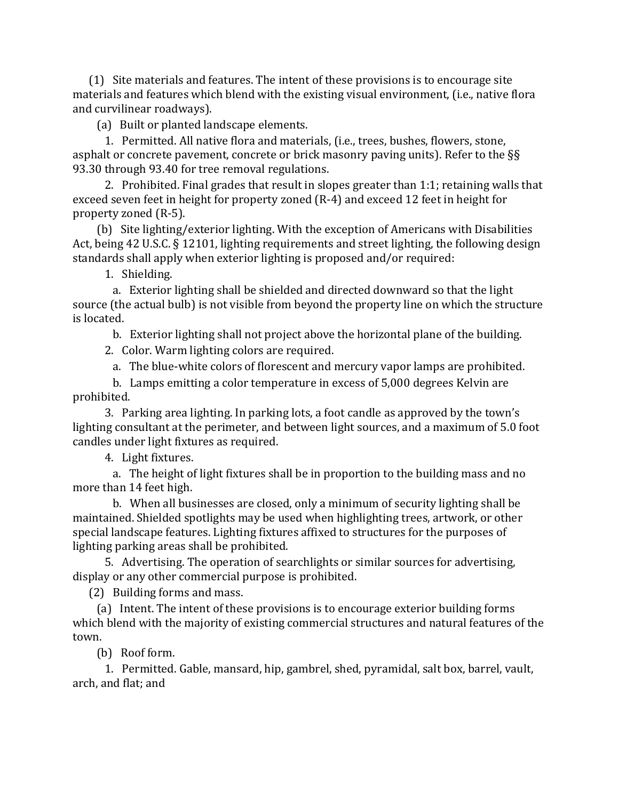(1) Site materials and features. The intent of these provisions is to encourage site materials and features which blend with the existing visual environment, (i.e., native flora and curvilinear roadways).

(a) Built or planted landscape elements.

 1. Permitted. All native flora and materials, (i.e., trees, bushes, flowers, stone, asphalt or concrete pavement, concrete or brick masonry paving units). Refer to the §§ 93.30 through 93.40 for tree removal regulations.

 2. Prohibited. Final grades that result in slopes greater than 1:1; retaining walls that exceed seven feet in height for property zoned (R-4) and exceed 12 feet in height for property zoned (R-5).

 (b) Site lighting/exterior lighting. With the exception of Americans with Disabilities Act, being 42 U.S.C. § 12101, lighting requirements and street lighting, the following design standards shall apply when exterior lighting is proposed and/or required:

1. Shielding.

 a. Exterior lighting shall be shielded and directed downward so that the light source (the actual bulb) is not visible from beyond the property line on which the structure is located.

b. Exterior lighting shall not project above the horizontal plane of the building.

2. Color. Warm lighting colors are required.

a. The blue-white colors of florescent and mercury vapor lamps are prohibited.

 b. Lamps emitting a color temperature in excess of 5,000 degrees Kelvin are prohibited.

 3. Parking area lighting. In parking lots, a foot candle as approved by the town's lighting consultant at the perimeter, and between light sources, and a maximum of 5.0 foot candles under light fixtures as required.

4. Light fixtures.

 a. The height of light fixtures shall be in proportion to the building mass and no more than 14 feet high.

 b. When all businesses are closed, only a minimum of security lighting shall be maintained. Shielded spotlights may be used when highlighting trees, artwork, or other special landscape features. Lighting fixtures affixed to structures for the purposes of lighting parking areas shall be prohibited.

 5. Advertising. The operation of searchlights or similar sources for advertising, display or any other commercial purpose is prohibited.

(2) Building forms and mass.

 (a) Intent. The intent of these provisions is to encourage exterior building forms which blend with the majority of existing commercial structures and natural features of the town.

(b) Roof form.

 1. Permitted. Gable, mansard, hip, gambrel, shed, pyramidal, salt box, barrel, vault, arch, and flat; and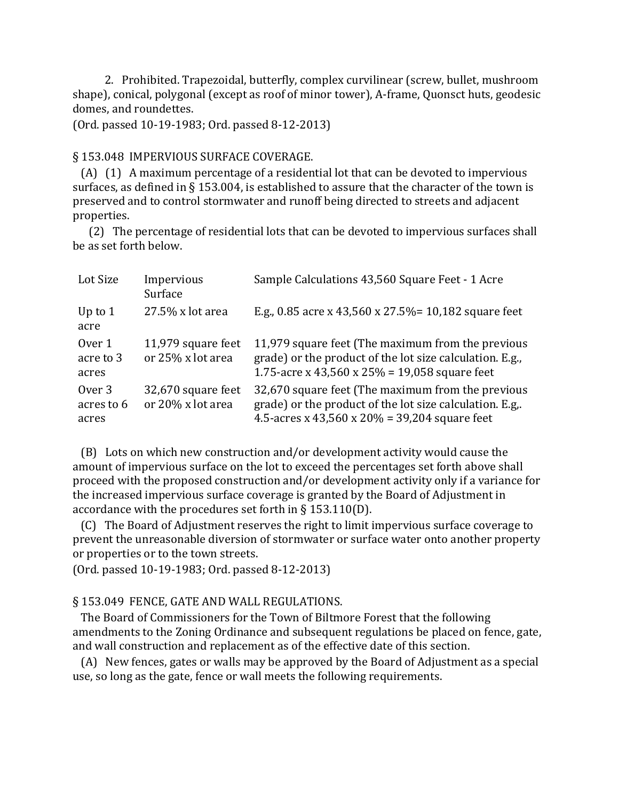2. Prohibited. Trapezoidal, butterfly, complex curvilinear (screw, bullet, mushroom shape), conical, polygonal (except as roof of minor tower), A-frame, Quonsct huts, geodesic domes, and roundettes.

(Ord. passed 10-19-1983; Ord. passed 8-12-2013)

## § 153.048 IMPERVIOUS SURFACE COVERAGE.

 (A) (1) A maximum percentage of a residential lot that can be devoted to impervious surfaces, as defined in § 153.004, is established to assure that the character of the town is preserved and to control stormwater and runoff being directed to streets and adjacent properties.

 (2) The percentage of residential lots that can be devoted to impervious surfaces shall be as set forth below.

| Lot Size                      | Impervious<br>Surface                   | Sample Calculations 43,560 Square Feet - 1 Acre                                                                                                                |
|-------------------------------|-----------------------------------------|----------------------------------------------------------------------------------------------------------------------------------------------------------------|
| Up to $1$<br>acre             | 27.5% x lot area                        | E.g., 0.85 acre x 43,560 x 27.5% = 10,182 square feet                                                                                                          |
| Over 1<br>acre to 3<br>acres  | 11,979 square feet<br>or 25% x lot area | 11,979 square feet (The maximum from the previous<br>grade) or the product of the lot size calculation. E.g.,<br>1.75-acre x 43,560 x 25% = 19,058 square feet |
| Over 3<br>acres to 6<br>acres | 32,670 square feet<br>or 20% x lot area | 32,670 square feet (The maximum from the previous<br>grade) or the product of the lot size calculation. E.g<br>4.5-acres x 43,560 x 20% = 39,204 square feet   |

 (B) Lots on which new construction and/or development activity would cause the amount of impervious surface on the lot to exceed the percentages set forth above shall proceed with the proposed construction and/or development activity only if a variance for the increased impervious surface coverage is granted by the Board of Adjustment in accordance with the procedures set forth in § 153.110(D).

 (C) The Board of Adjustment reserves the right to limit impervious surface coverage to prevent the unreasonable diversion of stormwater or surface water onto another property or properties or to the town streets.

(Ord. passed 10-19-1983; Ord. passed 8-12-2013)

# § 153.049 FENCE, GATE AND WALL REGULATIONS.

 The Board of Commissioners for the Town of Biltmore Forest that the following amendments to the Zoning Ordinance and subsequent regulations be placed on fence, gate, and wall construction and replacement as of the effective date of this section.

 (A) New fences, gates or walls may be approved by the Board of Adjustment as a special use, so long as the gate, fence or wall meets the following requirements.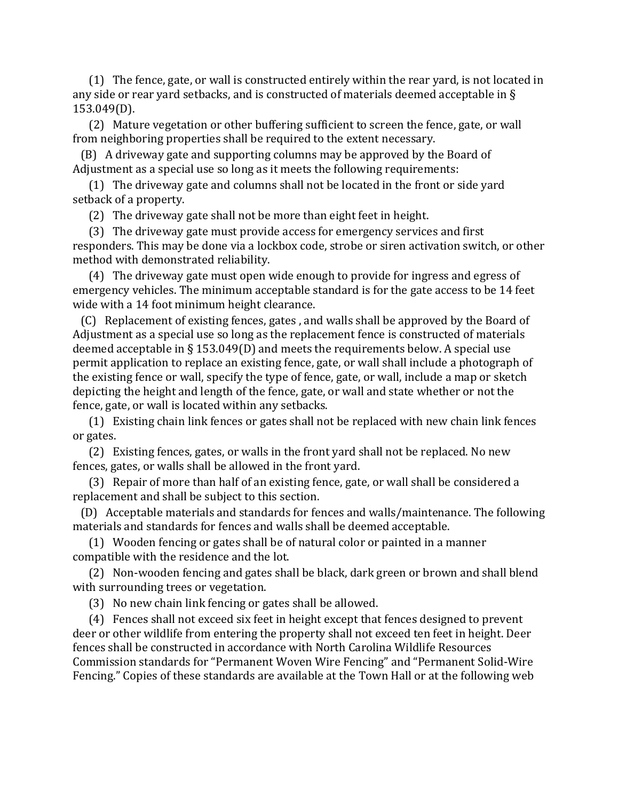(1) The fence, gate, or wall is constructed entirely within the rear yard, is not located in any side or rear yard setbacks, and is constructed of materials deemed acceptable in § 153.049(D).

 (2) Mature vegetation or other buffering sufficient to screen the fence, gate, or wall from neighboring properties shall be required to the extent necessary.

 (B) A driveway gate and supporting columns may be approved by the Board of Adjustment as a special use so long as it meets the following requirements:

 (1) The driveway gate and columns shall not be located in the front or side yard setback of a property.

(2) The driveway gate shall not be more than eight feet in height.

 (3) The driveway gate must provide access for emergency services and first responders. This may be done via a lockbox code, strobe or siren activation switch, or other method with demonstrated reliability.

 (4) The driveway gate must open wide enough to provide for ingress and egress of emergency vehicles. The minimum acceptable standard is for the gate access to be 14 feet wide with a 14 foot minimum height clearance.

 (C) Replacement of existing fences, gates , and walls shall be approved by the Board of Adjustment as a special use so long as the replacement fence is constructed of materials deemed acceptable in § 153.049(D) and meets the requirements below. A special use permit application to replace an existing fence, gate, or wall shall include a photograph of the existing fence or wall, specify the type of fence, gate, or wall, include a map or sketch depicting the height and length of the fence, gate, or wall and state whether or not the fence, gate, or wall is located within any setbacks.

 (1) Existing chain link fences or gates shall not be replaced with new chain link fences or gates.

 (2) Existing fences, gates, or walls in the front yard shall not be replaced. No new fences, gates, or walls shall be allowed in the front yard.

 (3) Repair of more than half of an existing fence, gate, or wall shall be considered a replacement and shall be subject to this section.

 (D) Acceptable materials and standards for fences and walls/maintenance. The following materials and standards for fences and walls shall be deemed acceptable.

 (1) Wooden fencing or gates shall be of natural color or painted in a manner compatible with the residence and the lot.

 (2) Non-wooden fencing and gates shall be black, dark green or brown and shall blend with surrounding trees or vegetation.

(3) No new chain link fencing or gates shall be allowed.

 (4) Fences shall not exceed six feet in height except that fences designed to prevent deer or other wildlife from entering the property shall not exceed ten feet in height. Deer fences shall be constructed in accordance with North Carolina Wildlife Resources Commission standards for "Permanent Woven Wire Fencing" and "Permanent Solid-Wire Fencing." Copies of these standards are available at the Town Hall or at the following web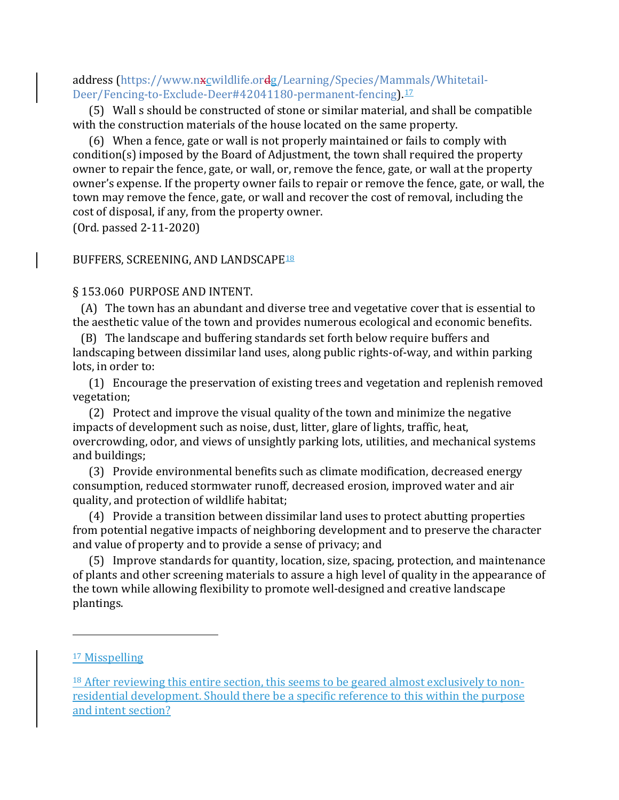address [\(https://www.nxcwildlife.ordg/Learning/Species/Mammals/Whitetail-](https://www.ncwildlife.org/Learning/Species/Mammals/Whitetail-Deer/Fencing-to-Exclude-Deer#42041180-permanent-fencing)[Deer/Fencing-to-Exclude-Deer#42041180-permanent-fencing\)](https://www.ncwildlife.org/Learning/Species/Mammals/Whitetail-Deer/Fencing-to-Exclude-Deer#42041180-permanent-fencing).[17](#page-49-0)

 (5) Wall s should be constructed of stone or similar material, and shall be compatible with the construction materials of the house located on the same property.

 (6) When a fence, gate or wall is not properly maintained or fails to comply with condition(s) imposed by the Board of Adjustment, the town shall required the property owner to repair the fence, gate, or wall, or, remove the fence, gate, or wall at the property owner's expense. If the property owner fails to repair or remove the fence, gate, or wall, the town may remove the fence, gate, or wall and recover the cost of removal, including the cost of disposal, if any, from the property owner.

(Ord. passed 2-11-2020)

#### BUFFERS, SCREENING, AND LANDSCAPE[18](#page-49-1)

#### § 153.060 PURPOSE AND INTENT.

 (A) The town has an abundant and diverse tree and vegetative cover that is essential to the aesthetic value of the town and provides numerous ecological and economic benefits.

 (B) The landscape and buffering standards set forth below require buffers and landscaping between dissimilar land uses, along public rights-of-way, and within parking lots, in order to:

 (1) Encourage the preservation of existing trees and vegetation and replenish removed vegetation;

 (2) Protect and improve the visual quality of the town and minimize the negative impacts of development such as noise, dust, litter, glare of lights, traffic, heat, overcrowding, odor, and views of unsightly parking lots, utilities, and mechanical systems and buildings;

 (3) Provide environmental benefits such as climate modification, decreased energy consumption, reduced stormwater runoff, decreased erosion, improved water and air quality, and protection of wildlife habitat;

 (4) Provide a transition between dissimilar land uses to protect abutting properties from potential negative impacts of neighboring development and to preserve the character and value of property and to provide a sense of privacy; and

 (5) Improve standards for quantity, location, size, spacing, protection, and maintenance of plants and other screening materials to assure a high level of quality in the appearance of the town while allowing flexibility to promote well-designed and creative landscape plantings.

<span id="page-49-0"></span><sup>&</sup>lt;sup>17</sup> Misspelling

<span id="page-49-1"></span><sup>&</sup>lt;sup>18</sup> After reviewing this entire section, this seems to be geared almost exclusively to nonresidential development. Should there be a specific reference to this within the purpose and intent section?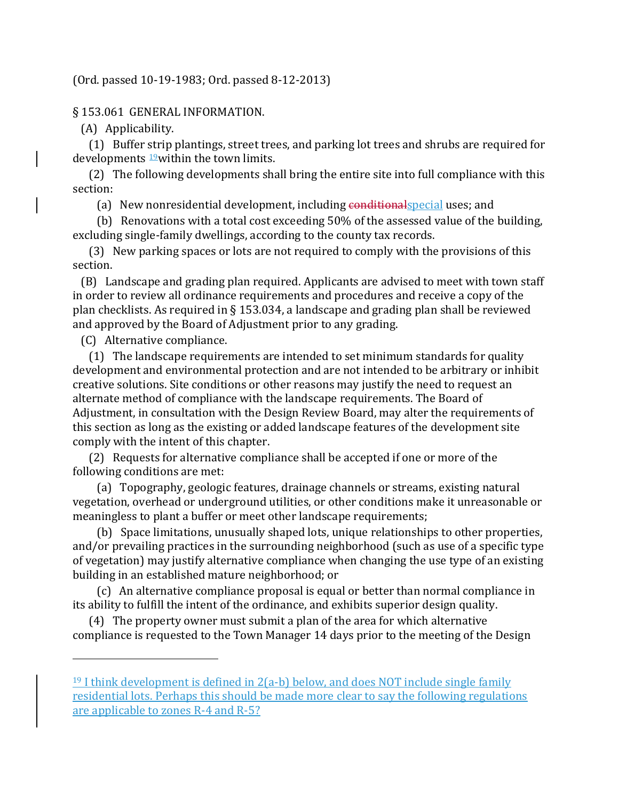## (Ord. passed 10-19-1983; Ord. passed 8-12-2013)

#### § 153.061 GENERAL INFORMATION.

(A) Applicability.

 (1) Buffer strip plantings, street trees, and parking lot trees and shrubs are required for developments  $19$  within the town limits.

 (2) The following developments shall bring the entire site into full compliance with this section:

(a) New nonresidential development, including conditionalspecial uses; and

 (b) Renovations with a total cost exceeding 50% of the assessed value of the building, excluding single-family dwellings, according to the county tax records.

 (3) New parking spaces or lots are not required to comply with the provisions of this section.

 (B) Landscape and grading plan required. Applicants are advised to meet with town staff in order to review all ordinance requirements and procedures and receive a copy of the plan checklists. As required in § 153.034, a landscape and grading plan shall be reviewed and approved by the Board of Adjustment prior to any grading.

(C) Alternative compliance.

i<br>I

 (1) The landscape requirements are intended to set minimum standards for quality development and environmental protection and are not intended to be arbitrary or inhibit creative solutions. Site conditions or other reasons may justify the need to request an alternate method of compliance with the landscape requirements. The Board of Adjustment, in consultation with the Design Review Board, may alter the requirements of this section as long as the existing or added landscape features of the development site comply with the intent of this chapter.

 (2) Requests for alternative compliance shall be accepted if one or more of the following conditions are met:

 (a) Topography, geologic features, drainage channels or streams, existing natural vegetation, overhead or underground utilities, or other conditions make it unreasonable or meaningless to plant a buffer or meet other landscape requirements;

 (b) Space limitations, unusually shaped lots, unique relationships to other properties, and/or prevailing practices in the surrounding neighborhood (such as use of a specific type of vegetation) may justify alternative compliance when changing the use type of an existing building in an established mature neighborhood; or

 (c) An alternative compliance proposal is equal or better than normal compliance in its ability to fulfill the intent of the ordinance, and exhibits superior design quality.

 (4) The property owner must submit a plan of the area for which alternative compliance is requested to the Town Manager 14 days prior to the meeting of the Design

<span id="page-50-0"></span> $19$  I think development is defined in  $2(a-b)$  below, and does NOT include single family residential lots. Perhaps this should be made more clear to say the following regulations are applicable to zones R-4 and R-5?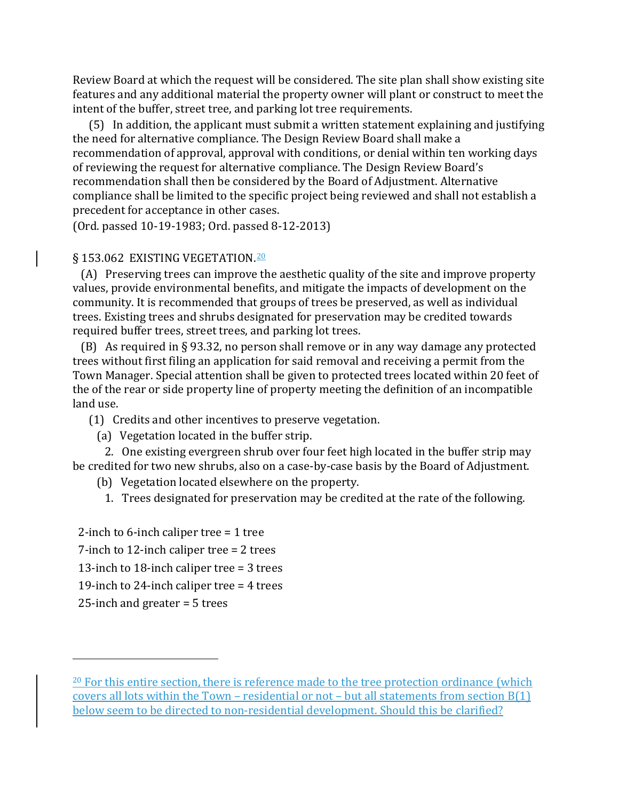Review Board at which the request will be considered. The site plan shall show existing site features and any additional material the property owner will plant or construct to meet the intent of the buffer, street tree, and parking lot tree requirements.

 (5) In addition, the applicant must submit a written statement explaining and justifying the need for alternative compliance. The Design Review Board shall make a recommendation of approval, approval with conditions, or denial within ten working days of reviewing the request for alternative compliance. The Design Review Board's recommendation shall then be considered by the Board of Adjustment. Alternative compliance shall be limited to the specific project being reviewed and shall not establish a precedent for acceptance in other cases.

(Ord. passed 10-19-1983; Ord. passed 8-12-2013)

# § 153.062 EXISTING VEGETATION.<sup>[20](#page-51-0)</sup>

 (A) Preserving trees can improve the aesthetic quality of the site and improve property values, provide environmental benefits, and mitigate the impacts of development on the community. It is recommended that groups of trees be preserved, as well as individual trees. Existing trees and shrubs designated for preservation may be credited towards required buffer trees, street trees, and parking lot trees.

 (B) As required in § 93.32, no person shall remove or in any way damage any protected trees without first filing an application for said removal and receiving a permit from the Town Manager. Special attention shall be given to protected trees located within 20 feet of the of the rear or side property line of property meeting the definition of an incompatible land use.

(1) Credits and other incentives to preserve vegetation.

(a) Vegetation located in the buffer strip.

 2. One existing evergreen shrub over four feet high located in the buffer strip may be credited for two new shrubs, also on a case-by-case basis by the Board of Adjustment.

- (b) Vegetation located elsewhere on the property.
	- 1. Trees designated for preservation may be credited at the rate of the following.

2-inch to 6-inch caliper tree = 1 tree 7-inch to 12-inch caliper tree = 2 trees 13-inch to 18-inch caliper tree = 3 trees 19-inch to 24-inch caliper tree = 4 trees 25-inch and greater = 5 trees

<span id="page-51-0"></span> $20$  For this entire section, there is reference made to the tree protection ordinance (which covers all lots within the Town – residential or not – but all statements from section B(1) below seem to be directed to non-residential development. Should this be clarified?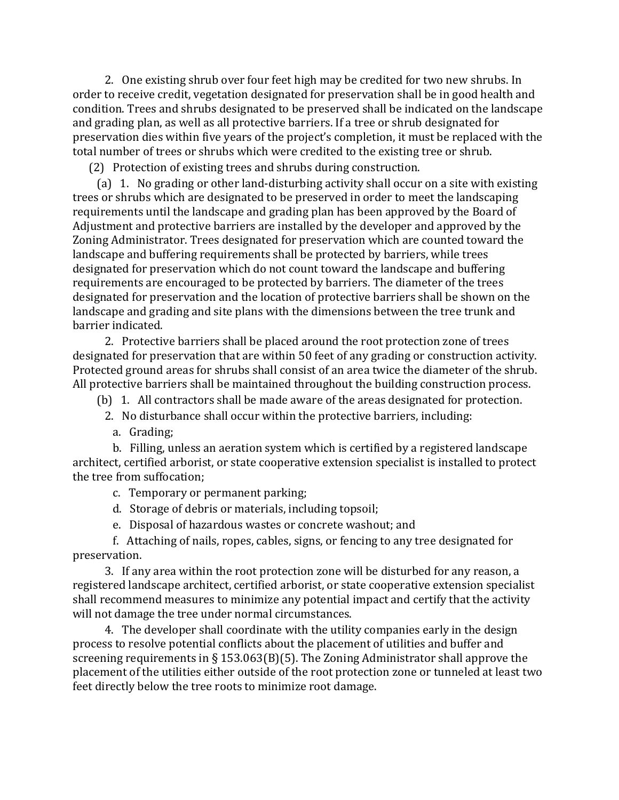2. One existing shrub over four feet high may be credited for two new shrubs. In order to receive credit, vegetation designated for preservation shall be in good health and condition. Trees and shrubs designated to be preserved shall be indicated on the landscape and grading plan, as well as all protective barriers. If a tree or shrub designated for preservation dies within five years of the project's completion, it must be replaced with the total number of trees or shrubs which were credited to the existing tree or shrub.

(2) Protection of existing trees and shrubs during construction.

 (a) 1. No grading or other land-disturbing activity shall occur on a site with existing trees or shrubs which are designated to be preserved in order to meet the landscaping requirements until the landscape and grading plan has been approved by the Board of Adjustment and protective barriers are installed by the developer and approved by the Zoning Administrator. Trees designated for preservation which are counted toward the landscape and buffering requirements shall be protected by barriers, while trees designated for preservation which do not count toward the landscape and buffering requirements are encouraged to be protected by barriers. The diameter of the trees designated for preservation and the location of protective barriers shall be shown on the landscape and grading and site plans with the dimensions between the tree trunk and barrier indicated.

 2. Protective barriers shall be placed around the root protection zone of trees designated for preservation that are within 50 feet of any grading or construction activity. Protected ground areas for shrubs shall consist of an area twice the diameter of the shrub. All protective barriers shall be maintained throughout the building construction process.

(b) 1. All contractors shall be made aware of the areas designated for protection.

2. No disturbance shall occur within the protective barriers, including:

a. Grading;

 b. Filling, unless an aeration system which is certified by a registered landscape architect, certified arborist, or state cooperative extension specialist is installed to protect the tree from suffocation;

c. Temporary or permanent parking;

- d. Storage of debris or materials, including topsoil;
- e. Disposal of hazardous wastes or concrete washout; and

 f. Attaching of nails, ropes, cables, signs, or fencing to any tree designated for preservation.

 3. If any area within the root protection zone will be disturbed for any reason, a registered landscape architect, certified arborist, or state cooperative extension specialist shall recommend measures to minimize any potential impact and certify that the activity will not damage the tree under normal circumstances.

 4. The developer shall coordinate with the utility companies early in the design process to resolve potential conflicts about the placement of utilities and buffer and screening requirements in § 153.063(B)(5). The Zoning Administrator shall approve the placement of the utilities either outside of the root protection zone or tunneled at least two feet directly below the tree roots to minimize root damage.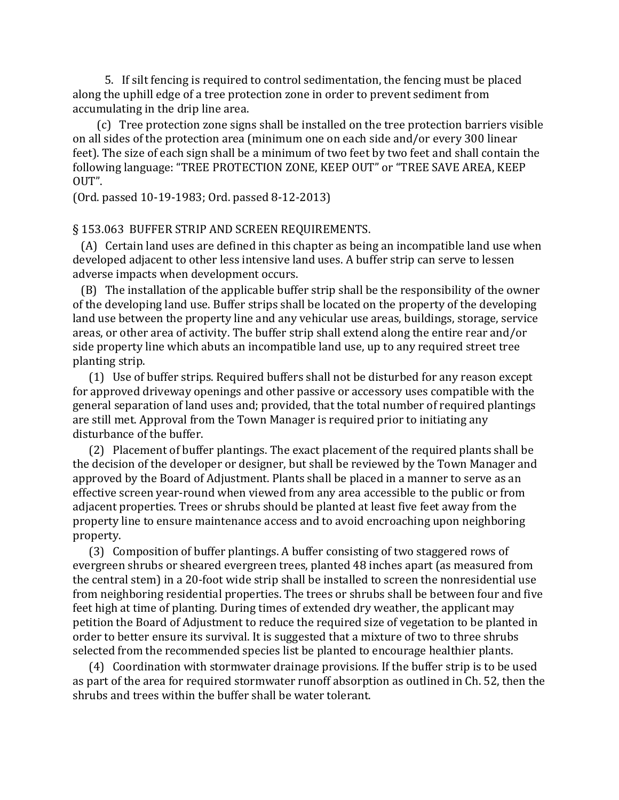5. If silt fencing is required to control sedimentation, the fencing must be placed along the uphill edge of a tree protection zone in order to prevent sediment from accumulating in the drip line area.

 (c) Tree protection zone signs shall be installed on the tree protection barriers visible on all sides of the protection area (minimum one on each side and/or every 300 linear feet). The size of each sign shall be a minimum of two feet by two feet and shall contain the following language: "TREE PROTECTION ZONE, KEEP OUT" or "TREE SAVE AREA, KEEP OUT".

(Ord. passed 10-19-1983; Ord. passed 8-12-2013)

#### § 153.063 BUFFER STRIP AND SCREEN REQUIREMENTS.

 (A) Certain land uses are defined in this chapter as being an incompatible land use when developed adjacent to other less intensive land uses. A buffer strip can serve to lessen adverse impacts when development occurs.

 (B) The installation of the applicable buffer strip shall be the responsibility of the owner of the developing land use. Buffer strips shall be located on the property of the developing land use between the property line and any vehicular use areas, buildings, storage, service areas, or other area of activity. The buffer strip shall extend along the entire rear and/or side property line which abuts an incompatible land use, up to any required street tree planting strip.

 (1) Use of buffer strips. Required buffers shall not be disturbed for any reason except for approved driveway openings and other passive or accessory uses compatible with the general separation of land uses and; provided, that the total number of required plantings are still met. Approval from the Town Manager is required prior to initiating any disturbance of the buffer.

 (2) Placement of buffer plantings. The exact placement of the required plants shall be the decision of the developer or designer, but shall be reviewed by the Town Manager and approved by the Board of Adjustment. Plants shall be placed in a manner to serve as an effective screen year-round when viewed from any area accessible to the public or from adjacent properties. Trees or shrubs should be planted at least five feet away from the property line to ensure maintenance access and to avoid encroaching upon neighboring property.

 (3) Composition of buffer plantings. A buffer consisting of two staggered rows of evergreen shrubs or sheared evergreen trees, planted 48 inches apart (as measured from the central stem) in a 20-foot wide strip shall be installed to screen the nonresidential use from neighboring residential properties. The trees or shrubs shall be between four and five feet high at time of planting. During times of extended dry weather, the applicant may petition the Board of Adjustment to reduce the required size of vegetation to be planted in order to better ensure its survival. It is suggested that a mixture of two to three shrubs selected from the recommended species list be planted to encourage healthier plants.

 (4) Coordination with stormwater drainage provisions. If the buffer strip is to be used as part of the area for required stormwater runoff absorption as outlined in Ch. 52, then the shrubs and trees within the buffer shall be water tolerant.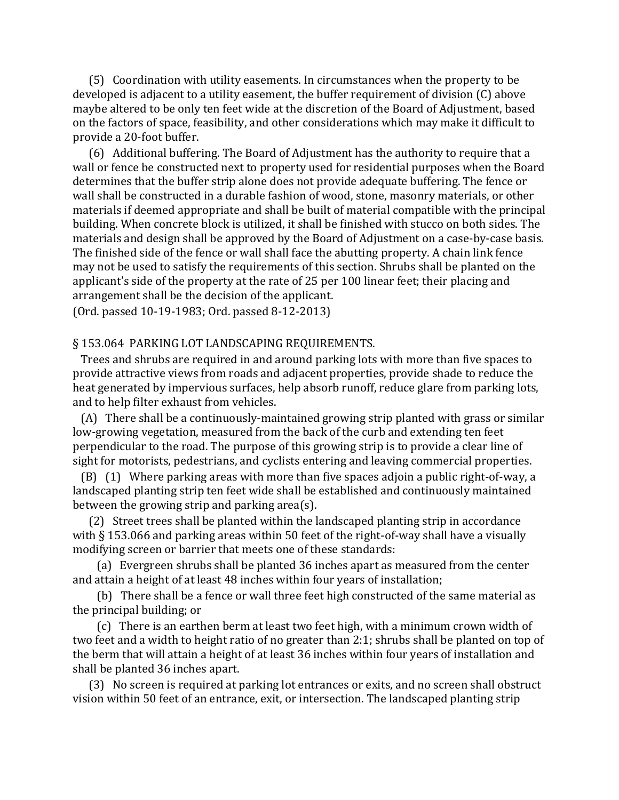(5) Coordination with utility easements. In circumstances when the property to be developed is adjacent to a utility easement, the buffer requirement of division (C) above maybe altered to be only ten feet wide at the discretion of the Board of Adjustment, based on the factors of space, feasibility, and other considerations which may make it difficult to provide a 20-foot buffer.

 (6) Additional buffering. The Board of Adjustment has the authority to require that a wall or fence be constructed next to property used for residential purposes when the Board determines that the buffer strip alone does not provide adequate buffering. The fence or wall shall be constructed in a durable fashion of wood, stone, masonry materials, or other materials if deemed appropriate and shall be built of material compatible with the principal building. When concrete block is utilized, it shall be finished with stucco on both sides. The materials and design shall be approved by the Board of Adjustment on a case-by-case basis. The finished side of the fence or wall shall face the abutting property. A chain link fence may not be used to satisfy the requirements of this section. Shrubs shall be planted on the applicant's side of the property at the rate of 25 per 100 linear feet; their placing and arrangement shall be the decision of the applicant.

(Ord. passed 10-19-1983; Ord. passed 8-12-2013)

#### § 153.064 PARKING LOT LANDSCAPING REQUIREMENTS.

 Trees and shrubs are required in and around parking lots with more than five spaces to provide attractive views from roads and adjacent properties, provide shade to reduce the heat generated by impervious surfaces, help absorb runoff, reduce glare from parking lots, and to help filter exhaust from vehicles.

 (A) There shall be a continuously-maintained growing strip planted with grass or similar low-growing vegetation, measured from the back of the curb and extending ten feet perpendicular to the road. The purpose of this growing strip is to provide a clear line of sight for motorists, pedestrians, and cyclists entering and leaving commercial properties.

 (B) (1) Where parking areas with more than five spaces adjoin a public right-of-way, a landscaped planting strip ten feet wide shall be established and continuously maintained between the growing strip and parking area(s).

 (2) Street trees shall be planted within the landscaped planting strip in accordance with § 153.066 and parking areas within 50 feet of the right-of-way shall have a visually modifying screen or barrier that meets one of these standards:

 (a) Evergreen shrubs shall be planted 36 inches apart as measured from the center and attain a height of at least 48 inches within four years of installation;

 (b) There shall be a fence or wall three feet high constructed of the same material as the principal building; or

 (c) There is an earthen berm at least two feet high, with a minimum crown width of two feet and a width to height ratio of no greater than 2:1; shrubs shall be planted on top of the berm that will attain a height of at least 36 inches within four years of installation and shall be planted 36 inches apart.

 (3) No screen is required at parking lot entrances or exits, and no screen shall obstruct vision within 50 feet of an entrance, exit, or intersection. The landscaped planting strip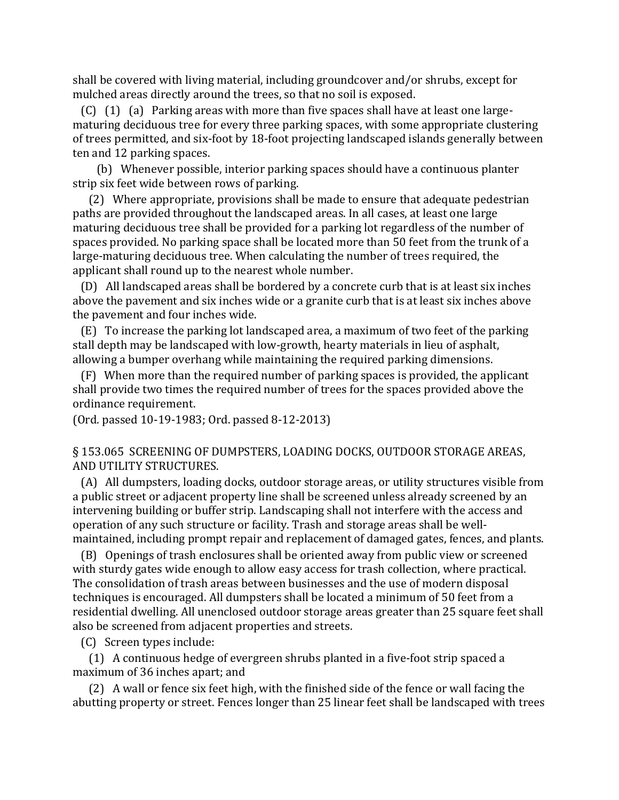shall be covered with living material, including groundcover and/or shrubs, except for mulched areas directly around the trees, so that no soil is exposed.

 (C) (1) (a) Parking areas with more than five spaces shall have at least one largematuring deciduous tree for every three parking spaces, with some appropriate clustering of trees permitted, and six-foot by 18-foot projecting landscaped islands generally between ten and 12 parking spaces.

 (b) Whenever possible, interior parking spaces should have a continuous planter strip six feet wide between rows of parking.

 (2) Where appropriate, provisions shall be made to ensure that adequate pedestrian paths are provided throughout the landscaped areas. In all cases, at least one large maturing deciduous tree shall be provided for a parking lot regardless of the number of spaces provided. No parking space shall be located more than 50 feet from the trunk of a large-maturing deciduous tree. When calculating the number of trees required, the applicant shall round up to the nearest whole number.

 (D) All landscaped areas shall be bordered by a concrete curb that is at least six inches above the pavement and six inches wide or a granite curb that is at least six inches above the pavement and four inches wide.

 (E) To increase the parking lot landscaped area, a maximum of two feet of the parking stall depth may be landscaped with low-growth, hearty materials in lieu of asphalt, allowing a bumper overhang while maintaining the required parking dimensions.

 (F) When more than the required number of parking spaces is provided, the applicant shall provide two times the required number of trees for the spaces provided above the ordinance requirement.

(Ord. passed 10-19-1983; Ord. passed 8-12-2013)

## § 153.065 SCREENING OF DUMPSTERS, LOADING DOCKS, OUTDOOR STORAGE AREAS, AND UTILITY STRUCTURES.

 (A) All dumpsters, loading docks, outdoor storage areas, or utility structures visible from a public street or adjacent property line shall be screened unless already screened by an intervening building or buffer strip. Landscaping shall not interfere with the access and operation of any such structure or facility. Trash and storage areas shall be wellmaintained, including prompt repair and replacement of damaged gates, fences, and plants.

 (B) Openings of trash enclosures shall be oriented away from public view or screened with sturdy gates wide enough to allow easy access for trash collection, where practical. The consolidation of trash areas between businesses and the use of modern disposal techniques is encouraged. All dumpsters shall be located a minimum of 50 feet from a residential dwelling. All unenclosed outdoor storage areas greater than 25 square feet shall also be screened from adjacent properties and streets.

(C) Screen types include:

 (1) A continuous hedge of evergreen shrubs planted in a five-foot strip spaced a maximum of 36 inches apart; and

 (2) A wall or fence six feet high, with the finished side of the fence or wall facing the abutting property or street. Fences longer than 25 linear feet shall be landscaped with trees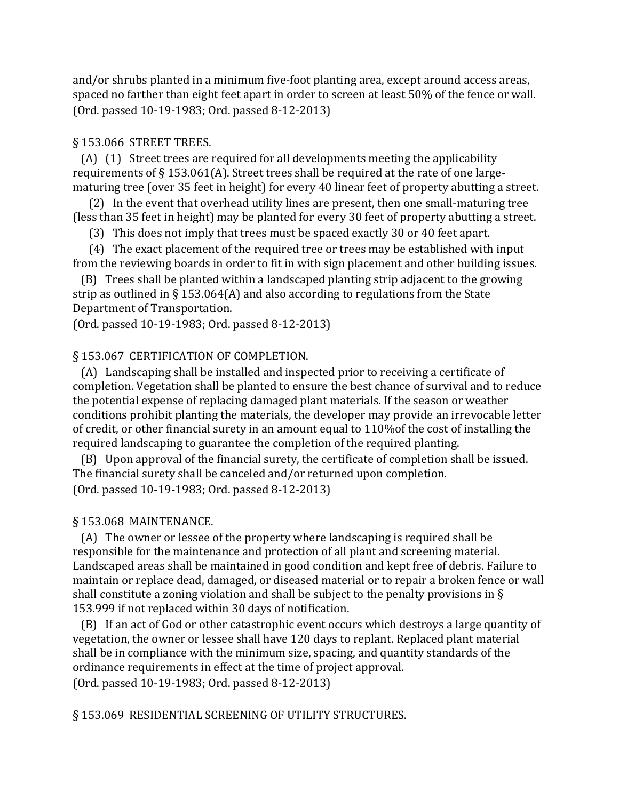and/or shrubs planted in a minimum five-foot planting area, except around access areas, spaced no farther than eight feet apart in order to screen at least 50% of the fence or wall. (Ord. passed 10-19-1983; Ord. passed 8-12-2013)

# § 153.066 STREET TREES.

 (A) (1) Street trees are required for all developments meeting the applicability requirements of § 153.061(A). Street trees shall be required at the rate of one largematuring tree (over 35 feet in height) for every 40 linear feet of property abutting a street.

 (2) In the event that overhead utility lines are present, then one small-maturing tree (less than 35 feet in height) may be planted for every 30 feet of property abutting a street.

(3) This does not imply that trees must be spaced exactly 30 or 40 feet apart.

 (4) The exact placement of the required tree or trees may be established with input from the reviewing boards in order to fit in with sign placement and other building issues.

 (B) Trees shall be planted within a landscaped planting strip adjacent to the growing strip as outlined in § 153.064(A) and also according to regulations from the State Department of Transportation.

(Ord. passed 10-19-1983; Ord. passed 8-12-2013)

# § 153.067 CERTIFICATION OF COMPLETION.

 (A) Landscaping shall be installed and inspected prior to receiving a certificate of completion. Vegetation shall be planted to ensure the best chance of survival and to reduce the potential expense of replacing damaged plant materials. If the season or weather conditions prohibit planting the materials, the developer may provide an irrevocable letter of credit, or other financial surety in an amount equal to 110%of the cost of installing the required landscaping to guarantee the completion of the required planting.

 (B) Upon approval of the financial surety, the certificate of completion shall be issued. The financial surety shall be canceled and/or returned upon completion. (Ord. passed 10-19-1983; Ord. passed 8-12-2013)

# § 153.068 MAINTENANCE.

 (A) The owner or lessee of the property where landscaping is required shall be responsible for the maintenance and protection of all plant and screening material. Landscaped areas shall be maintained in good condition and kept free of debris. Failure to maintain or replace dead, damaged, or diseased material or to repair a broken fence or wall shall constitute a zoning violation and shall be subject to the penalty provisions in § 153.999 if not replaced within 30 days of notification.

 (B) If an act of God or other catastrophic event occurs which destroys a large quantity of vegetation, the owner or lessee shall have 120 days to replant. Replaced plant material shall be in compliance with the minimum size, spacing, and quantity standards of the ordinance requirements in effect at the time of project approval. (Ord. passed 10-19-1983; Ord. passed 8-12-2013)

§ 153.069 RESIDENTIAL SCREENING OF UTILITY STRUCTURES.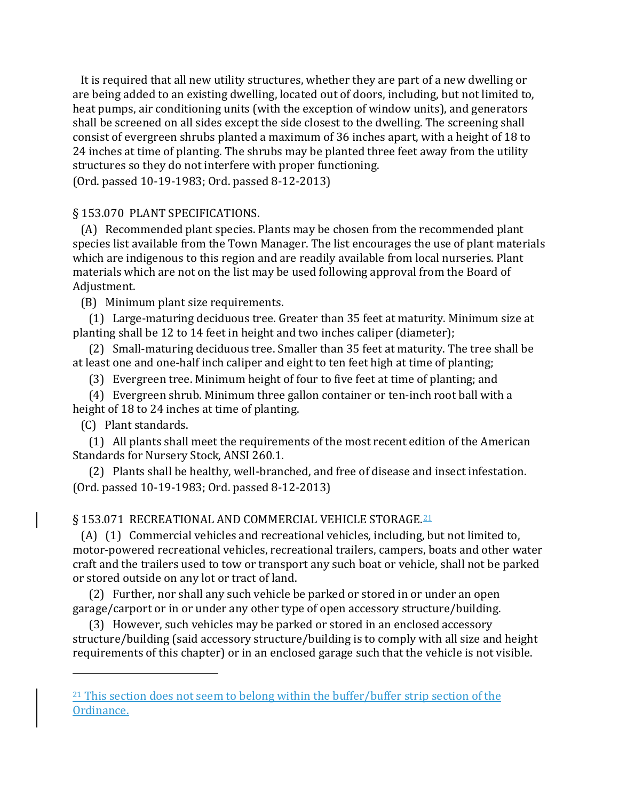It is required that all new utility structures, whether they are part of a new dwelling or are being added to an existing dwelling, located out of doors, including, but not limited to, heat pumps, air conditioning units (with the exception of window units), and generators shall be screened on all sides except the side closest to the dwelling. The screening shall consist of evergreen shrubs planted a maximum of 36 inches apart, with a height of 18 to 24 inches at time of planting. The shrubs may be planted three feet away from the utility structures so they do not interfere with proper functioning.

(Ord. passed 10-19-1983; Ord. passed 8-12-2013)

# § 153.070 PLANT SPECIFICATIONS.

 (A) Recommended plant species. Plants may be chosen from the recommended plant species list available from the Town Manager. The list encourages the use of plant materials which are indigenous to this region and are readily available from local nurseries. Plant materials which are not on the list may be used following approval from the Board of Adjustment.

(B) Minimum plant size requirements.

 (1) Large-maturing deciduous tree. Greater than 35 feet at maturity. Minimum size at planting shall be 12 to 14 feet in height and two inches caliper (diameter);

 (2) Small-maturing deciduous tree. Smaller than 35 feet at maturity. The tree shall be at least one and one-half inch caliper and eight to ten feet high at time of planting;

(3) Evergreen tree. Minimum height of four to five feet at time of planting; and

 (4) Evergreen shrub. Minimum three gallon container or ten-inch root ball with a height of 18 to 24 inches at time of planting.

(C) Plant standards.

i<br>I

 (1) All plants shall meet the requirements of the most recent edition of the American Standards for Nursery Stock, ANSI 260.1.

 (2) Plants shall be healthy, well-branched, and free of disease and insect infestation. (Ord. passed 10-19-1983; Ord. passed 8-12-2013)

# § 153.071 RECREATIONAL AND COMMERCIAL VEHICLE STORAGE.<sup>[21](#page-57-0)</sup>

 (A) (1) Commercial vehicles and recreational vehicles, including, but not limited to, motor-powered recreational vehicles, recreational trailers, campers, boats and other water craft and the trailers used to tow or transport any such boat or vehicle, shall not be parked or stored outside on any lot or tract of land.

 (2) Further, nor shall any such vehicle be parked or stored in or under an open garage/carport or in or under any other type of open accessory structure/building.

 (3) However, such vehicles may be parked or stored in an enclosed accessory structure/building (said accessory structure/building is to comply with all size and height requirements of this chapter) or in an enclosed garage such that the vehicle is not visible.

<span id="page-57-0"></span><sup>&</sup>lt;sup>21</sup> This section does not seem to belong within the buffer/buffer strip section of the Ordinance.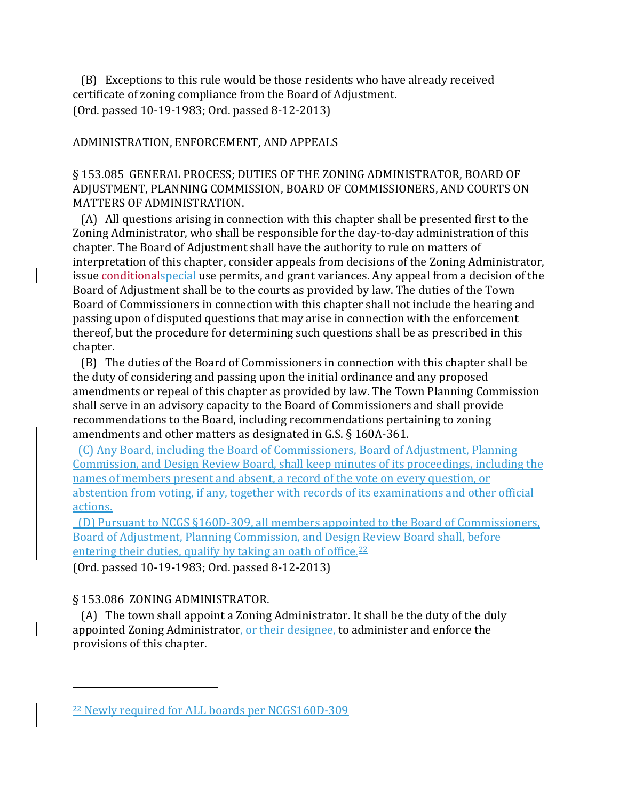(B) Exceptions to this rule would be those residents who have already received certificate of zoning compliance from the Board of Adjustment. (Ord. passed 10-19-1983; Ord. passed 8-12-2013)

## ADMINISTRATION, ENFORCEMENT, AND APPEALS

# § 153.085 GENERAL PROCESS; DUTIES OF THE ZONING ADMINISTRATOR, BOARD OF ADJUSTMENT, PLANNING COMMISSION, BOARD OF COMMISSIONERS, AND COURTS ON MATTERS OF ADMINISTRATION.

 (A) All questions arising in connection with this chapter shall be presented first to the Zoning Administrator, who shall be responsible for the day-to-day administration of this chapter. The Board of Adjustment shall have the authority to rule on matters of interpretation of this chapter, consider appeals from decisions of the Zoning Administrator, issue conditional special use permits, and grant variances. Any appeal from a decision of the Board of Adjustment shall be to the courts as provided by law. The duties of the Town Board of Commissioners in connection with this chapter shall not include the hearing and passing upon of disputed questions that may arise in connection with the enforcement thereof, but the procedure for determining such questions shall be as prescribed in this chapter.

 (B) The duties of the Board of Commissioners in connection with this chapter shall be the duty of considering and passing upon the initial ordinance and any proposed amendments or repeal of this chapter as provided by law. The Town Planning Commission shall serve in an advisory capacity to the Board of Commissioners and shall provide recommendations to the Board, including recommendations pertaining to zoning amendments and other matters as designated in G.S. § 160A-361.

 (C) Any Board, including the Board of Commissioners, Board of Adjustment, Planning Commission, and Design Review Board, shall keep minutes of its proceedings, including the names of members present and absent, a record of the vote on every question, or abstention from voting, if any, together with records of its examinations and other official actions.

 (D) Pursuant to NCGS §160D-309, all members appointed to the Board of Commissioners, Board of Adjustment, Planning Commission, and Design Review Board shall, before entering their duties, qualify by taking an oath of office. $22$ (Ord. passed 10-19-1983; Ord. passed 8-12-2013)

# § 153.086 ZONING ADMINISTRATOR.

i<br>I

 (A) The town shall appoint a Zoning Administrator. It shall be the duty of the duly appointed Zoning Administrator, or their designee, to administer and enforce the provisions of this chapter.

<span id="page-58-0"></span><sup>22</sup> Newly required for ALL boards per NCGS160D-309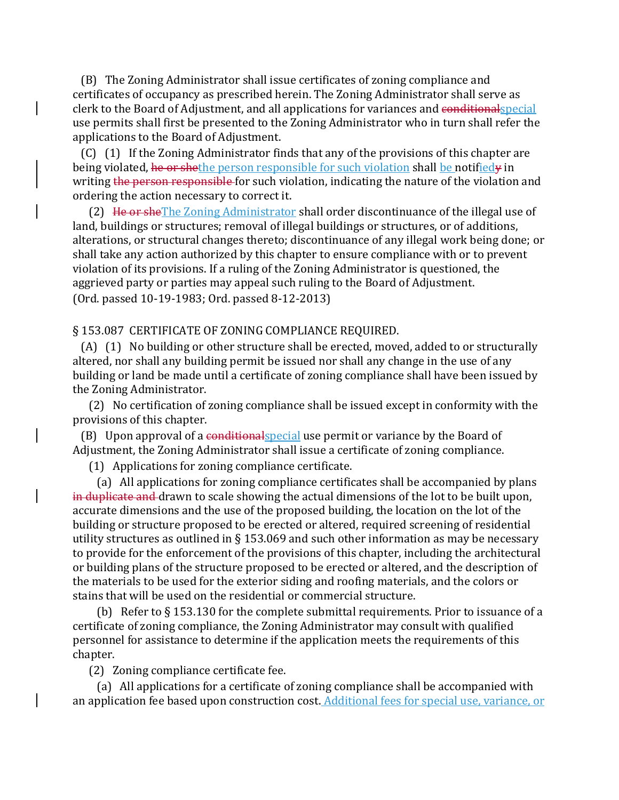(B) The Zoning Administrator shall issue certificates of zoning compliance and certificates of occupancy as prescribed herein. The Zoning Administrator shall serve as clerk to the Board of Adjustment, and all applications for variances and conditionalspecial use permits shall first be presented to the Zoning Administrator who in turn shall refer the applications to the Board of Adjustment.

 (C) (1) If the Zoning Administrator finds that any of the provisions of this chapter are being violated, he or shethe person responsible for such violation shall be notifiedy in writing the person responsible for such violation, indicating the nature of the violation and ordering the action necessary to correct it.

 (2) He or sheThe Zoning Administrator shall order discontinuance of the illegal use of land, buildings or structures; removal of illegal buildings or structures, or of additions, alterations, or structural changes thereto; discontinuance of any illegal work being done; or shall take any action authorized by this chapter to ensure compliance with or to prevent violation of its provisions. If a ruling of the Zoning Administrator is questioned, the aggrieved party or parties may appeal such ruling to the Board of Adjustment. (Ord. passed 10-19-1983; Ord. passed 8-12-2013)

#### § 153.087 CERTIFICATE OF ZONING COMPLIANCE REQUIRED.

 (A) (1) No building or other structure shall be erected, moved, added to or structurally altered, nor shall any building permit be issued nor shall any change in the use of any building or land be made until a certificate of zoning compliance shall have been issued by the Zoning Administrator.

 (2) No certification of zoning compliance shall be issued except in conformity with the provisions of this chapter.

(B) Upon approval of a conditional special use permit or variance by the Board of Adjustment, the Zoning Administrator shall issue a certificate of zoning compliance.

(1) Applications for zoning compliance certificate.

 (a) All applications for zoning compliance certificates shall be accompanied by plans in duplicate and drawn to scale showing the actual dimensions of the lot to be built upon, accurate dimensions and the use of the proposed building, the location on the lot of the building or structure proposed to be erected or altered, required screening of residential utility structures as outlined in § 153.069 and such other information as may be necessary to provide for the enforcement of the provisions of this chapter, including the architectural or building plans of the structure proposed to be erected or altered, and the description of the materials to be used for the exterior siding and roofing materials, and the colors or stains that will be used on the residential or commercial structure.

 (b) Refer to § 153.130 for the complete submittal requirements. Prior to issuance of a certificate of zoning compliance, the Zoning Administrator may consult with qualified personnel for assistance to determine if the application meets the requirements of this chapter.

(2) Zoning compliance certificate fee.

 (a) All applications for a certificate of zoning compliance shall be accompanied with an application fee based upon construction cost. Additional fees for special use, variance, or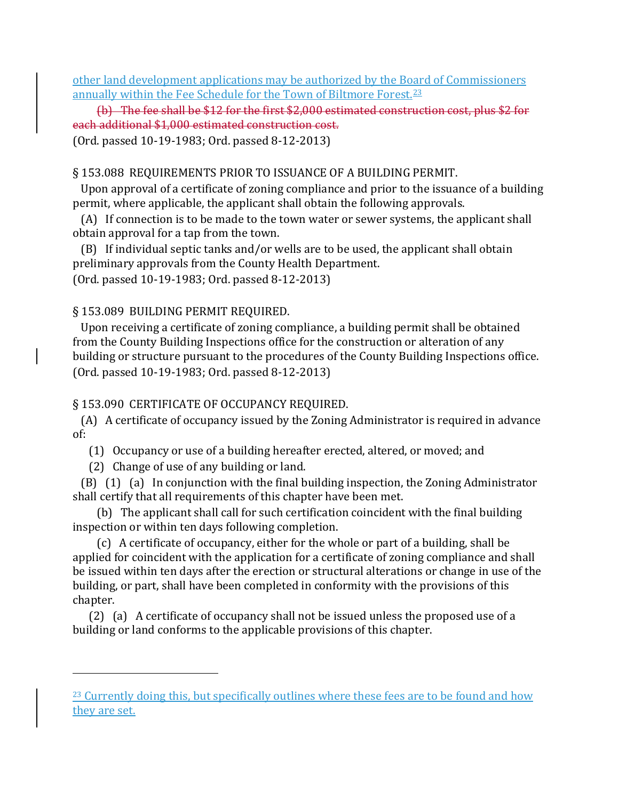other land development applications may be authorized by the Board of Commissioners annually within the Fee Schedule for the Town of Biltmore Forest.<sup>[23](#page-60-0)</sup>

 (b) The fee shall be \$12 for the first \$2,000 estimated construction cost, plus \$2 for each additional \$1,000 estimated construction cost.

(Ord. passed 10-19-1983; Ord. passed 8-12-2013)

# § 153.088 REQUIREMENTS PRIOR TO ISSUANCE OF A BUILDING PERMIT.

 Upon approval of a certificate of zoning compliance and prior to the issuance of a building permit, where applicable, the applicant shall obtain the following approvals.

 (A) If connection is to be made to the town water or sewer systems, the applicant shall obtain approval for a tap from the town.

 (B) If individual septic tanks and/or wells are to be used, the applicant shall obtain preliminary approvals from the County Health Department. (Ord. passed 10-19-1983; Ord. passed 8-12-2013)

# § 153.089 BUILDING PERMIT REQUIRED.

 Upon receiving a certificate of zoning compliance, a building permit shall be obtained from the County Building Inspections office for the construction or alteration of any building or structure pursuant to the procedures of the County Building Inspections office. (Ord. passed 10-19-1983; Ord. passed 8-12-2013)

# § 153.090 CERTIFICATE OF OCCUPANCY REQUIRED.

 (A) A certificate of occupancy issued by the Zoning Administrator is required in advance of:

(1) Occupancy or use of a building hereafter erected, altered, or moved; and

(2) Change of use of any building or land.

i<br>I

 (B) (1) (a) In conjunction with the final building inspection, the Zoning Administrator shall certify that all requirements of this chapter have been met.

 (b) The applicant shall call for such certification coincident with the final building inspection or within ten days following completion.

 (c) A certificate of occupancy, either for the whole or part of a building, shall be applied for coincident with the application for a certificate of zoning compliance and shall be issued within ten days after the erection or structural alterations or change in use of the building, or part, shall have been completed in conformity with the provisions of this chapter.

 (2) (a) A certificate of occupancy shall not be issued unless the proposed use of a building or land conforms to the applicable provisions of this chapter.

<span id="page-60-0"></span><sup>&</sup>lt;sup>23</sup> Currently doing this, but specifically outlines where these fees are to be found and how they are set.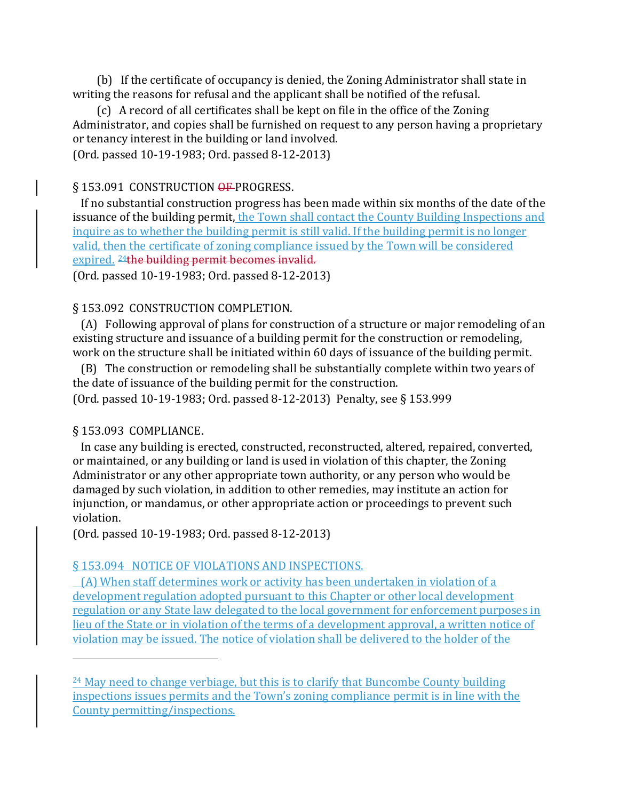(b) If the certificate of occupancy is denied, the Zoning Administrator shall state in writing the reasons for refusal and the applicant shall be notified of the refusal.

 (c) A record of all certificates shall be kept on file in the office of the Zoning Administrator, and copies shall be furnished on request to any person having a proprietary or tenancy interest in the building or land involved.

(Ord. passed 10-19-1983; Ord. passed 8-12-2013)

## § 153.091 CONSTRUCTION OF PROGRESS.

 If no substantial construction progress has been made within six months of the date of the issuance of the building permit, the Town shall contact the County Building Inspections and inquire as to whether the building permit is still valid. If the building permit is no longer valid, then the certificate of zoning compliance issued by the Town will be considered expired. [24t](#page-61-0)he building permit becomes invalid.

(Ord. passed 10-19-1983; Ord. passed 8-12-2013)

# § 153.092 CONSTRUCTION COMPLETION.

 (A) Following approval of plans for construction of a structure or major remodeling of an existing structure and issuance of a building permit for the construction or remodeling, work on the structure shall be initiated within 60 days of issuance of the building permit.

 (B) The construction or remodeling shall be substantially complete within two years of the date of issuance of the building permit for the construction.

(Ord. passed 10-19-1983; Ord. passed 8-12-2013) Penalty, see § 153.999

# § 153.093 COMPLIANCE.

i<br>I

 In case any building is erected, constructed, reconstructed, altered, repaired, converted, or maintained, or any building or land is used in violation of this chapter, the Zoning Administrator or any other appropriate town authority, or any person who would be damaged by such violation, in addition to other remedies, may institute an action for injunction, or mandamus, or other appropriate action or proceedings to prevent such violation.

(Ord. passed 10-19-1983; Ord. passed 8-12-2013)

# § 153.094 NOTICE OF VIOLATIONS AND INSPECTIONS.

 (A) When staff determines work or activity has been undertaken in violation of a development regulation adopted pursuant to this Chapter or other local development regulation or any State law delegated to the local government for enforcement purposes in lieu of the State or in violation of the terms of a development approval, a written notice of violation may be issued. The notice of violation shall be delivered to the holder of the

<span id="page-61-0"></span> $24$  May need to change verbiage, but this is to clarify that Buncombe County building inspections issues permits and the Town's zoning compliance permit is in line with the County permitting/inspections.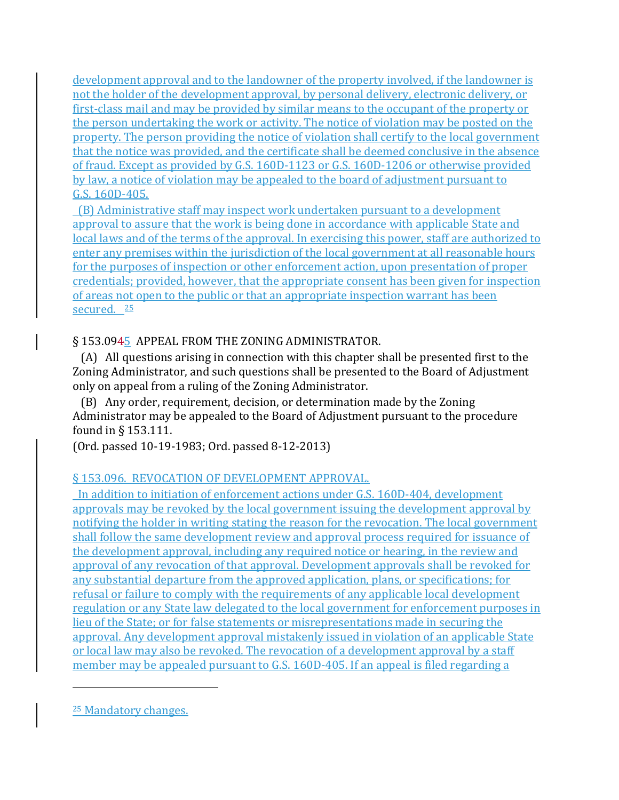development approval and to the landowner of the property involved, if the landowner is not the holder of the development approval, by personal delivery, electronic delivery, or first-class mail and may be provided by similar means to the occupant of the property or the person undertaking the work or activity. The notice of violation may be posted on the property. The person providing the notice of violation shall certify to the local government that the notice was provided, and the certificate shall be deemed conclusive in the absence of fraud. Except as provided by G.S. 160D-1123 or G.S. 160D-1206 or otherwise provided by law, a notice of violation may be appealed to the board of adjustment pursuant to G.S. 160D-405.

 (B) Administrative staff may inspect work undertaken pursuant to a development approval to assure that the work is being done in accordance with applicable State and local laws and of the terms of the approval. In exercising this power, staff are authorized to enter any premises within the jurisdiction of the local government at all reasonable hours for the purposes of inspection or other enforcement action, upon presentation of proper credentials; provided, however, that the appropriate consent has been given for inspection of areas not open to the public or that an appropriate inspection warrant has been secured. [25](#page-62-0)

# § 153.0945 APPEAL FROM THE ZONING ADMINISTRATOR.

 (A) All questions arising in connection with this chapter shall be presented first to the Zoning Administrator, and such questions shall be presented to the Board of Adjustment only on appeal from a ruling of the Zoning Administrator.

 (B) Any order, requirement, decision, or determination made by the Zoning Administrator may be appealed to the Board of Adjustment pursuant to the procedure found in § 153.111.

(Ord. passed 10-19-1983; Ord. passed 8-12-2013)

# § 153.096. REVOCATION OF DEVELOPMENT APPROVAL.

 In addition to initiation of enforcement actions under G.S. 160D-404, development approvals may be revoked by the local government issuing the development approval by notifying the holder in writing stating the reason for the revocation. The local government shall follow the same development review and approval process required for issuance of the development approval, including any required notice or hearing, in the review and approval of any revocation of that approval. Development approvals shall be revoked for any substantial departure from the approved application, plans, or specifications; for refusal or failure to comply with the requirements of any applicable local development regulation or any State law delegated to the local government for enforcement purposes in lieu of the State; or for false statements or misrepresentations made in securing the approval. Any development approval mistakenly issued in violation of an applicable State or local law may also be revoked. The revocation of a development approval by a staff member may be appealed pursuant to G.S. 160D-405. If an appeal is filed regarding a

<span id="page-62-0"></span><sup>25</sup> Mandatory changes.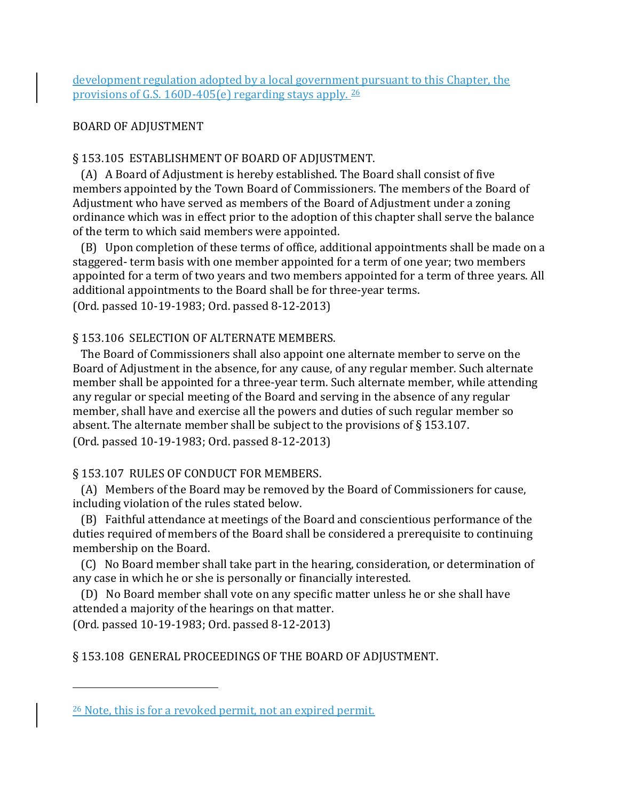development regulation adopted by a local government pursuant to this Chapter, the provisions of G.S. 160D-405(e) regarding stays apply. [26](#page-63-0)

# BOARD OF ADJUSTMENT

# § 153.105 ESTABLISHMENT OF BOARD OF ADJUSTMENT.

 (A) A Board of Adjustment is hereby established. The Board shall consist of five members appointed by the Town Board of Commissioners. The members of the Board of Adjustment who have served as members of the Board of Adjustment under a zoning ordinance which was in effect prior to the adoption of this chapter shall serve the balance of the term to which said members were appointed.

 (B) Upon completion of these terms of office, additional appointments shall be made on a staggered- term basis with one member appointed for a term of one year; two members appointed for a term of two years and two members appointed for a term of three years. All additional appointments to the Board shall be for three-year terms.

(Ord. passed 10-19-1983; Ord. passed 8-12-2013)

# § 153.106 SELECTION OF ALTERNATE MEMBERS.

 The Board of Commissioners shall also appoint one alternate member to serve on the Board of Adjustment in the absence, for any cause, of any regular member. Such alternate member shall be appointed for a three-year term. Such alternate member, while attending any regular or special meeting of the Board and serving in the absence of any regular member, shall have and exercise all the powers and duties of such regular member so absent. The alternate member shall be subject to the provisions of § 153.107. (Ord. passed 10-19-1983; Ord. passed 8-12-2013)

# § 153.107 RULES OF CONDUCT FOR MEMBERS.

 (A) Members of the Board may be removed by the Board of Commissioners for cause, including violation of the rules stated below.

 (B) Faithful attendance at meetings of the Board and conscientious performance of the duties required of members of the Board shall be considered a prerequisite to continuing membership on the Board.

 (C) No Board member shall take part in the hearing, consideration, or determination of any case in which he or she is personally or financially interested.

 (D) No Board member shall vote on any specific matter unless he or she shall have attended a majority of the hearings on that matter.

(Ord. passed 10-19-1983; Ord. passed 8-12-2013)

i<br>I

§ 153.108 GENERAL PROCEEDINGS OF THE BOARD OF ADJUSTMENT.

<span id="page-63-0"></span><sup>26</sup> Note, this is for a revoked permit, not an expired permit.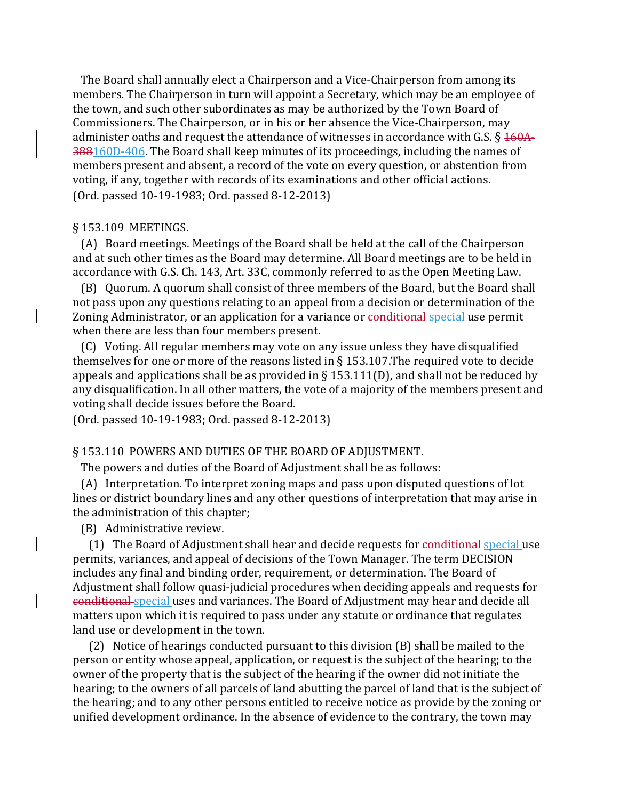The Board shall annually elect a Chairperson and a Vice-Chairperson from among its members. The Chairperson in turn will appoint a Secretary, which may be an employee of the town, and such other subordinates as may be authorized by the Town Board of Commissioners. The Chairperson, or in his or her absence the Vice-Chairperson, may administer oaths and request the attendance of witnesses in accordance with G.S.  $\S$   $\frac{160A}{160}$ 388160D-406. The Board shall keep minutes of its proceedings, including the names of members present and absent, a record of the vote on every question, or abstention from voting, if any, together with records of its examinations and other official actions. (Ord. passed 10-19-1983; Ord. passed 8-12-2013)

#### § 153.109 MEETINGS.

 (A) Board meetings. Meetings of the Board shall be held at the call of the Chairperson and at such other times as the Board may determine. All Board meetings are to be held in accordance with G.S. Ch. 143, Art. 33C, commonly referred to as the Open Meeting Law.

 (B) Quorum. A quorum shall consist of three members of the Board, but the Board shall not pass upon any questions relating to an appeal from a decision or determination of the Zoning Administrator, or an application for a variance or conditional special use permit when there are less than four members present.

 (C) Voting. All regular members may vote on any issue unless they have disqualified themselves for one or more of the reasons listed in § 153.107.The required vote to decide appeals and applications shall be as provided in  $\S$  153.111(D), and shall not be reduced by any disqualification. In all other matters, the vote of a majority of the members present and voting shall decide issues before the Board.

(Ord. passed 10-19-1983; Ord. passed 8-12-2013)

## § 153.110 POWERS AND DUTIES OF THE BOARD OF ADJUSTMENT.

The powers and duties of the Board of Adjustment shall be as follows:

 (A) Interpretation. To interpret zoning maps and pass upon disputed questions of lot lines or district boundary lines and any other questions of interpretation that may arise in the administration of this chapter;

(B) Administrative review.

(1) The Board of Adjustment shall hear and decide requests for conditional special use permits, variances, and appeal of decisions of the Town Manager. The term DECISION includes any final and binding order, requirement, or determination. The Board of Adjustment shall follow quasi-judicial procedures when deciding appeals and requests for conditional special uses and variances. The Board of Adjustment may hear and decide all matters upon which it is required to pass under any statute or ordinance that regulates land use or development in the town.

 (2) Notice of hearings conducted pursuant to this division (B) shall be mailed to the person or entity whose appeal, application, or request is the subject of the hearing; to the owner of the property that is the subject of the hearing if the owner did not initiate the hearing; to the owners of all parcels of land abutting the parcel of land that is the subject of the hearing; and to any other persons entitled to receive notice as provide by the zoning or unified development ordinance. In the absence of evidence to the contrary, the town may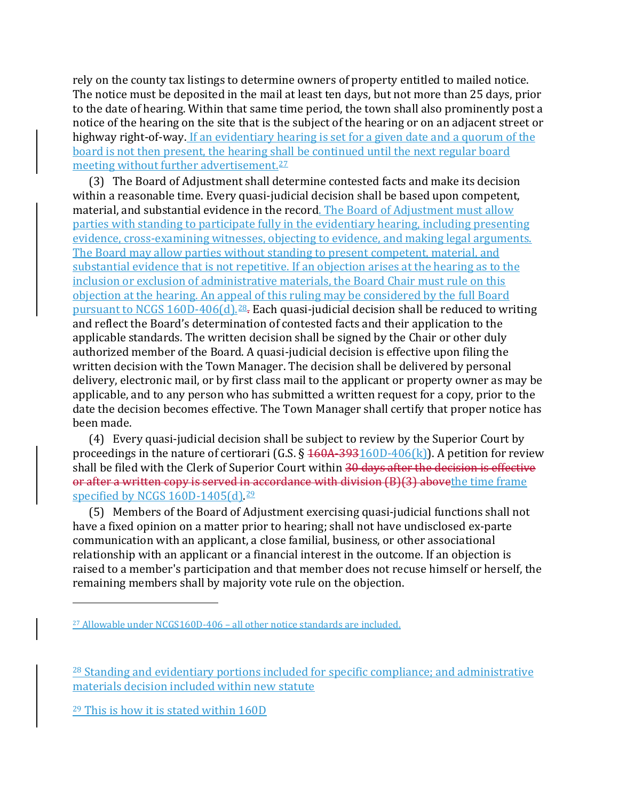rely on the county tax listings to determine owners of property entitled to mailed notice. The notice must be deposited in the mail at least ten days, but not more than 25 days, prior to the date of hearing. Within that same time period, the town shall also prominently post a notice of the hearing on the site that is the subject of the hearing or on an adjacent street or highway right-of-way. If an evidentiary hearing is set for a given date and a quorum of the board is not then present, the hearing shall be continued until the next regular board meeting without further advertisement.<sup>[27](#page-65-0)</sup>

 (3) The Board of Adjustment shall determine contested facts and make its decision within a reasonable time. Every quasi-judicial decision shall be based upon competent, material, and substantial evidence in the record. The Board of Adjustment must allow parties with standing to participate fully in the evidentiary hearing, including presenting evidence, cross-examining witnesses, objecting to evidence, and making legal arguments. The Board may allow parties without standing to present competent, material, and substantial evidence that is not repetitive. If an objection arises at the hearing as to the inclusion or exclusion of administrative materials, the Board Chair must rule on this objection at the hearing. An appeal of this ruling may be considered by the full Board pursuant to NCGS 160D-406(d).[28.](#page-65-1) Each quasi-judicial decision shall be reduced to writing and reflect the Board's determination of contested facts and their application to the applicable standards. The written decision shall be signed by the Chair or other duly authorized member of the Board. A quasi-judicial decision is effective upon filing the written decision with the Town Manager. The decision shall be delivered by personal delivery, electronic mail, or by first class mail to the applicant or property owner as may be applicable, and to any person who has submitted a written request for a copy, prior to the date the decision becomes effective. The Town Manager shall certify that proper notice has been made.

 (4) Every quasi-judicial decision shall be subject to review by the Superior Court by proceedings in the nature of certiorari (G.S.  $\S$  160A-393160D-406(k)). A petition for review shall be filed with the Clerk of Superior Court within 30 days after the decision is effective or after a written copy is served in accordance with division (B)(3) above the time frame specified by NCGS 160D-1405(d).<sup>[29](#page-65-2)</sup>

 (5) Members of the Board of Adjustment exercising quasi-judicial functions shall not have a fixed opinion on a matter prior to hearing; shall not have undisclosed ex-parte communication with an applicant, a close familial, business, or other associational relationship with an applicant or a financial interest in the outcome. If an objection is raised to a member's participation and that member does not recuse himself or herself, the remaining members shall by majority vote rule on the objection.

<span id="page-65-0"></span><sup>27</sup> Allowable under NCGS160D-406 – all other notice standards are included.

<span id="page-65-1"></span><sup>&</sup>lt;sup>28</sup> Standing and evidentiary portions included for specific compliance; and administrative materials decision included within new statute

<span id="page-65-2"></span><sup>29</sup> This is how it is stated within 160D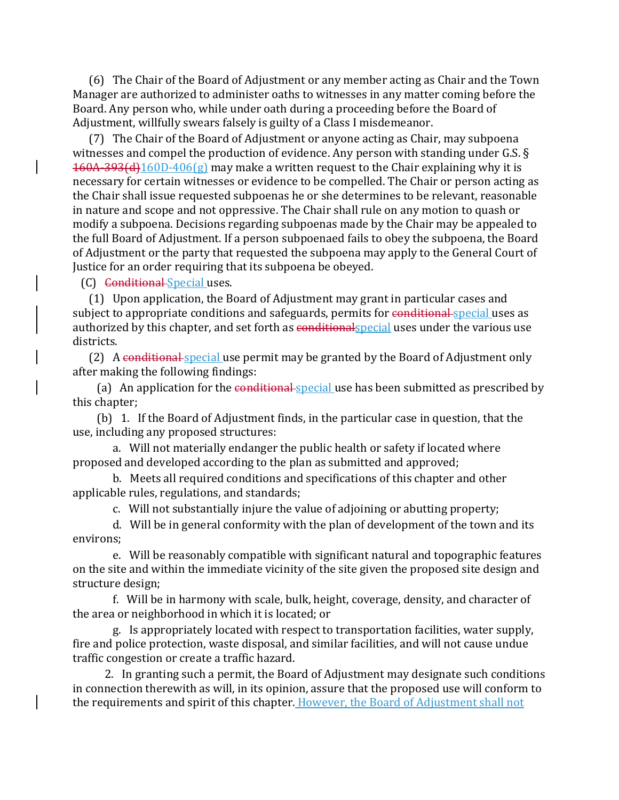(6) The Chair of the Board of Adjustment or any member acting as Chair and the Town Manager are authorized to administer oaths to witnesses in any matter coming before the Board. Any person who, while under oath during a proceeding before the Board of Adjustment, willfully swears falsely is guilty of a Class I misdemeanor.

 (7) The Chair of the Board of Adjustment or anyone acting as Chair, may subpoena witnesses and compel the production of evidence. Any person with standing under G.S. §  $160A-393(d)160D-406(g)$  may make a written request to the Chair explaining why it is necessary for certain witnesses or evidence to be compelled. The Chair or person acting as the Chair shall issue requested subpoenas he or she determines to be relevant, reasonable in nature and scope and not oppressive. The Chair shall rule on any motion to quash or modify a subpoena. Decisions regarding subpoenas made by the Chair may be appealed to the full Board of Adjustment. If a person subpoenaed fails to obey the subpoena, the Board of Adjustment or the party that requested the subpoena may apply to the General Court of Justice for an order requiring that its subpoena be obeyed.

(C) Conditional Special uses.

 (1) Upon application, the Board of Adjustment may grant in particular cases and subject to appropriate conditions and safeguards, permits for conditional special uses as authorized by this chapter, and set forth as conditionalspecial uses under the various use districts.

(2) A conditional special use permit may be granted by the Board of Adjustment only after making the following findings:

(a) An application for the conditional special use has been submitted as prescribed by this chapter;

 (b) 1. If the Board of Adjustment finds, in the particular case in question, that the use, including any proposed structures:

 a. Will not materially endanger the public health or safety if located where proposed and developed according to the plan as submitted and approved;

 b. Meets all required conditions and specifications of this chapter and other applicable rules, regulations, and standards;

c. Will not substantially injure the value of adjoining or abutting property;

 d. Will be in general conformity with the plan of development of the town and its environs;

 e. Will be reasonably compatible with significant natural and topographic features on the site and within the immediate vicinity of the site given the proposed site design and structure design;

 f. Will be in harmony with scale, bulk, height, coverage, density, and character of the area or neighborhood in which it is located; or

 g. Is appropriately located with respect to transportation facilities, water supply, fire and police protection, waste disposal, and similar facilities, and will not cause undue traffic congestion or create a traffic hazard.

 2. In granting such a permit, the Board of Adjustment may designate such conditions in connection therewith as will, in its opinion, assure that the proposed use will conform to the requirements and spirit of this chapter. However, the Board of Adjustment shall not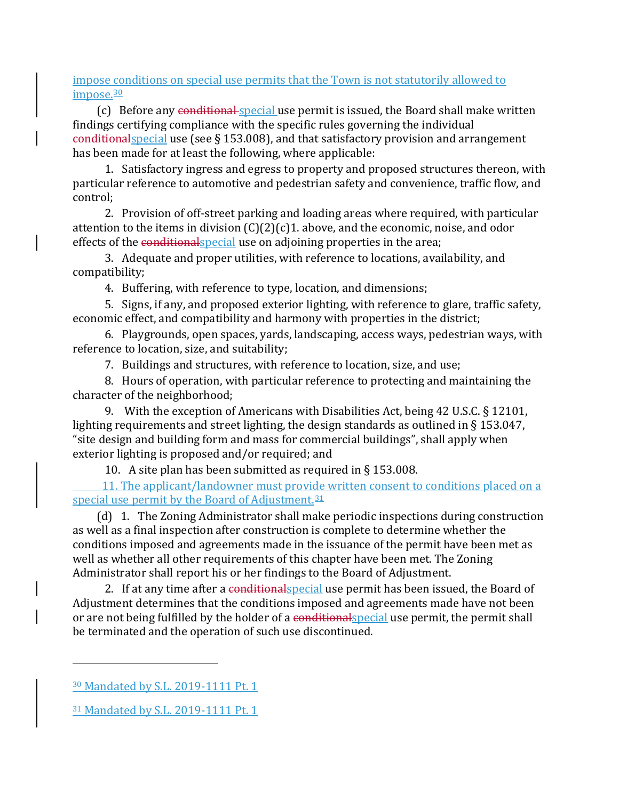impose conditions on special use permits that the Town is not statutorily allowed to impose.<sup>[30](#page-67-0)</sup>

(c) Before any conditional special use permit is issued, the Board shall make written findings certifying compliance with the specific rules governing the individual conditionalspecial use (see § 153.008), and that satisfactory provision and arrangement has been made for at least the following, where applicable:

 1. Satisfactory ingress and egress to property and proposed structures thereon, with particular reference to automotive and pedestrian safety and convenience, traffic flow, and control;

 2. Provision of off-street parking and loading areas where required, with particular attention to the items in division  $(C)(2)(c)$ 1. above, and the economic, noise, and odor effects of the conditional special use on adjoining properties in the area;

 3. Adequate and proper utilities, with reference to locations, availability, and compatibility;

4. Buffering, with reference to type, location, and dimensions;

 5. Signs, if any, and proposed exterior lighting, with reference to glare, traffic safety, economic effect, and compatibility and harmony with properties in the district;

 6. Playgrounds, open spaces, yards, landscaping, access ways, pedestrian ways, with reference to location, size, and suitability;

7. Buildings and structures, with reference to location, size, and use;

 8. Hours of operation, with particular reference to protecting and maintaining the character of the neighborhood;

 9. With the exception of Americans with Disabilities Act, being 42 U.S.C. § 12101, lighting requirements and street lighting, the design standards as outlined in § 153.047, "site design and building form and mass for commercial buildings", shall apply when exterior lighting is proposed and/or required; and

10. A site plan has been submitted as required in § 153.008.

 11. The applicant/landowner must provide written consent to conditions placed on a special use permit by the Board of Adjustment. [31](#page-67-1)

 (d) 1. The Zoning Administrator shall make periodic inspections during construction as well as a final inspection after construction is complete to determine whether the conditions imposed and agreements made in the issuance of the permit have been met as well as whether all other requirements of this chapter have been met. The Zoning Administrator shall report his or her findings to the Board of Adjustment.

2. If at any time after a conditional special use permit has been issued, the Board of Adjustment determines that the conditions imposed and agreements made have not been or are not being fulfilled by the holder of a conditional special use permit, the permit shall be terminated and the operation of such use discontinued.

<span id="page-67-0"></span><sup>30</sup> Mandated by S.L. 2019-1111 Pt. 1

<span id="page-67-1"></span><sup>31</sup> Mandated by S.L. 2019-1111 Pt. 1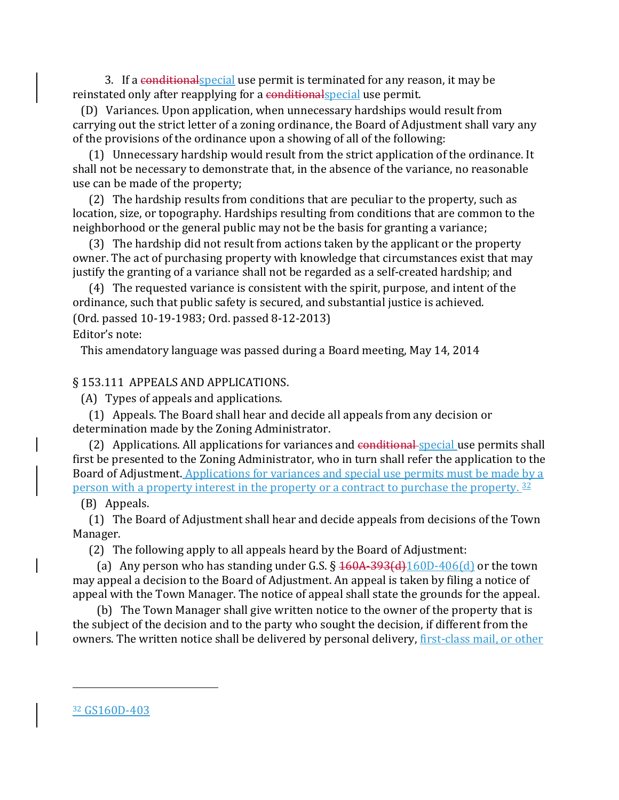3. If a conditional special use permit is terminated for any reason, it may be reinstated only after reapplying for a conditional special use permit.

 (D) Variances. Upon application, when unnecessary hardships would result from carrying out the strict letter of a zoning ordinance, the Board of Adjustment shall vary any of the provisions of the ordinance upon a showing of all of the following:

 (1) Unnecessary hardship would result from the strict application of the ordinance. It shall not be necessary to demonstrate that, in the absence of the variance, no reasonable use can be made of the property;

 (2) The hardship results from conditions that are peculiar to the property, such as location, size, or topography. Hardships resulting from conditions that are common to the neighborhood or the general public may not be the basis for granting a variance;

 (3) The hardship did not result from actions taken by the applicant or the property owner. The act of purchasing property with knowledge that circumstances exist that may justify the granting of a variance shall not be regarded as a self-created hardship; and

 (4) The requested variance is consistent with the spirit, purpose, and intent of the ordinance, such that public safety is secured, and substantial justice is achieved. (Ord. passed 10-19-1983; Ord. passed 8-12-2013)

Editor's note:

This amendatory language was passed during a Board meeting, May 14, 2014

#### § 153.111 APPEALS AND APPLICATIONS.

(A) Types of appeals and applications.

 (1) Appeals. The Board shall hear and decide all appeals from any decision or determination made by the Zoning Administrator.

(2) Applications. All applications for variances and conditional special use permits shall first be presented to the Zoning Administrator, who in turn shall refer the application to the Board of Adjustment. Applications for variances and special use permits must be made by a person with a property interest in the property or a contract to purchase the property.<sup>[32](#page-68-0)</sup>

## (B) Appeals.

 (1) The Board of Adjustment shall hear and decide appeals from decisions of the Town Manager.

(2) The following apply to all appeals heard by the Board of Adjustment:

(a) Any person who has standing under G.S.  $\S 160A-393(d)160D-406(d)$  or the town may appeal a decision to the Board of Adjustment. An appeal is taken by filing a notice of appeal with the Town Manager. The notice of appeal shall state the grounds for the appeal.

<span id="page-68-0"></span> (b) The Town Manager shall give written notice to the owner of the property that is the subject of the decision and to the party who sought the decision, if different from the owners. The written notice shall be delivered by personal delivery, first-class mail, or other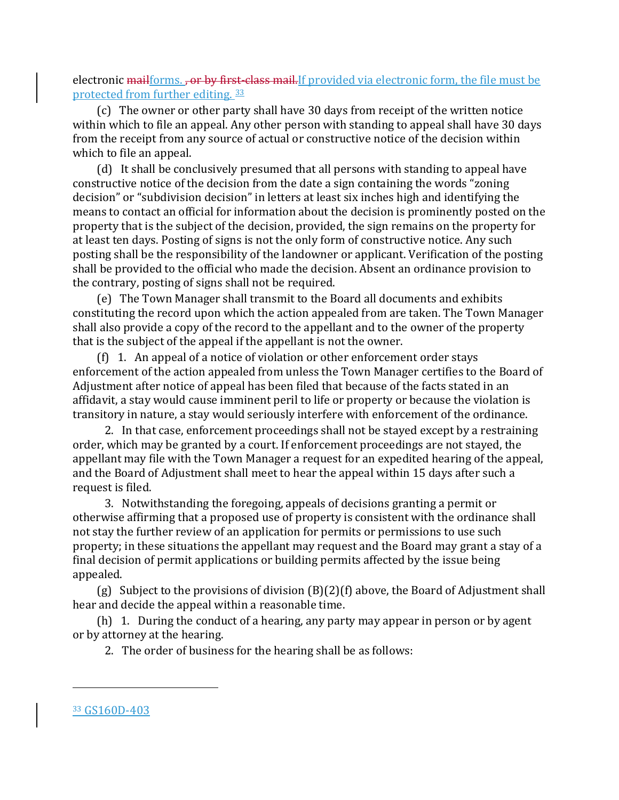electronic mailforms. , or by first-class mail. If provided via electronic form, the file must be protected from further editing. [33](#page-69-0)

 (c) The owner or other party shall have 30 days from receipt of the written notice within which to file an appeal. Any other person with standing to appeal shall have 30 days from the receipt from any source of actual or constructive notice of the decision within which to file an appeal.

 (d) It shall be conclusively presumed that all persons with standing to appeal have constructive notice of the decision from the date a sign containing the words "zoning decision" or "subdivision decision" in letters at least six inches high and identifying the means to contact an official for information about the decision is prominently posted on the property that is the subject of the decision, provided, the sign remains on the property for at least ten days. Posting of signs is not the only form of constructive notice. Any such posting shall be the responsibility of the landowner or applicant. Verification of the posting shall be provided to the official who made the decision. Absent an ordinance provision to the contrary, posting of signs shall not be required.

 (e) The Town Manager shall transmit to the Board all documents and exhibits constituting the record upon which the action appealed from are taken. The Town Manager shall also provide a copy of the record to the appellant and to the owner of the property that is the subject of the appeal if the appellant is not the owner.

 (f) 1. An appeal of a notice of violation or other enforcement order stays enforcement of the action appealed from unless the Town Manager certifies to the Board of Adjustment after notice of appeal has been filed that because of the facts stated in an affidavit, a stay would cause imminent peril to life or property or because the violation is transitory in nature, a stay would seriously interfere with enforcement of the ordinance.

 2. In that case, enforcement proceedings shall not be stayed except by a restraining order, which may be granted by a court. If enforcement proceedings are not stayed, the appellant may file with the Town Manager a request for an expedited hearing of the appeal, and the Board of Adjustment shall meet to hear the appeal within 15 days after such a request is filed.

 3. Notwithstanding the foregoing, appeals of decisions granting a permit or otherwise affirming that a proposed use of property is consistent with the ordinance shall not stay the further review of an application for permits or permissions to use such property; in these situations the appellant may request and the Board may grant a stay of a final decision of permit applications or building permits affected by the issue being appealed.

 (g) Subject to the provisions of division (B)(2)(f) above, the Board of Adjustment shall hear and decide the appeal within a reasonable time.

 (h) 1. During the conduct of a hearing, any party may appear in person or by agent or by attorney at the hearing.

2. The order of business for the hearing shall be as follows:

<span id="page-69-0"></span><sup>33</sup> GS160D-403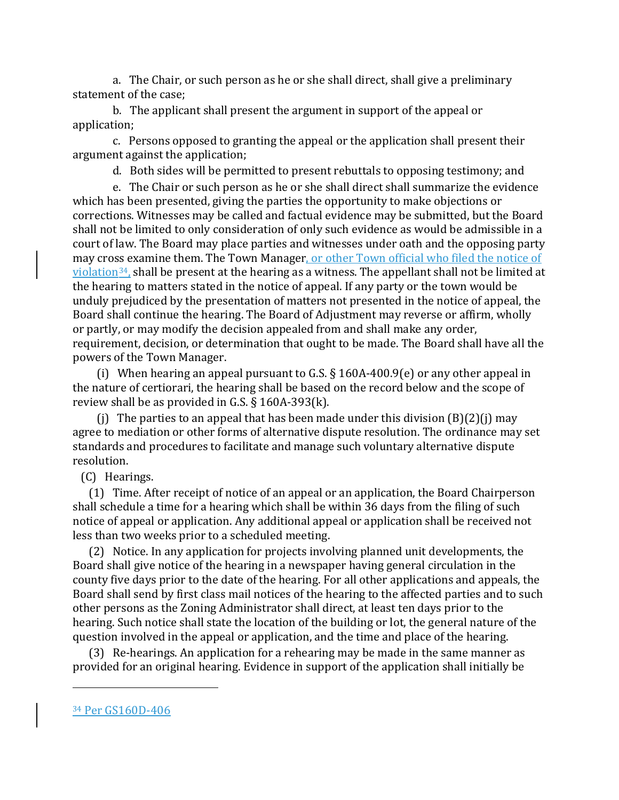a. The Chair, or such person as he or she shall direct, shall give a preliminary statement of the case;

 b. The applicant shall present the argument in support of the appeal or application;

 c. Persons opposed to granting the appeal or the application shall present their argument against the application;

d. Both sides will be permitted to present rebuttals to opposing testimony; and

 e. The Chair or such person as he or she shall direct shall summarize the evidence which has been presented, giving the parties the opportunity to make objections or corrections. Witnesses may be called and factual evidence may be submitted, but the Board shall not be limited to only consideration of only such evidence as would be admissible in a court of law. The Board may place parties and witnesses under oath and the opposing party may cross examine them. The Town Manager, or other Town official who filed the notice of  $violation<sup>34</sup>$ , shall be present at the hearing as a witness. The appellant shall not be limited at the hearing to matters stated in the notice of appeal. If any party or the town would be unduly prejudiced by the presentation of matters not presented in the notice of appeal, the Board shall continue the hearing. The Board of Adjustment may reverse or affirm, wholly or partly, or may modify the decision appealed from and shall make any order, requirement, decision, or determination that ought to be made. The Board shall have all the powers of the Town Manager.

 (i) When hearing an appeal pursuant to G.S. § 160A-400.9(e) or any other appeal in the nature of certiorari, the hearing shall be based on the record below and the scope of review shall be as provided in G.S. § 160A-393(k).

(i) The parties to an appeal that has been made under this division  $(B)(2)(i)$  may agree to mediation or other forms of alternative dispute resolution. The ordinance may set standards and procedures to facilitate and manage such voluntary alternative dispute resolution.

(C) Hearings.

 (1) Time. After receipt of notice of an appeal or an application, the Board Chairperson shall schedule a time for a hearing which shall be within 36 days from the filing of such notice of appeal or application. Any additional appeal or application shall be received not less than two weeks prior to a scheduled meeting.

 (2) Notice. In any application for projects involving planned unit developments, the Board shall give notice of the hearing in a newspaper having general circulation in the county five days prior to the date of the hearing. For all other applications and appeals, the Board shall send by first class mail notices of the hearing to the affected parties and to such other persons as the Zoning Administrator shall direct, at least ten days prior to the hearing. Such notice shall state the location of the building or lot, the general nature of the question involved in the appeal or application, and the time and place of the hearing.

 (3) Re-hearings. An application for a rehearing may be made in the same manner as provided for an original hearing. Evidence in support of the application shall initially be

<span id="page-70-0"></span><sup>34</sup> Per GS160D-406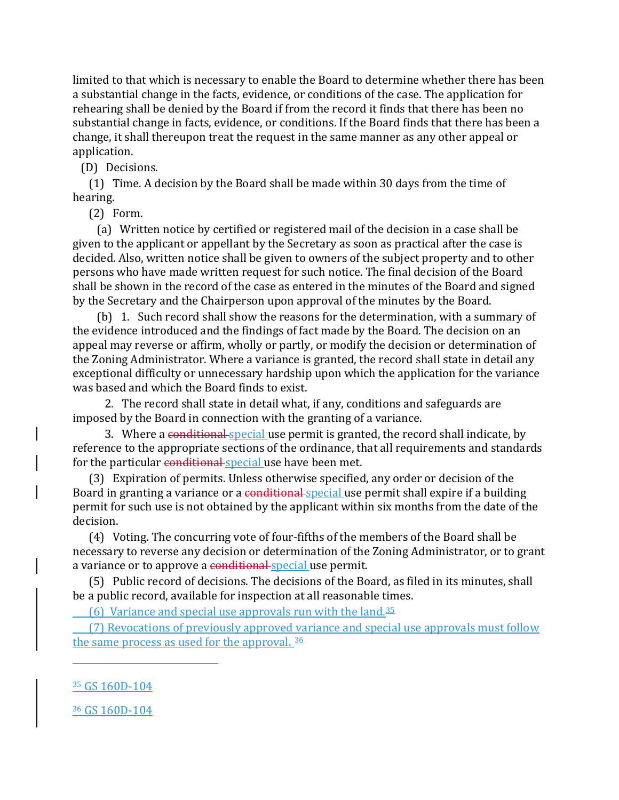limited to that which is necessary to enable the Board to determine whether there has been a substantial change in the facts, evidence, or conditions of the case. The application for rehearing shall be denied by the Board if from the record it finds that there has been no substantial change in facts, evidence, or conditions. If the Board finds that there has been a change, it shall thereupon treat the request in the same manner as any other appeal or application.

(D) Decisions.

 (1) Time. A decision by the Board shall be made within 30 days from the time of hearing.

(2) Form.

 (a) Written notice by certified or registered mail of the decision in a case shall be given to the applicant or appellant by the Secretary as soon as practical after the case is decided. Also, written notice shall be given to owners of the subject property and to other persons who have made written request for such notice. The final decision of the Board shall be shown in the record of the case as entered in the minutes of the Board and signed by the Secretary and the Chairperson upon approval of the minutes by the Board.

 (b) 1. Such record shall show the reasons for the determination, with a summary of the evidence introduced and the findings of fact made by the Board. The decision on an appeal may reverse or affirm, wholly or partly, or modify the decision or determination of the Zoning Administrator. Where a variance is granted, the record shall state in detail any exceptional difficulty or unnecessary hardship upon which the application for the variance was based and which the Board finds to exist.

 2. The record shall state in detail what, if any, conditions and safeguards are imposed by the Board in connection with the granting of a variance.

3. Where a conditional special use permit is granted, the record shall indicate, by reference to the appropriate sections of the ordinance, that all requirements and standards for the particular conditional special use have been met.

 (3) Expiration of permits. Unless otherwise specified, any order or decision of the Board in granting a variance or a conditional special use permit shall expire if a building permit for such use is not obtained by the applicant within six months from the date of the decision.

 (4) Voting. The concurring vote of four-fifths of the members of the Board shall be necessary to reverse any decision or determination of the Zoning Administrator, or to grant a variance or to approve a conditional special use permit.

 (5) Public record of decisions. The decisions of the Board, as filed in its minutes, shall be a public record, available for inspection at all reasonable times.

(6) Variance and special use approvals run with the land. $35$ 

 (7) Revocations of previously approved variance and special use approvals must follow the same process as used for the approval. [36](#page-71-1)

<span id="page-71-0"></span><sup>35</sup> GS 160D-104

i<br>I

<span id="page-71-1"></span><sup>36</sup> GS 160D-104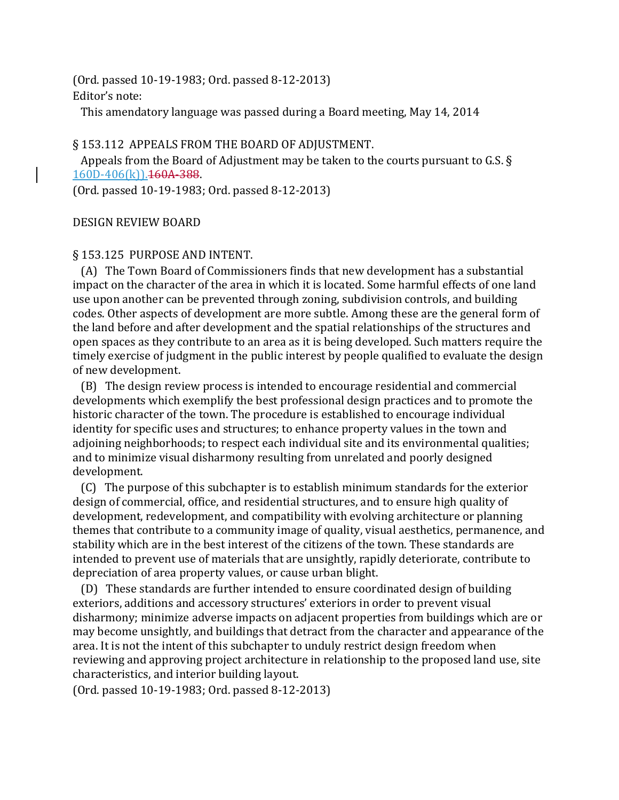(Ord. passed 10-19-1983; Ord. passed 8-12-2013) Editor's note:

This amendatory language was passed during a Board meeting, May 14, 2014

### § 153.112 APPEALS FROM THE BOARD OF ADJUSTMENT.

 Appeals from the Board of Adjustment may be taken to the courts pursuant to G.S. § 160D-406(k)).160A-388.

(Ord. passed 10-19-1983; Ord. passed 8-12-2013)

### DESIGN REVIEW BOARD

### § 153.125 PURPOSE AND INTENT.

 (A) The Town Board of Commissioners finds that new development has a substantial impact on the character of the area in which it is located. Some harmful effects of one land use upon another can be prevented through zoning, subdivision controls, and building codes. Other aspects of development are more subtle. Among these are the general form of the land before and after development and the spatial relationships of the structures and open spaces as they contribute to an area as it is being developed. Such matters require the timely exercise of judgment in the public interest by people qualified to evaluate the design of new development.

 (B) The design review process is intended to encourage residential and commercial developments which exemplify the best professional design practices and to promote the historic character of the town. The procedure is established to encourage individual identity for specific uses and structures; to enhance property values in the town and adjoining neighborhoods; to respect each individual site and its environmental qualities; and to minimize visual disharmony resulting from unrelated and poorly designed development.

 (C) The purpose of this subchapter is to establish minimum standards for the exterior design of commercial, office, and residential structures, and to ensure high quality of development, redevelopment, and compatibility with evolving architecture or planning themes that contribute to a community image of quality, visual aesthetics, permanence, and stability which are in the best interest of the citizens of the town. These standards are intended to prevent use of materials that are unsightly, rapidly deteriorate, contribute to depreciation of area property values, or cause urban blight.

 (D) These standards are further intended to ensure coordinated design of building exteriors, additions and accessory structures' exteriors in order to prevent visual disharmony; minimize adverse impacts on adjacent properties from buildings which are or may become unsightly, and buildings that detract from the character and appearance of the area. It is not the intent of this subchapter to unduly restrict design freedom when reviewing and approving project architecture in relationship to the proposed land use, site characteristics, and interior building layout.

(Ord. passed 10-19-1983; Ord. passed 8-12-2013)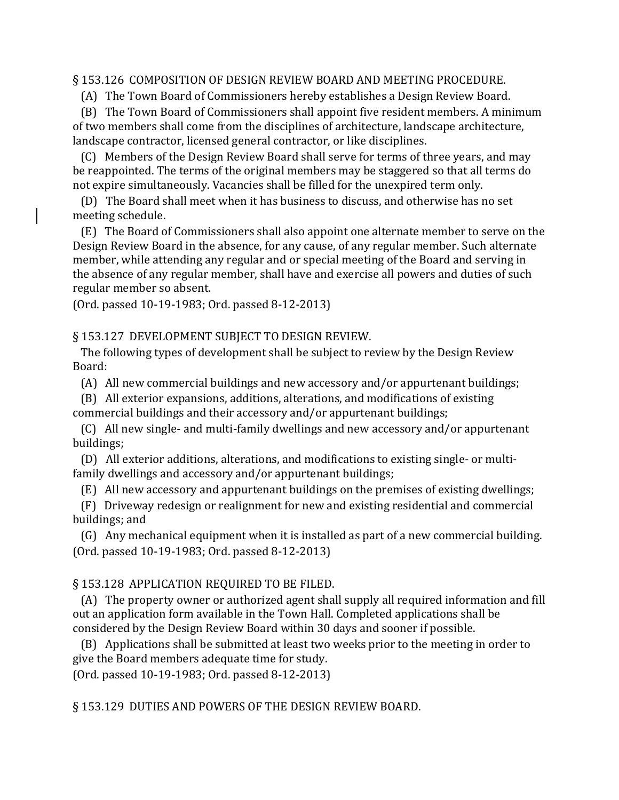#### § 153.126 COMPOSITION OF DESIGN REVIEW BOARD AND MEETING PROCEDURE.

(A) The Town Board of Commissioners hereby establishes a Design Review Board.

 (B) The Town Board of Commissioners shall appoint five resident members. A minimum of two members shall come from the disciplines of architecture, landscape architecture, landscape contractor, licensed general contractor, or like disciplines.

 (C) Members of the Design Review Board shall serve for terms of three years, and may be reappointed. The terms of the original members may be staggered so that all terms do not expire simultaneously. Vacancies shall be filled for the unexpired term only.

 (D) The Board shall meet when it has business to discuss, and otherwise has no set meeting schedule.

 (E) The Board of Commissioners shall also appoint one alternate member to serve on the Design Review Board in the absence, for any cause, of any regular member. Such alternate member, while attending any regular and or special meeting of the Board and serving in the absence of any regular member, shall have and exercise all powers and duties of such regular member so absent.

(Ord. passed 10-19-1983; Ord. passed 8-12-2013)

§ 153.127 DEVELOPMENT SUBJECT TO DESIGN REVIEW.

 The following types of development shall be subject to review by the Design Review Board:

(A) All new commercial buildings and new accessory and/or appurtenant buildings;

 (B) All exterior expansions, additions, alterations, and modifications of existing commercial buildings and their accessory and/or appurtenant buildings;

 (C) All new single- and multi-family dwellings and new accessory and/or appurtenant buildings;

 (D) All exterior additions, alterations, and modifications to existing single- or multifamily dwellings and accessory and/or appurtenant buildings;

(E) All new accessory and appurtenant buildings on the premises of existing dwellings;

 (F) Driveway redesign or realignment for new and existing residential and commercial buildings; and

 (G) Any mechanical equipment when it is installed as part of a new commercial building. (Ord. passed 10-19-1983; Ord. passed 8-12-2013)

#### § 153.128 APPLICATION REQUIRED TO BE FILED.

 (A) The property owner or authorized agent shall supply all required information and fill out an application form available in the Town Hall. Completed applications shall be considered by the Design Review Board within 30 days and sooner if possible.

 (B) Applications shall be submitted at least two weeks prior to the meeting in order to give the Board members adequate time for study.

(Ord. passed 10-19-1983; Ord. passed 8-12-2013)

§ 153.129 DUTIES AND POWERS OF THE DESIGN REVIEW BOARD.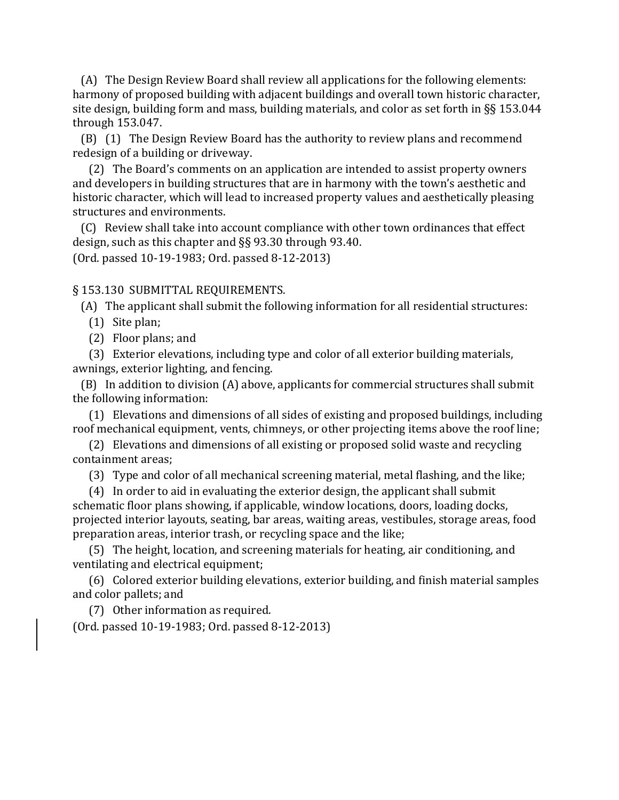(A) The Design Review Board shall review all applications for the following elements: harmony of proposed building with adjacent buildings and overall town historic character, site design, building form and mass, building materials, and color as set forth in §§ 153.044 through 153.047.

 (B) (1) The Design Review Board has the authority to review plans and recommend redesign of a building or driveway.

 (2) The Board's comments on an application are intended to assist property owners and developers in building structures that are in harmony with the town's aesthetic and historic character, which will lead to increased property values and aesthetically pleasing structures and environments.

 (C) Review shall take into account compliance with other town ordinances that effect design, such as this chapter and §§ 93.30 through 93.40.

(Ord. passed 10-19-1983; Ord. passed 8-12-2013)

#### § 153.130 SUBMITTAL REQUIREMENTS.

(A) The applicant shall submit the following information for all residential structures:

- (1) Site plan;
- (2) Floor plans; and

 (3) Exterior elevations, including type and color of all exterior building materials, awnings, exterior lighting, and fencing.

 (B) In addition to division (A) above, applicants for commercial structures shall submit the following information:

 (1) Elevations and dimensions of all sides of existing and proposed buildings, including roof mechanical equipment, vents, chimneys, or other projecting items above the roof line;

 (2) Elevations and dimensions of all existing or proposed solid waste and recycling containment areas;

(3) Type and color of all mechanical screening material, metal flashing, and the like;

 (4) In order to aid in evaluating the exterior design, the applicant shall submit schematic floor plans showing, if applicable, window locations, doors, loading docks, projected interior layouts, seating, bar areas, waiting areas, vestibules, storage areas, food preparation areas, interior trash, or recycling space and the like;

 (5) The height, location, and screening materials for heating, air conditioning, and ventilating and electrical equipment;

 (6) Colored exterior building elevations, exterior building, and finish material samples and color pallets; and

(7) Other information as required.

(Ord. passed 10-19-1983; Ord. passed 8-12-2013)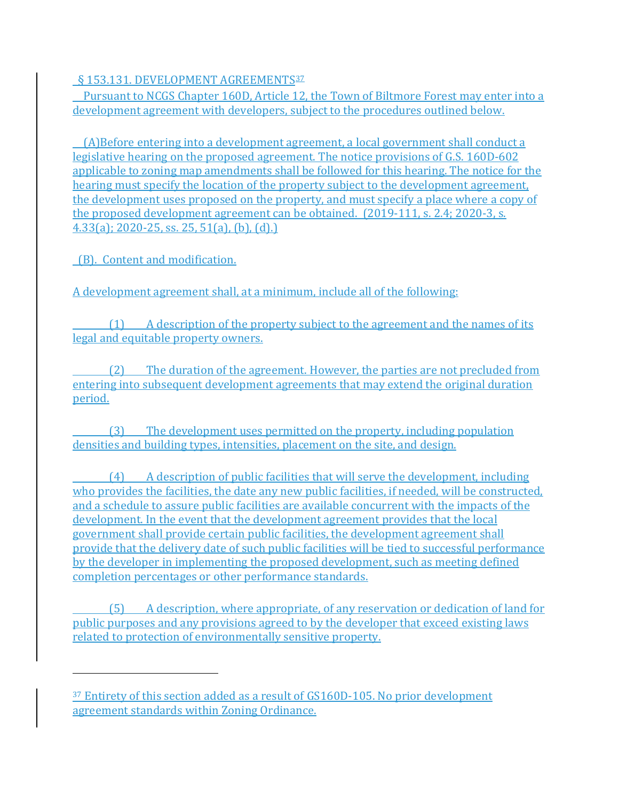§ 153.131. DEVELOPMENT AGREEMENTS<sup>[37](#page-75-0)</sup>

 Pursuant to NCGS Chapter 160D, Article 12, the Town of Biltmore Forest may enter into a development agreement with developers, subject to the procedures outlined below.

 (A)Before entering into a development agreement, a local government shall conduct a legislative hearing on the proposed agreement. The notice provisions of G.S. 160D-602 applicable to zoning map amendments shall be followed for this hearing. The notice for the hearing must specify the location of the property subject to the development agreement, the development uses proposed on the property, and must specify a place where a copy of the proposed development agreement can be obtained. (2019-111, s. 2.4; 2020-3, s. 4.33(a); 2020-25, ss. 25, 51(a), (b), (d).)

(B). Content and modification.

i<br>I

A development agreement shall, at a minimum, include all of the following:

(1) A description of the property subject to the agreement and the names of its legal and equitable property owners.

(2) The duration of the agreement. However, the parties are not precluded from entering into subsequent development agreements that may extend the original duration period.

(3) The development uses permitted on the property, including population densities and building types, intensities, placement on the site, and design.

(4) A description of public facilities that will serve the development, including who provides the facilities, the date any new public facilities, if needed, will be constructed, and a schedule to assure public facilities are available concurrent with the impacts of the development. In the event that the development agreement provides that the local government shall provide certain public facilities, the development agreement shall provide that the delivery date of such public facilities will be tied to successful performance by the developer in implementing the proposed development, such as meeting defined completion percentages or other performance standards.

(5) A description, where appropriate, of any reservation or dedication of land for public purposes and any provisions agreed to by the developer that exceed existing laws related to protection of environmentally sensitive property.

<span id="page-75-0"></span><sup>37</sup> Entirety of this section added as a result of GS160D-105. No prior development agreement standards within Zoning Ordinance.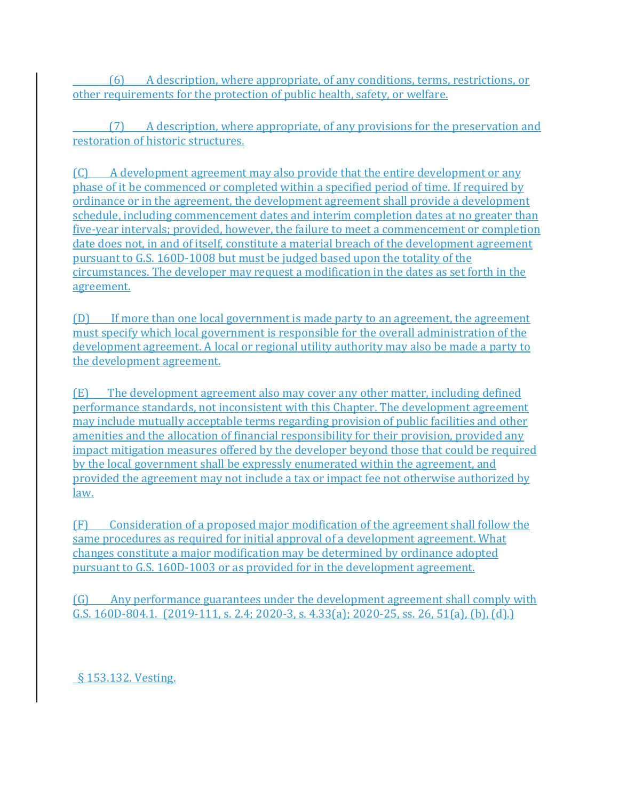(6) A description, where appropriate, of any conditions, terms, restrictions, or other requirements for the protection of public health, safety, or welfare.

(7) A description, where appropriate, of any provisions for the preservation and restoration of historic structures.

(C) A development agreement may also provide that the entire development or any phase of it be commenced or completed within a specified period of time. If required by ordinance or in the agreement, the development agreement shall provide a development schedule, including commencement dates and interim completion dates at no greater than five-year intervals; provided, however, the failure to meet a commencement or completion date does not, in and of itself, constitute a material breach of the development agreement pursuant to G.S. 160D-1008 but must be judged based upon the totality of the circumstances. The developer may request a modification in the dates as set forth in the agreement.

(D) If more than one local government is made party to an agreement, the agreement must specify which local government is responsible for the overall administration of the development agreement. A local or regional utility authority may also be made a party to the development agreement.

(E) The development agreement also may cover any other matter, including defined performance standards, not inconsistent with this Chapter. The development agreement may include mutually acceptable terms regarding provision of public facilities and other amenities and the allocation of financial responsibility for their provision, provided any impact mitigation measures offered by the developer beyond those that could be required by the local government shall be expressly enumerated within the agreement, and provided the agreement may not include a tax or impact fee not otherwise authorized by law.

(F) Consideration of a proposed major modification of the agreement shall follow the same procedures as required for initial approval of a development agreement. What changes constitute a major modification may be determined by ordinance adopted pursuant to G.S. 160D-1003 or as provided for in the development agreement.

(G) Any performance guarantees under the development agreement shall comply with G.S. 160D-804.1. (2019-111, s. 2.4; 2020-3, s. 4.33(a); 2020-25, ss. 26, 51(a), (b), (d).)

§ 153.132. Vesting.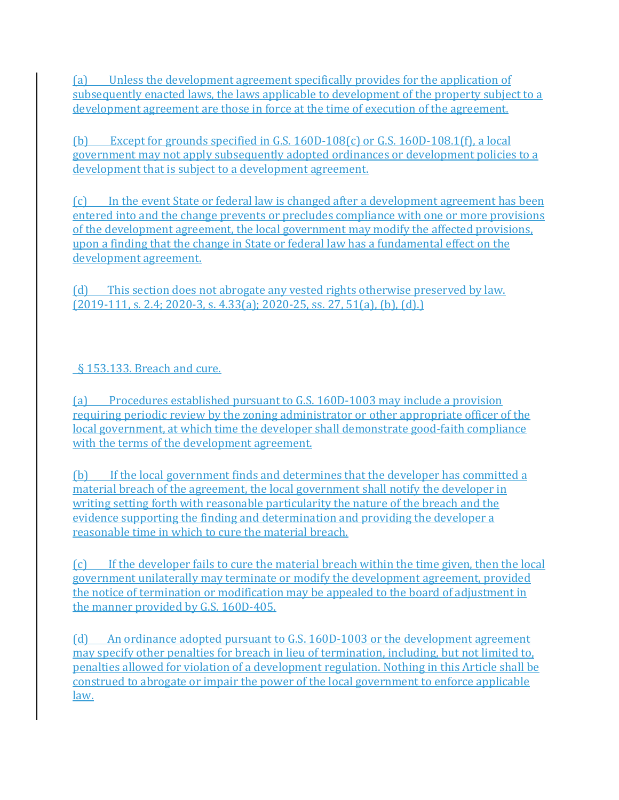(a) Unless the development agreement specifically provides for the application of subsequently enacted laws, the laws applicable to development of the property subject to a development agreement are those in force at the time of execution of the agreement.

(b) Except for grounds specified in G.S. 160D-108(c) or G.S. 160D-108.1(f), a local government may not apply subsequently adopted ordinances or development policies to a development that is subject to a development agreement.

(c) In the event State or federal law is changed after a development agreement has been entered into and the change prevents or precludes compliance with one or more provisions of the development agreement, the local government may modify the affected provisions, upon a finding that the change in State or federal law has a fundamental effect on the development agreement.

(d) This section does not abrogate any vested rights otherwise preserved by law.  $(2019-111, s. 2.4; 2020-3, s. 4.33(a); 2020-25, ss. 27, 51(a), (b), (d).)$ 

### § 153.133. Breach and cure.

(a) Procedures established pursuant to G.S. 160D-1003 may include a provision requiring periodic review by the zoning administrator or other appropriate officer of the local government, at which time the developer shall demonstrate good-faith compliance with the terms of the development agreement.

(b) If the local government finds and determines that the developer has committed a material breach of the agreement, the local government shall notify the developer in writing setting forth with reasonable particularity the nature of the breach and the evidence supporting the finding and determination and providing the developer a reasonable time in which to cure the material breach.

(c) If the developer fails to cure the material breach within the time given, then the local government unilaterally may terminate or modify the development agreement, provided the notice of termination or modification may be appealed to the board of adjustment in the manner provided by G.S. 160D-405.

(d) An ordinance adopted pursuant to G.S. 160D-1003 or the development agreement may specify other penalties for breach in lieu of termination, including, but not limited to, penalties allowed for violation of a development regulation. Nothing in this Article shall be construed to abrogate or impair the power of the local government to enforce applicable law.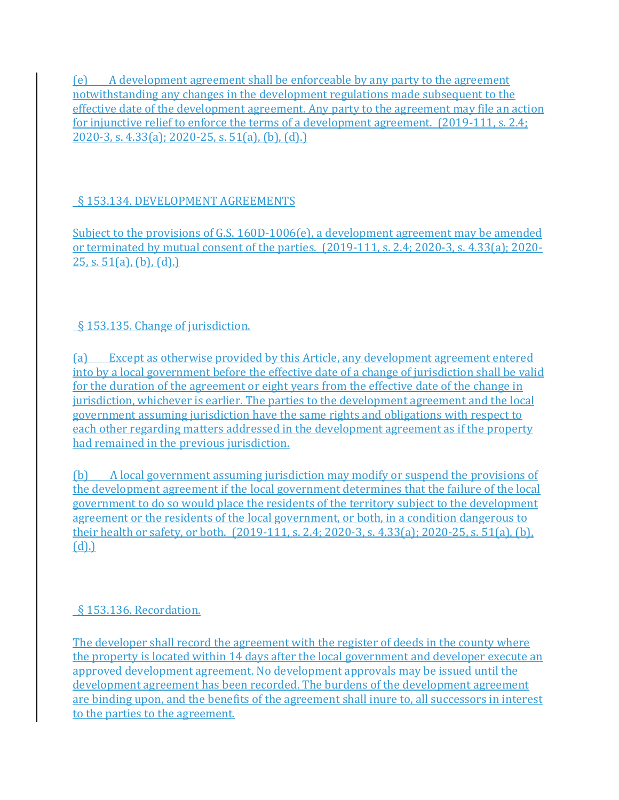(e) A development agreement shall be enforceable by any party to the agreement notwithstanding any changes in the development regulations made subsequent to the effective date of the development agreement. Any party to the agreement may file an action for injunctive relief to enforce the terms of a development agreement. (2019-111, s. 2.4; 2020-3, s. 4.33(a); 2020-25, s. 51(a), (b), (d).)

### § 153.134. DEVELOPMENT AGREEMENTS

Subject to the provisions of G.S. 160D-1006(e), a development agreement may be amended or terminated by mutual consent of the parties. (2019-111, s. 2.4; 2020-3, s. 4.33(a); 2020- 25, s.  $51(a)$ , (b), (d).)

### § 153.135. Change of jurisdiction.

(a) Except as otherwise provided by this Article, any development agreement entered into by a local government before the effective date of a change of jurisdiction shall be valid for the duration of the agreement or eight years from the effective date of the change in jurisdiction, whichever is earlier. The parties to the development agreement and the local government assuming jurisdiction have the same rights and obligations with respect to each other regarding matters addressed in the development agreement as if the property had remained in the previous jurisdiction.

(b) A local government assuming jurisdiction may modify or suspend the provisions of the development agreement if the local government determines that the failure of the local government to do so would place the residents of the territory subject to the development agreement or the residents of the local government, or both, in a condition dangerous to their health or safety, or both. (2019-111, s. 2.4; 2020-3, s. 4.33(a); 2020-25, s. 51(a), (b), (d).)

### § 153.136. Recordation.

The developer shall record the agreement with the register of deeds in the county where the property is located within 14 days after the local government and developer execute an approved development agreement. No development approvals may be issued until the development agreement has been recorded. The burdens of the development agreement are binding upon, and the benefits of the agreement shall inure to, all successors in interest to the parties to the agreement.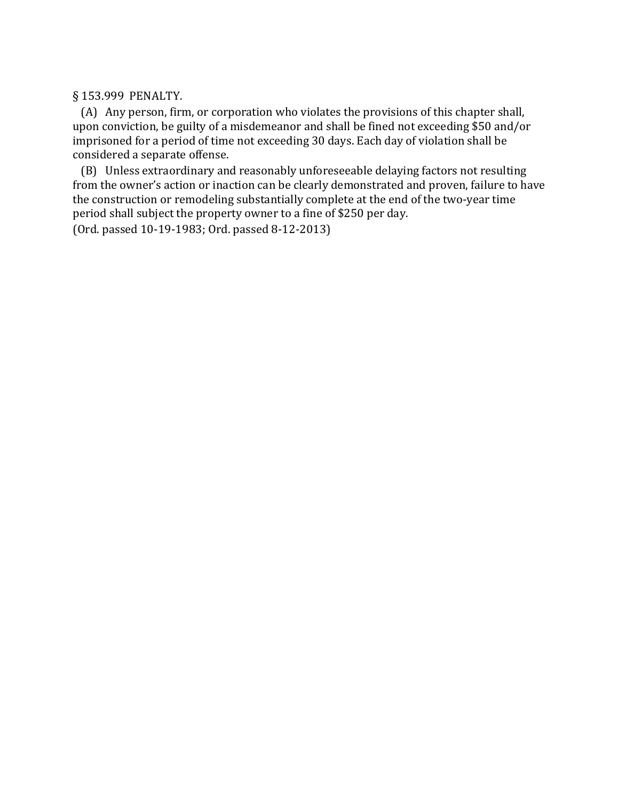§ 153.999 PENALTY.

 (A) Any person, firm, or corporation who violates the provisions of this chapter shall, upon conviction, be guilty of a misdemeanor and shall be fined not exceeding \$50 and/or imprisoned for a period of time not exceeding 30 days. Each day of violation shall be considered a separate offense.

 (B) Unless extraordinary and reasonably unforeseeable delaying factors not resulting from the owner's action or inaction can be clearly demonstrated and proven, failure to have the construction or remodeling substantially complete at the end of the two-year time period shall subject the property owner to a fine of \$250 per day. (Ord. passed 10-19-1983; Ord. passed 8-12-2013)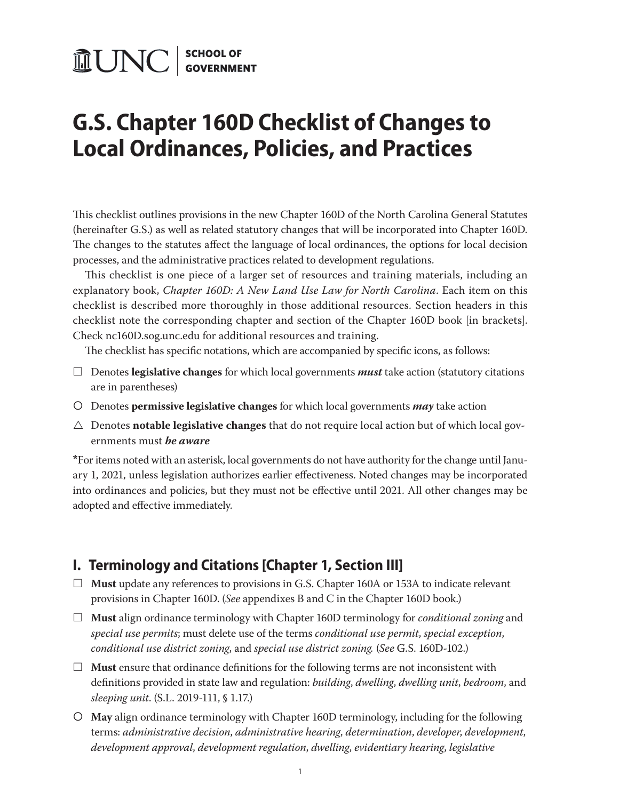# **MUNC** SCHOOL OF

## **G.S. Chapter 160D Checklist of Changes to Local Ordinances, Policies, and Practices**

This checklist outlines provisions in the new Chapter 160D of the North Carolina General Statutes (hereinafter G.S.) as well as related statutory changes that will be incorporated into Chapter 160D. The changes to the statutes affect the language of local ordinances, the options for local decision processes, and the administrative practices related to development regulations.

This checklist is one piece of a larger set of resources and training materials, including an explanatory book, *Chapter 160D: A New Land Use Law for North Carolina*. Each item on this checklist is described more thoroughly in those additional resources. Section headers in this checklist note the corresponding chapter and section of the Chapter 160D book [in brackets]. Check nc160D.sog.unc.edu for additional resources and training.

The checklist has specific notations, which are accompanied by specific icons, as follows:

- £ Denotes **legislative changes** for which local governments *must* take action (statutory citations are in parentheses)
- Denotes **permissive legislative changes** for which local governments *may* take action
- $\triangle$  Denotes **notable legislative changes** that do not require local action but of which local governments must *be aware*

**\***For items noted with an asterisk, local governments do not have authority for the change until January 1, 2021, unless legislation authorizes earlier effectiveness. Noted changes may be incorporated into ordinances and policies, but they must not be effective until 2021. All other changes may be adopted and effective immediately.

### **I. Terminology and Citations [Chapter 1, Section III]**

- □ **Must** update any references to provisions in G.S. Chapter 160A or 153A to indicate relevant provisions in Chapter 160D. (*See* appendixes B and C in the Chapter 160D book.)
- £ **Must** align ordinance terminology with Chapter 160D terminology for *conditional zoning* and *special use permits*; must delete use of the terms *conditional use permit*, *special exception*, *conditional use district zoning*, and *special use district zoning.* (*See* G.S. 160D-102.)
- $\Box$  **Must** ensure that ordinance definitions for the following terms are not inconsistent with definitions provided in state law and regulation: *building*, *dwelling*, *dwelling unit*, *bedroom*, and *sleeping unit*. (S.L. 2019-111, § 1.17.)
- **May** align ordinance terminology with Chapter 160D terminology, including for the following terms: *administrative decision*, *administrative hearing*, *determination*, *developer*, *development*, *development approval*, *development regulation*, *dwelling*, *evidentiary hearing*, *legislative*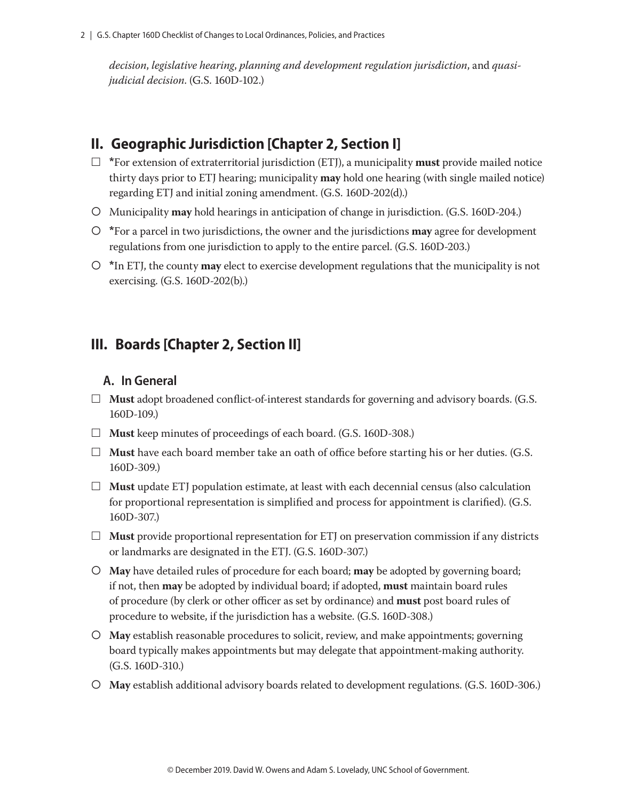*decision*, *legislative hearing*, *planning and development regulation jurisdiction*, and *quasijudicial decision*. (G.S. 160D-102.)

### **II. Geographic Jurisdiction [Chapter 2, Section I]**

- $\Box$  \*For extension of extraterritorial jurisdiction (ETJ), a municipality **must** provide mailed notice thirty days prior to ETJ hearing; municipality **may** hold one hearing (with single mailed notice) regarding ETJ and initial zoning amendment. (G.S. 160D-202(d).)
- Municipality **may** hold hearings in anticipation of change in jurisdiction. (G.S. 160D-204.)
- **\***For a parcel in two jurisdictions, the owner and the jurisdictions **may** agree for development regulations from one jurisdiction to apply to the entire parcel. (G.S. 160D-203.)
- **\***In ETJ, the county **may** elect to exercise development regulations that the municipality is not exercising. (G.S. 160D-202(b).)

### **III. Boards [Chapter 2, Section II]**

#### **A. In General**

- £ **Must** adopt broadened conflict-of-interest standards for governing and advisory boards. (G.S. 160D-109.)
- □ **Must** keep minutes of proceedings of each board. (G.S. 160D-308.)
- $\Box$  **Must** have each board member take an oath of office before starting his or her duties. (G.S. 160D-309.)
- $\Box$  **Must** update ETJ population estimate, at least with each decennial census (also calculation for proportional representation is simplified and process for appointment is clarified). (G.S. 160D-307.)
- $\Box$  **Must** provide proportional representation for ETJ on preservation commission if any districts or landmarks are designated in the ETJ. (G.S. 160D-307.)
- **May** have detailed rules of procedure for each board; **may** be adopted by governing board; if not, then **may** be adopted by individual board; if adopted, **must** maintain board rules of procedure (by clerk or other officer as set by ordinance) and **must** post board rules of procedure to website, if the jurisdiction has a website. (G.S. 160D-308.)
- **May** establish reasonable procedures to solicit, review, and make appointments; governing board typically makes appointments but may delegate that appointment-making authority. (G.S. 160D-310.)
- **May** establish additional advisory boards related to development regulations. (G.S. 160D-306.)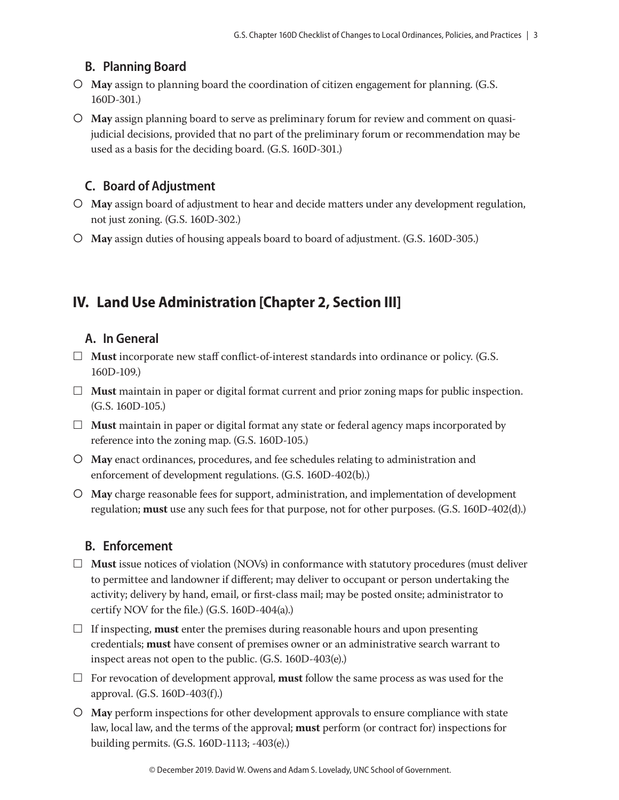### **B. Planning Board**

- **May** assign to planning board the coordination of citizen engagement for planning. (G.S. 160D-301.)
- **May** assign planning board to serve as preliminary forum for review and comment on quasijudicial decisions, provided that no part of the preliminary forum or recommendation may be used as a basis for the deciding board. (G.S. 160D-301.)

### **C. Board of Adjustment**

- **May** assign board of adjustment to hear and decide matters under any development regulation, not just zoning. (G.S. 160D-302.)
- **May** assign duties of housing appeals board to board of adjustment. (G.S. 160D-305.)

### **IV. Land Use Administration [Chapter 2, Section III]**

### **A. In General**

- $\Box$  **Must** incorporate new staff conflict-of-interest standards into ordinance or policy. (G.S. 160D-109.)
- $\Box$  **Must** maintain in paper or digital format current and prior zoning maps for public inspection. (G.S. 160D-105.)
- $\Box$  **Must** maintain in paper or digital format any state or federal agency maps incorporated by reference into the zoning map. (G.S. 160D-105.)
- **May** enact ordinances, procedures, and fee schedules relating to administration and enforcement of development regulations. (G.S. 160D-402(b).)
- **May** charge reasonable fees for support, administration, and implementation of development regulation; **must** use any such fees for that purpose, not for other purposes. (G.S. 160D-402(d).)

### **B. Enforcement**

- $\Box$  **Must** issue notices of violation (NOVs) in conformance with statutory procedures (must deliver to permittee and landowner if different; may deliver to occupant or person undertaking the activity; delivery by hand, email, or first-class mail; may be posted onsite; administrator to certify NOV for the file.) (G.S. 160D-404(a).)
- $\Box$  If inspecting, **must** enter the premises during reasonable hours and upon presenting credentials; **must** have consent of premises owner or an administrative search warrant to inspect areas not open to the public. (G.S. 160D-403(e).)
- $\Box$  For revocation of development approval, **must** follow the same process as was used for the approval. (G.S. 160D-403(f).)
- **May** perform inspections for other development approvals to ensure compliance with state law, local law, and the terms of the approval; **must** perform (or contract for) inspections for building permits. (G.S. 160D-1113; -403(e).)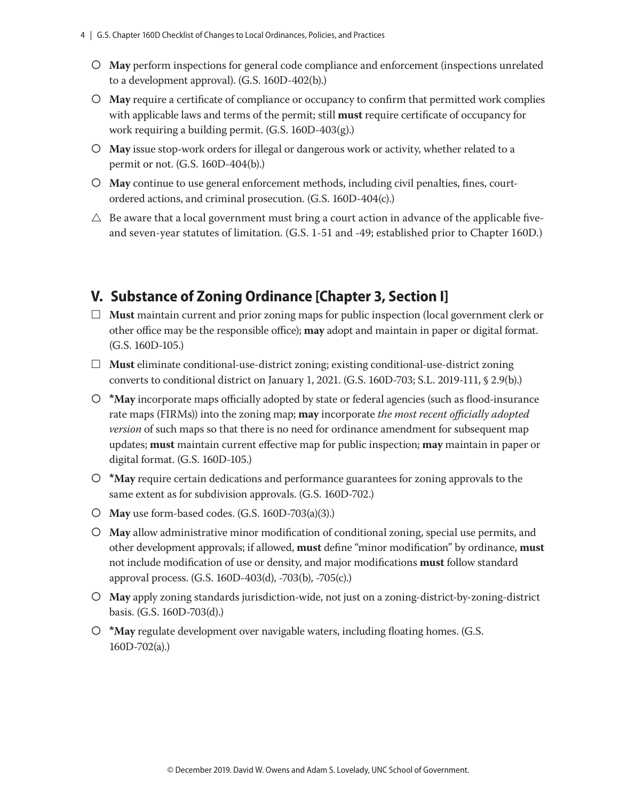- **May** perform inspections for general code compliance and enforcement (inspections unrelated to a development approval). (G.S. 160D-402(b).)
- **May** require a certificate of compliance or occupancy to confirm that permitted work complies with applicable laws and terms of the permit; still **must** require certificate of occupancy for work requiring a building permit. (G.S. 160D-403(g).)
- **May** issue stop-work orders for illegal or dangerous work or activity, whether related to a permit or not. (G.S. 160D-404(b).)
- **May** continue to use general enforcement methods, including civil penalties, fines, courtordered actions, and criminal prosecution. (G.S. 160D-404(c).)
- $\triangle$  Be aware that a local government must bring a court action in advance of the applicable fiveand seven-year statutes of limitation. (G.S. 1-51 and -49; established prior to Chapter 160D.)

### **V. Substance of Zoning Ordinance [Chapter 3, Section I]**

- £ **Must** maintain current and prior zoning maps for public inspection (local government clerk or other office may be the responsible office); **may** adopt and maintain in paper or digital format. (G.S. 160D-105.)
- $\Box$  **Must** eliminate conditional-use-district zoning; existing conditional-use-district zoning converts to conditional district on January 1, 2021. (G.S. 160D-703; S.L. 2019-111, § 2.9(b).)
- **\*May** incorporate maps officially adopted by state or federal agencies (such as flood-insurance rate maps (FIRMs)) into the zoning map; **may** incorporate *the most recent officially adopted version* of such maps so that there is no need for ordinance amendment for subsequent map updates; **must** maintain current effective map for public inspection; **may** maintain in paper or digital format. (G.S. 160D-105.)
- **\*May** require certain dedications and performance guarantees for zoning approvals to the same extent as for subdivision approvals. (G.S. 160D-702.)
- **May** use form-based codes. (G.S. 160D-703(a)(3).)
- **May** allow administrative minor modification of conditional zoning, special use permits, and other development approvals; if allowed, **must** define "minor modification" by ordinance, **must**  not include modification of use or density, and major modifications **must** follow standard approval process. (G.S. 160D-403(d), -703(b), -705(c).)
- **May** apply zoning standards jurisdiction-wide, not just on a zoning-district-by-zoning-district basis. (G.S. 160D-703(d).)
- **\*May** regulate development over navigable waters, including floating homes. (G.S. 160D-702(a).)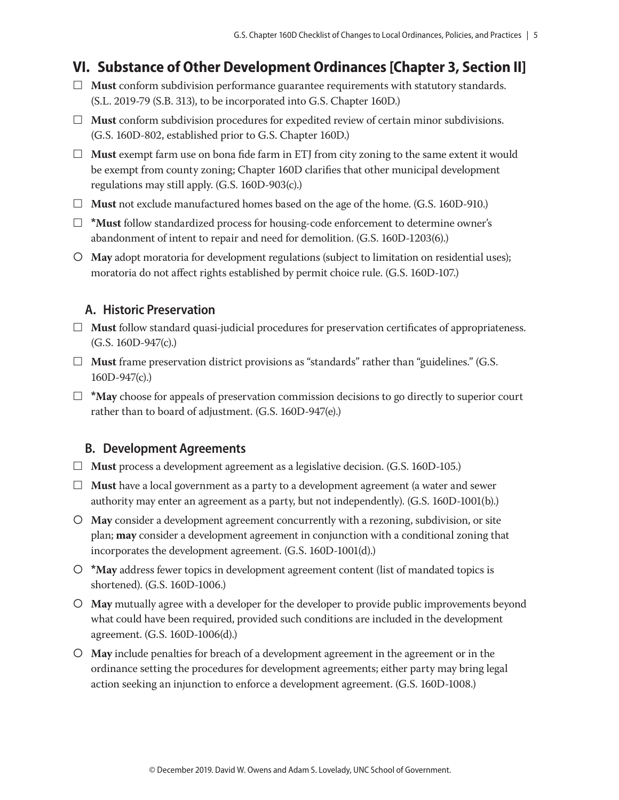### **VI. Substance of Other Development Ordinances [Chapter 3, Section II]**

- $\Box$  **Must** conform subdivision performance guarantee requirements with statutory standards. (S.L. 2019-79 (S.B. 313), to be incorporated into G.S. Chapter 160D.)
- $\Box$  **Must** conform subdivision procedures for expedited review of certain minor subdivisions. (G.S. 160D-802, established prior to G.S. Chapter 160D.)
- $\Box$  **Must** exempt farm use on bona fide farm in ETJ from city zoning to the same extent it would be exempt from county zoning; Chapter 160D clarifies that other municipal development regulations may still apply. (G.S. 160D-903(c).)
- □ **Must** not exclude manufactured homes based on the age of the home. (G.S. 160D-910.)
- £ **\*Must** follow standardized process for housing-code enforcement to determine owner's abandonment of intent to repair and need for demolition. (G.S. 160D-1203(6).)
- **May** adopt moratoria for development regulations (subject to limitation on residential uses); moratoria do not affect rights established by permit choice rule. (G.S. 160D-107.)

### **A. Historic Preservation**

- □ **Must** follow standard quasi-judicial procedures for preservation certificates of appropriateness. (G.S. 160D-947(c).)
- $\Box$  **Must** frame preservation district provisions as "standards" rather than "guidelines." (G.S. 160D-947(c).)
- £ **\*May** choose for appeals of preservation commission decisions to go directly to superior court rather than to board of adjustment. (G.S. 160D-947(e).)

### **B. Development Agreements**

- £ **Must** process a development agreement as a legislative decision. (G.S. 160D-105.)
- £ **Must** have a local government as a party to a development agreement (a water and sewer authority may enter an agreement as a party, but not independently). (G.S. 160D-1001(b).)
- **May** consider a development agreement concurrently with a rezoning, subdivision, or site plan; **may** consider a development agreement in conjunction with a conditional zoning that incorporates the development agreement. (G.S. 160D-1001(d).)
- **\*May** address fewer topics in development agreement content (list of mandated topics is shortened). (G.S. 160D-1006.)
- **May** mutually agree with a developer for the developer to provide public improvements beyond what could have been required, provided such conditions are included in the development agreement. (G.S. 160D-1006(d).)
- **May** include penalties for breach of a development agreement in the agreement or in the ordinance setting the procedures for development agreements; either party may bring legal action seeking an injunction to enforce a development agreement. (G.S. 160D-1008.)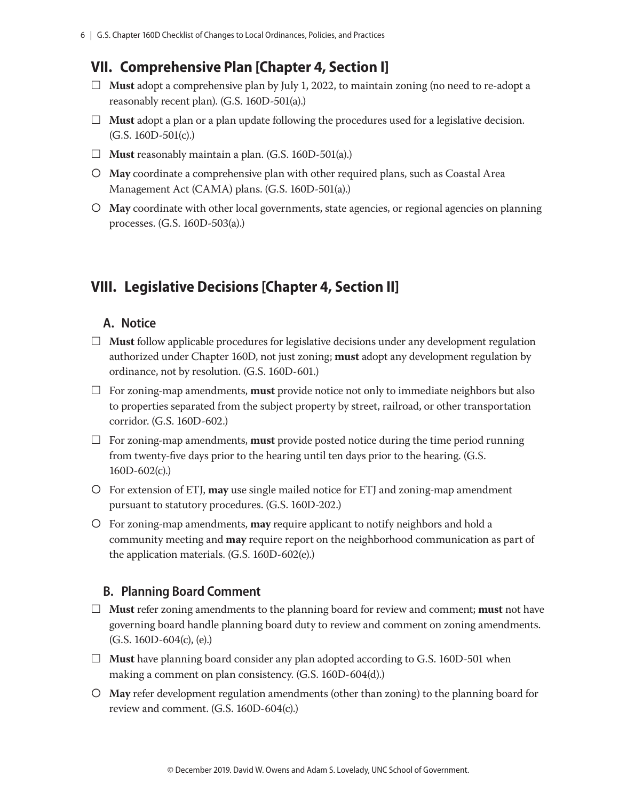### **VII. Comprehensive Plan [Chapter 4, Section I]**

- $\Box$  **Must** adopt a comprehensive plan by July 1, 2022, to maintain zoning (no need to re-adopt a reasonably recent plan). (G.S. 160D-501(a).)
- $\Box$  **Must** adopt a plan or a plan update following the procedures used for a legislative decision. (G.S. 160D-501(c).)
- $\Box$  **Must** reasonably maintain a plan. (G.S. 160D-501(a).)
- **May** coordinate a comprehensive plan with other required plans, such as Coastal Area Management Act (CAMA) plans. (G.S. 160D-501(a).)
- **May** coordinate with other local governments, state agencies, or regional agencies on planning processes. (G.S. 160D-503(a).)

### **VIII. Legislative Decisions [Chapter 4, Section II]**

### **A. Notice**

- $\Box$  **Must** follow applicable procedures for legislative decisions under any development regulation authorized under Chapter 160D, not just zoning; **must** adopt any development regulation by ordinance, not by resolution. (G.S. 160D-601.)
- $\Box$  For zoning-map amendments, **must** provide notice not only to immediate neighbors but also to properties separated from the subject property by street, railroad, or other transportation corridor. (G.S. 160D-602.)
- $\Box$  For zoning-map amendments, **must** provide posted notice during the time period running from twenty-five days prior to the hearing until ten days prior to the hearing. (G.S. 160D-602(c).)
- For extension of ETJ, **may** use single mailed notice for ETJ and zoning-map amendment pursuant to statutory procedures. (G.S. 160D-202.)
- For zoning-map amendments, **may** require applicant to notify neighbors and hold a community meeting and **may** require report on the neighborhood communication as part of the application materials. (G.S. 160D-602(e).)

### **B. Planning Board Comment**

- £ **Must** refer zoning amendments to the planning board for review and comment; **must** not have governing board handle planning board duty to review and comment on zoning amendments. (G.S. 160D-604(c), (e).)
- $\Box$  **Must** have planning board consider any plan adopted according to G.S. 160D-501 when making a comment on plan consistency. (G.S. 160D-604(d).)
- **May** refer development regulation amendments (other than zoning) to the planning board for review and comment. (G.S. 160D-604(c).)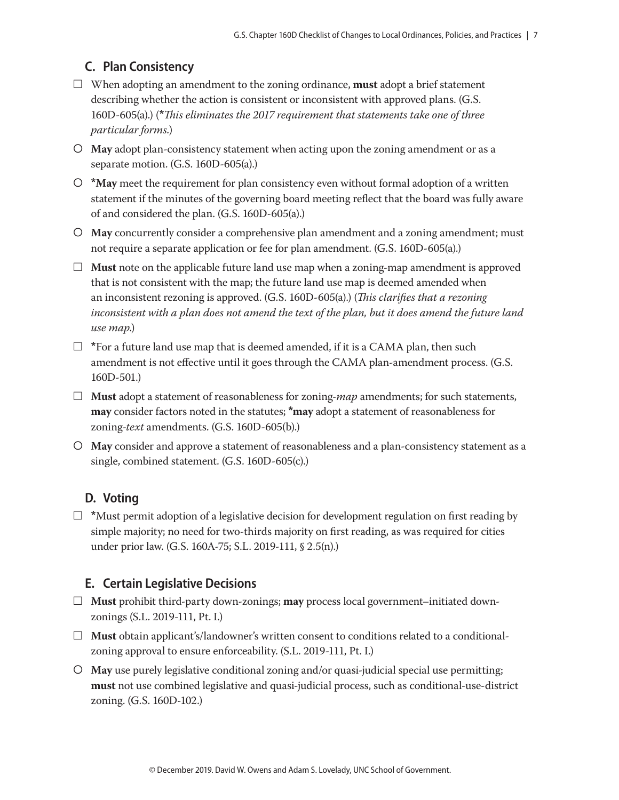### **C. Plan Consistency**

- $\Box$  When adopting an amendment to the zoning ordinance, **must** adopt a brief statement describing whether the action is consistent or inconsistent with approved plans. (G.S. 160D-605(a).) (**\****This eliminates the 2017 requirement that statements take one of three particular forms.*)
- **May** adopt plan-consistency statement when acting upon the zoning amendment or as a separate motion. (G.S. 160D-605(a).)
- **\*May** meet the requirement for plan consistency even without formal adoption of a written statement if the minutes of the governing board meeting reflect that the board was fully aware of and considered the plan. (G.S. 160D-605(a).)
- **May** concurrently consider a comprehensive plan amendment and a zoning amendment; must not require a separate application or fee for plan amendment. (G.S. 160D-605(a).)
- $\Box$  **Must** note on the applicable future land use map when a zoning-map amendment is approved that is not consistent with the map; the future land use map is deemed amended when an inconsistent rezoning is approved. (G.S. 160D-605(a).) (*This clarifies that a rezoning*  inconsistent with a plan does not amend the text of the plan, but it does amend the future land *use map*.)
- $\Box$  \*For a future land use map that is deemed amended, if it is a CAMA plan, then such amendment is not effective until it goes through the CAMA plan-amendment process. (G.S. 160D-501.)
- £ **Must** adopt a statement of reasonableness for zoning-*map* amendments; for such statements, **may** consider factors noted in the statutes; **\*may** adopt a statement of reasonableness for zoning-*text* amendments. (G.S. 160D-605(b).)
- **May** consider and approve a statement of reasonableness and a plan-consistency statement as a single, combined statement. (G.S. 160D-605(c).)

### **D. Voting**

£ **\***Must permit adoption of a legislative decision for development regulation on first reading by simple majority; no need for two-thirds majority on first reading, as was required for cities under prior law. (G.S. 160A-75; S.L. 2019-111, § 2.5(n).)

### **E. Certain Legislative Decisions**

- £ **Must** prohibit third-party down-zonings; **may** process local government–initiated downzonings (S.L. 2019-111, Pt. I.)
- £ **Must** obtain applicant's/landowner's written consent to conditions related to a conditionalzoning approval to ensure enforceability. (S.L. 2019-111, Pt. I.)
- **May** use purely legislative conditional zoning and/or quasi-judicial special use permitting; **must** not use combined legislative and quasi-judicial process, such as conditional-use-district zoning. (G.S. 160D-102.)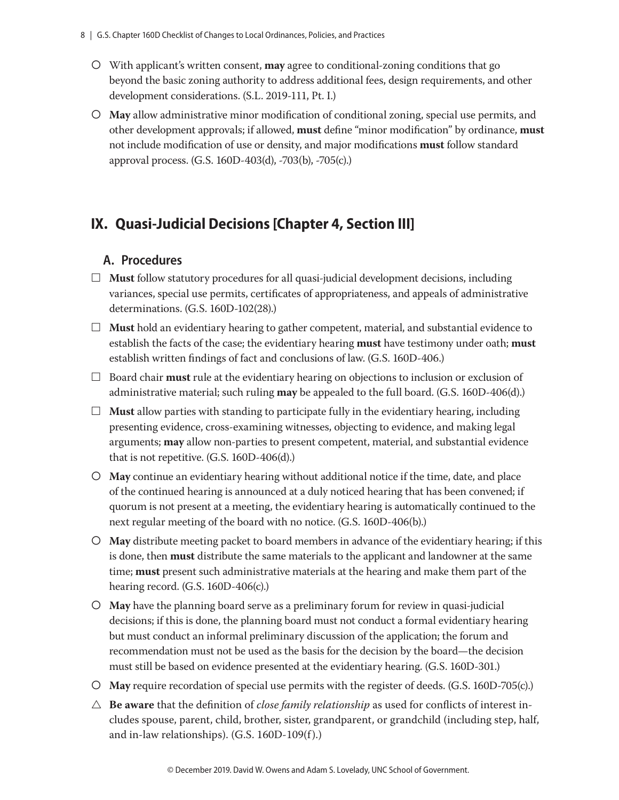- With applicant's written consent, **may** agree to conditional-zoning conditions that go beyond the basic zoning authority to address additional fees, design requirements, and other development considerations. (S.L. 2019-111, Pt. I.)
- **May** allow administrative minor modification of conditional zoning, special use permits, and other development approvals; if allowed, **must** define "minor modification" by ordinance, **must**  not include modification of use or density, and major modifications **must** follow standard approval process. (G.S. 160D-403(d), -703(b), -705(c).)

### **IX. Quasi-Judicial Decisions [Chapter 4, Section III]**

### **A. Procedures**

- $\Box$  **Must** follow statutory procedures for all quasi-judicial development decisions, including variances, special use permits, certificates of appropriateness, and appeals of administrative determinations. (G.S. 160D-102(28).)
- $\Box$  **Must** hold an evidentiary hearing to gather competent, material, and substantial evidence to establish the facts of the case; the evidentiary hearing **must** have testimony under oath; **must** establish written findings of fact and conclusions of law. (G.S. 160D-406.)
- £ Board chair **must** rule at the evidentiary hearing on objections to inclusion or exclusion of administrative material; such ruling **may** be appealed to the full board. (G.S. 160D-406(d).)
- $\Box$  **Must** allow parties with standing to participate fully in the evidentiary hearing, including presenting evidence, cross-examining witnesses, objecting to evidence, and making legal arguments; **may** allow non-parties to present competent, material, and substantial evidence that is not repetitive. (G.S. 160D-406(d).)
- **May** continue an evidentiary hearing without additional notice if the time, date, and place of the continued hearing is announced at a duly noticed hearing that has been convened; if quorum is not present at a meeting, the evidentiary hearing is automatically continued to the next regular meeting of the board with no notice. (G.S. 160D-406(b).)
- **May** distribute meeting packet to board members in advance of the evidentiary hearing; if this is done, then **must** distribute the same materials to the applicant and landowner at the same time; **must** present such administrative materials at the hearing and make them part of the hearing record. (G.S. 160D-406(c).)
- **May** have the planning board serve as a preliminary forum for review in quasi-judicial decisions; if this is done, the planning board must not conduct a formal evidentiary hearing but must conduct an informal preliminary discussion of the application; the forum and recommendation must not be used as the basis for the decision by the board—the decision must still be based on evidence presented at the evidentiary hearing. (G.S. 160D-301.)
- **May** require recordation of special use permits with the register of deeds. (G.S. 160D-705(c).)
- $\triangle$  **Be aware** that the definition of *close family relationship* as used for conflicts of interest includes spouse, parent, child, brother, sister, grandparent, or grandchild (including step, half, and in-law relationships). (G.S. 160D-109(f).)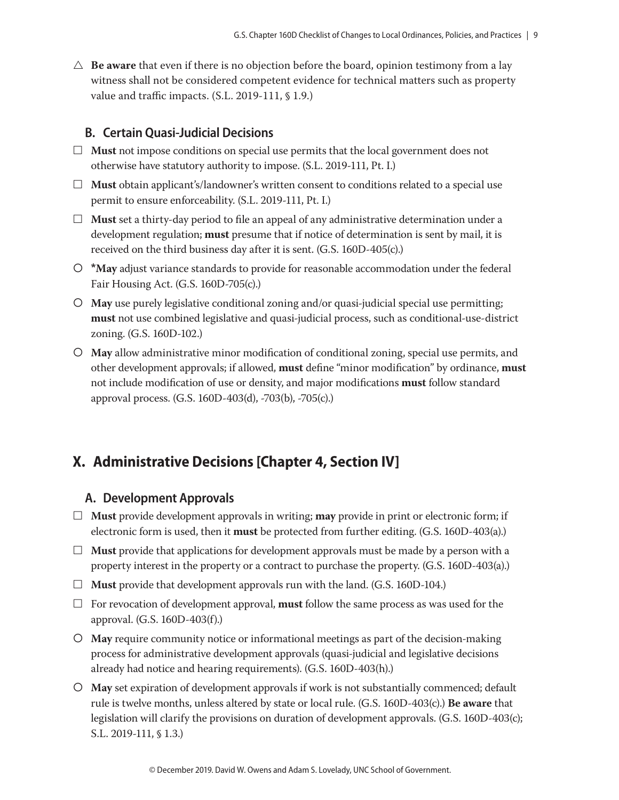$\triangle$  **Be aware** that even if there is no objection before the board, opinion testimony from a lay witness shall not be considered competent evidence for technical matters such as property value and traffic impacts. (S.L. 2019-111, § 1.9.)

#### **B. Certain Quasi-Judicial Decisions**

- $\Box$  **Must** not impose conditions on special use permits that the local government does not otherwise have statutory authority to impose. (S.L. 2019-111, Pt. I.)
- £ **Must** obtain applicant's/landowner's written consent to conditions related to a special use permit to ensure enforceability. (S.L. 2019-111, Pt. I.)
- $\Box$  **Must** set a thirty-day period to file an appeal of any administrative determination under a development regulation; **must** presume that if notice of determination is sent by mail, it is received on the third business day after it is sent. (G.S. 160D-405(c).)
- **\*May** adjust variance standards to provide for reasonable accommodation under the federal Fair Housing Act. (G.S. 160D-705(c).)
- **May** use purely legislative conditional zoning and/or quasi-judicial special use permitting; **must** not use combined legislative and quasi-judicial process, such as conditional-use-district zoning. (G.S. 160D-102.)
- **May** allow administrative minor modification of conditional zoning, special use permits, and other development approvals; if allowed, **must** define "minor modification" by ordinance, **must** not include modification of use or density, and major modifications **must** follow standard approval process. (G.S. 160D-403(d), -703(b), -705(c).)

### **X. Administrative Decisions [Chapter 4, Section IV]**

#### **A. Development Approvals**

- $\Box$  **Must** provide development approvals in writing; **may** provide in print or electronic form; if electronic form is used, then it **must** be protected from further editing. (G.S. 160D-403(a).)
- $\Box$  **Must** provide that applications for development approvals must be made by a person with a property interest in the property or a contract to purchase the property. (G.S. 160D-403(a).)
- $\Box$  **Must** provide that development approvals run with the land. (G.S. 160D-104.)
- $\Box$  For revocation of development approval, **must** follow the same process as was used for the approval. (G.S. 160D-403(f).)
- **May** require community notice or informational meetings as part of the decision-making process for administrative development approvals (quasi-judicial and legislative decisions already had notice and hearing requirements). (G.S. 160D-403(h).)
- **May** set expiration of development approvals if work is not substantially commenced; default rule is twelve months, unless altered by state or local rule. (G.S. 160D-403(c).) **Be aware** that legislation will clarify the provisions on duration of development approvals. (G.S. 160D-403(c); S.L. 2019-111, § 1.3.)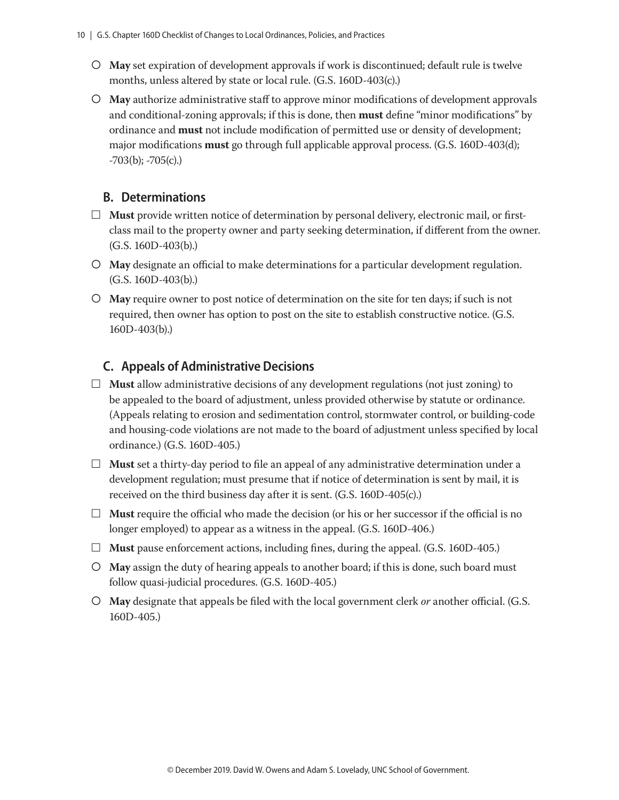- **May** set expiration of development approvals if work is discontinued; default rule is twelve months, unless altered by state or local rule. (G.S. 160D-403(c).)
- **May** authorize administrative staff to approve minor modifications of development approvals and conditional-zoning approvals; if this is done, then **must** define "minor modifications" by ordinance and **must** not include modification of permitted use or density of development; major modifications **must** go through full applicable approval process. (G.S. 160D-403(d);  $-703(b)$ ;  $-705(c)$ .)

### **B. Determinations**

- $\Box$  **Must** provide written notice of determination by personal delivery, electronic mail, or firstclass mail to the property owner and party seeking determination, if different from the owner. (G.S. 160D-403(b).)
- **May** designate an official to make determinations for a particular development regulation. (G.S. 160D-403(b).)
- **May** require owner to post notice of determination on the site for ten days; if such is not required, then owner has option to post on the site to establish constructive notice. (G.S. 160D-403(b).)

### **C. Appeals of Administrative Decisions**

- $\Box$  **Must** allow administrative decisions of any development regulations (not just zoning) to be appealed to the board of adjustment, unless provided otherwise by statute or ordinance. (Appeals relating to erosion and sedimentation control, stormwater control, or building-code and housing-code violations are not made to the board of adjustment unless specified by local ordinance.) (G.S. 160D-405.)
- $\Box$  **Must** set a thirty-day period to file an appeal of any administrative determination under a development regulation; must presume that if notice of determination is sent by mail, it is received on the third business day after it is sent. (G.S. 160D-405(c).)
- $\Box$  **Must** require the official who made the decision (or his or her successor if the official is no longer employed) to appear as a witness in the appeal. (G.S. 160D-406.)
- $\Box$  **Must** pause enforcement actions, including fines, during the appeal. (G.S. 160D-405.)
- **May** assign the duty of hearing appeals to another board; if this is done, such board must follow quasi-judicial procedures. (G.S. 160D-405.)
- **May** designate that appeals be filed with the local government clerk *or* another official. (G.S. 160D-405.)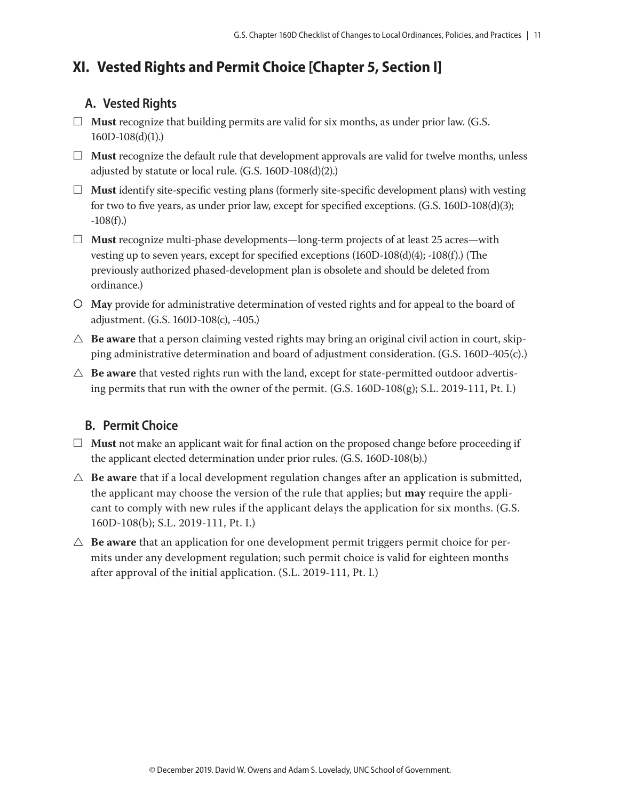### **XI. Vested Rights and Permit Choice [Chapter 5, Section I]**

### **A. Vested Rights**

- $\Box$  **Must** recognize that building permits are valid for six months, as under prior law. (G.S. 160D-108(d)(1).)
- $\Box$  **Must** recognize the default rule that development approvals are valid for twelve months, unless adjusted by statute or local rule. (G.S. 160D-108(d)(2).)
- $\Box$  **Must** identify site-specific vesting plans (formerly site-specific development plans) with vesting for two to five years, as under prior law, except for specified exceptions. (G.S. 160D-108(d)(3);  $-108(f)$ .)
- □ **Must** recognize multi-phase developments—long-term projects of at least 25 acres—with vesting up to seven years, except for specified exceptions (160D-108(d)(4); -108(f).) (The previously authorized phased-development plan is obsolete and should be deleted from ordinance.)
- **May** provide for administrative determination of vested rights and for appeal to the board of adjustment. (G.S. 160D-108(c), -405.)
- $\triangle$  **Be aware** that a person claiming vested rights may bring an original civil action in court, skipping administrative determination and board of adjustment consideration. (G.S. 160D-405(c).)
- $\triangle$  **Be aware** that vested rights run with the land, except for state-permitted outdoor advertising permits that run with the owner of the permit. (G.S. 160D-108(g); S.L. 2019-111, Pt. I.)

### **B. Permit Choice**

- $\Box$  **Must** not make an applicant wait for final action on the proposed change before proceeding if the applicant elected determination under prior rules. (G.S. 160D-108(b).)
- $\triangle$  **Be aware** that if a local development regulation changes after an application is submitted, the applicant may choose the version of the rule that applies; but **may** require the applicant to comply with new rules if the applicant delays the application for six months. (G.S. 160D-108(b); S.L. 2019-111, Pt. I.)
- $\triangle$  **Be aware** that an application for one development permit triggers permit choice for permits under any development regulation; such permit choice is valid for eighteen months after approval of the initial application. (S.L. 2019-111, Pt. I.)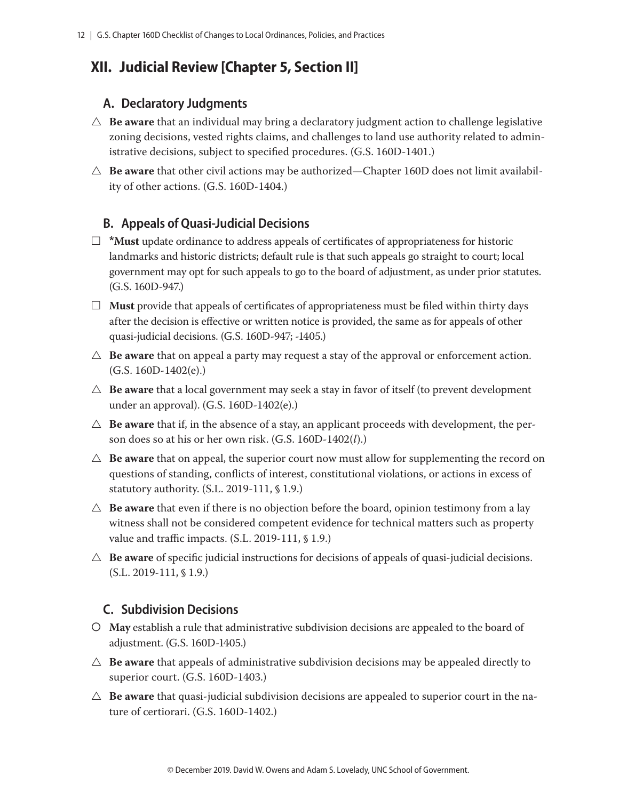### **XII. Judicial Review [Chapter 5, Section II]**

### **A. Declaratory Judgments**

- $\triangle$  **Be aware** that an individual may bring a declaratory judgment action to challenge legislative zoning decisions, vested rights claims, and challenges to land use authority related to administrative decisions, subject to specified procedures. (G.S. 160D-1401.)
- $\triangle$  **Be aware** that other civil actions may be authorized—Chapter 160D does not limit availability of other actions. (G.S. 160D-1404.)

### **B. Appeals of Quasi-Judicial Decisions**

- £ **\*Must** update ordinance to address appeals of certificates of appropriateness for historic landmarks and historic districts; default rule is that such appeals go straight to court; local government may opt for such appeals to go to the board of adjustment, as under prior statutes. (G.S. 160D-947.)
- $\Box$  **Must** provide that appeals of certificates of appropriateness must be filed within thirty days after the decision is effective or written notice is provided, the same as for appeals of other quasi-judicial decisions. (G.S. 160D-947; -1405.)
- $\triangle$  **Be aware** that on appeal a party may request a stay of the approval or enforcement action. (G.S. 160D-1402(e).)
- $\triangle$  **Be aware** that a local government may seek a stay in favor of itself (to prevent development under an approval). (G.S. 160D-1402(e).)
- $\triangle$  **Be aware** that if, in the absence of a stay, an applicant proceeds with development, the person does so at his or her own risk. (G.S. 160D-1402(*l*).)
- $\triangle$  **Be aware** that on appeal, the superior court now must allow for supplementing the record on questions of standing, conflicts of interest, constitutional violations, or actions in excess of statutory authority. (S.L. 2019-111, § 1.9.)
- $\triangle$  **Be aware** that even if there is no objection before the board, opinion testimony from a lay witness shall not be considered competent evidence for technical matters such as property value and traffic impacts. (S.L. 2019-111, § 1.9.)
- $\triangle$  **Be aware** of specific judicial instructions for decisions of appeals of quasi-judicial decisions. (S.L. 2019-111, § 1.9.)

### **C. Subdivision Decisions**

- **May** establish a rule that administrative subdivision decisions are appealed to the board of adjustment. (G.S. 160D-1405.)
- $\triangle$  **Be aware** that appeals of administrative subdivision decisions may be appealed directly to superior court. (G.S. 160D-1403.)
- $\triangle$  **Be aware** that quasi-judicial subdivision decisions are appealed to superior court in the nature of certiorari. (G.S. 160D-1402.)